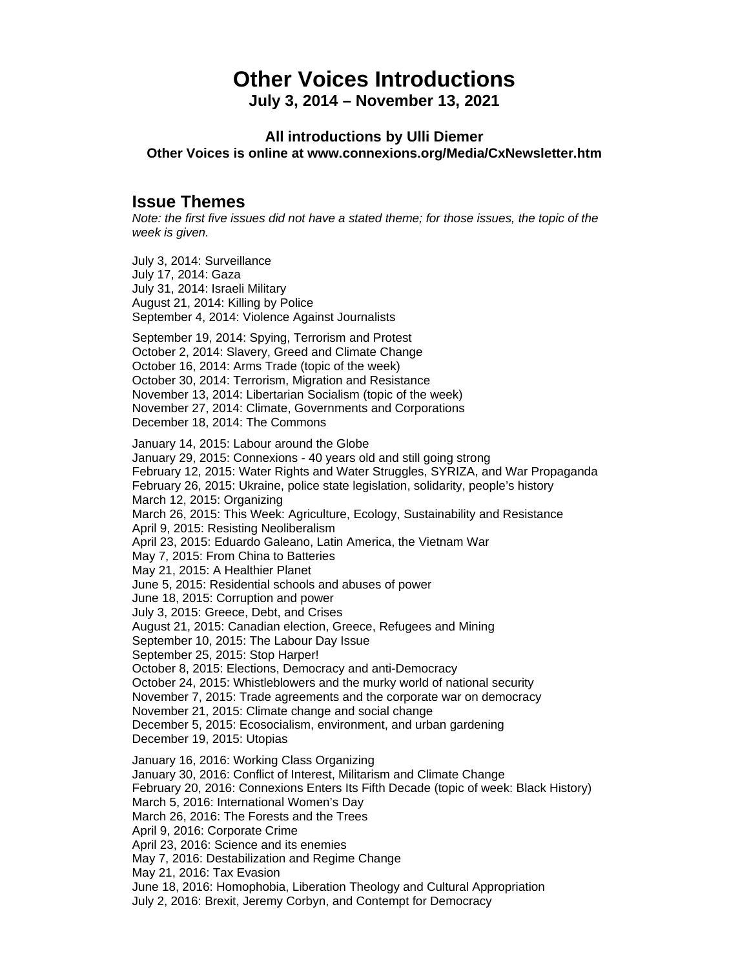# **Other Voices Introductions**

**July 3, 2014 – November 13, 2021**

### **All introductions by Ulli Diemer Other Voices is online at www.connexions.org/Media/CxNewsletter.htm**

# **Issue Themes**

*Note: the first five issues did not have a stated theme; for those issues, the topic of the week is given.*

July 3, 2014: Surveillance July 17, 2014: Gaza July 31, 2014: Israeli Military August 21, 2014: Killing by Police September 4, 2014: Violence Against Journalists

September 19, 2014: Spying, Terrorism and Protest October 2, 2014: Slavery, Greed and Climate Change October 16, 2014: Arms Trade (topic of the week) October 30, 2014: Terrorism, Migration and Resistance November 13, 2014: Libertarian Socialism (topic of the week) November 27, 2014: Climate, Governments and Corporations December 18, 2014: The Commons

January 14, 2015: Labour around the Globe January 29, 2015: Connexions - 40 years old and still going strong February 12, 2015: Water Rights and Water Struggles, SYRIZA, and War Propaganda February 26, 2015: Ukraine, police state legislation, solidarity, people's history March 12, 2015: Organizing March 26, 2015: This Week: Agriculture, Ecology, Sustainability and Resistance April 9, 2015: Resisting Neoliberalism April 23, 2015: Eduardo Galeano, Latin America, the Vietnam War May 7, 2015: From China to Batteries May 21, 2015: A Healthier Planet June 5, 2015: Residential schools and abuses of power June 18, 2015: Corruption and power July 3, 2015: Greece, Debt, and Crises August 21, 2015: Canadian election, Greece, Refugees and Mining September 10, 2015: The Labour Day Issue September 25, 2015: Stop Harper! October 8, 2015: Elections, Democracy and anti-Democracy October 24, 2015: Whistleblowers and the murky world of national security November 7, 2015: Trade agreements and the corporate war on democracy November 21, 2015: Climate change and social change December 5, 2015: Ecosocialism, environment, and urban gardening December 19, 2015: Utopias January 16, 2016: Working Class Organizing January 30, 2016: Conflict of Interest, Militarism and Climate Change February 20, 2016: Connexions Enters Its Fifth Decade (topic of week: Black History) March 5, 2016: International Women's Day March 26, 2016: The Forests and the Trees April 9, 2016: Corporate Crime April 23, 2016: Science and its enemies May 7, 2016: Destabilization and Regime Change May 21, 2016: Tax Evasion June 18, 2016: Homophobia, Liberation Theology and Cultural Appropriation July 2, 2016: Brexit, Jeremy Corbyn, and Contempt for Democracy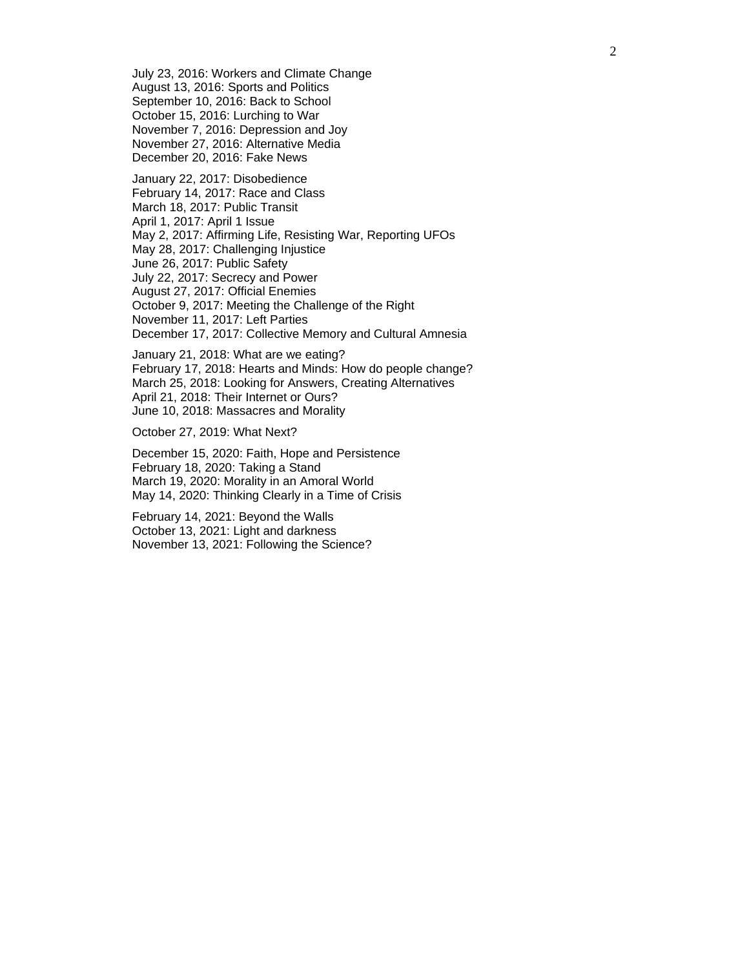July 23, 2016: Workers and Climate Change August 13, 2016: Sports and Politics September 10, 2016: Back to School October 15, 2016: Lurching to War November 7, 2016: Depression and Joy November 27, 2016: Alternative Media December 20, 2016: Fake News

January 22, 2017: Disobedience February 14, 2017: Race and Class March 18, 2017: Public Transit April 1, 2017: April 1 Issue May 2, 2017: Affirming Life, Resisting War, Reporting UFOs May 28, 2017: Challenging Injustice June 26, 2017: Public Safety July 22, 2017: Secrecy and Power August 27, 2017: Official Enemies October 9, 2017: Meeting the Challenge of the Right November 11, 2017: Left Parties December 17, 2017: Collective Memory and Cultural Amnesia

January 21, 2018: What are we eating? February 17, 2018: Hearts and Minds: How do people change? March 25, 2018: Looking for Answers, Creating Alternatives April 21, 2018: Their Internet or Ours? June 10, 2018: Massacres and Morality

October 27, 2019: What Next?

December 15, 2020: Faith, Hope and Persistence February 18, 2020: Taking a Stand March 19, 2020: Morality in an Amoral World May 14, 2020: Thinking Clearly in a Time of Crisis

February 14, 2021: Beyond the Walls October 13, 2021: Light and darkness November 13, 2021: Following the Science?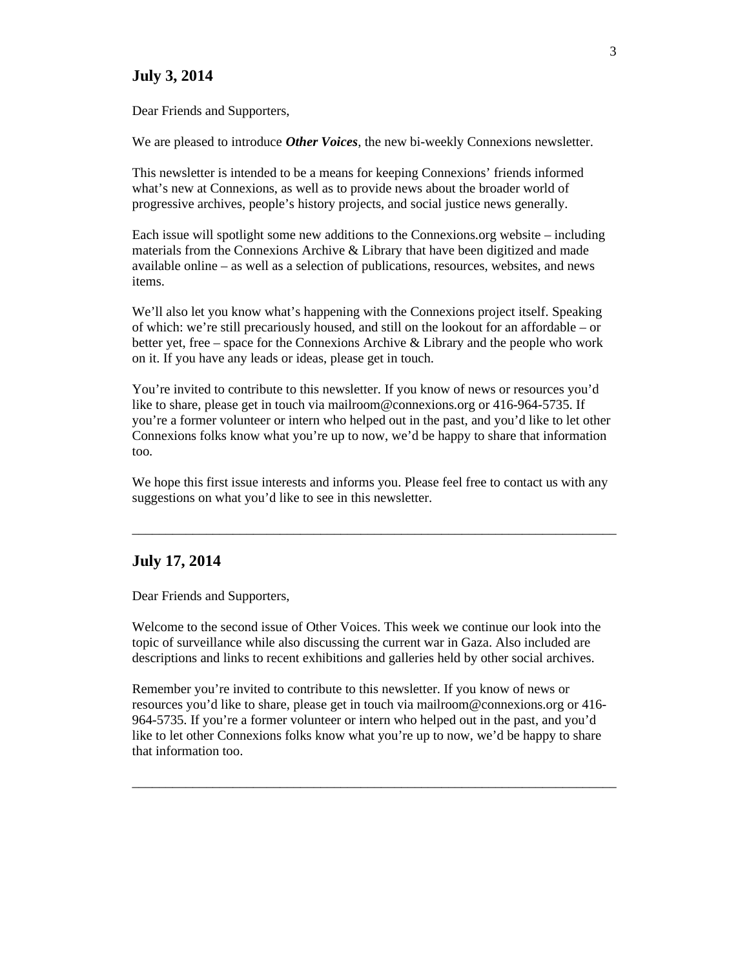### **July 3, 2014**

Dear Friends and Supporters,

We are pleased to introduce *Other Voices*, the new bi-weekly Connexions newsletter.

This newsletter is intended to be a means for keeping Connexions' friends informed what's new at Connexions, as well as to provide news about the broader world of progressive archives, people's history projects, and social justice news generally.

Each issue will spotlight some new additions to the Connexions.org website – including materials from the Connexions Archive & Library that have been digitized and made available online – as well as a selection of publications, resources, websites, and news items.

We'll also let you know what's happening with the Connexions project itself. Speaking of which: we're still precariously housed, and still on the lookout for an affordable – or better yet, free – space for the Connexions Archive & Library and the people who work on it. If you have any leads or ideas, please get in touch.

You're invited to contribute to this newsletter. If you know of news or resources you'd like to share, please get in touch via mailroom@connexions.org or 416-964-5735. If you're a former volunteer or intern who helped out in the past, and you'd like to let other Connexions folks know what you're up to now, we'd be happy to share that information too.

We hope this first issue interests and informs you. Please feel free to contact us with any suggestions on what you'd like to see in this newsletter.

 $\_$  , and the set of the set of the set of the set of the set of the set of the set of the set of the set of the set of the set of the set of the set of the set of the set of the set of the set of the set of the set of th

### **July 17, 2014**

Dear Friends and Supporters,

Welcome to the second issue of Other Voices. This week we continue our look into the topic of surveillance while also discussing the current war in Gaza. Also included are descriptions and links to recent exhibitions and galleries held by other social archives.

Remember you're invited to contribute to this newsletter. If you know of news or resources you'd like to share, please get in touch via mailroom@connexions.org or 416- 964-5735. If you're a former volunteer or intern who helped out in the past, and you'd like to let other Connexions folks know what you're up to now, we'd be happy to share that information too.

 $\_$  , and the set of the set of the set of the set of the set of the set of the set of the set of the set of the set of the set of the set of the set of the set of the set of the set of the set of the set of the set of th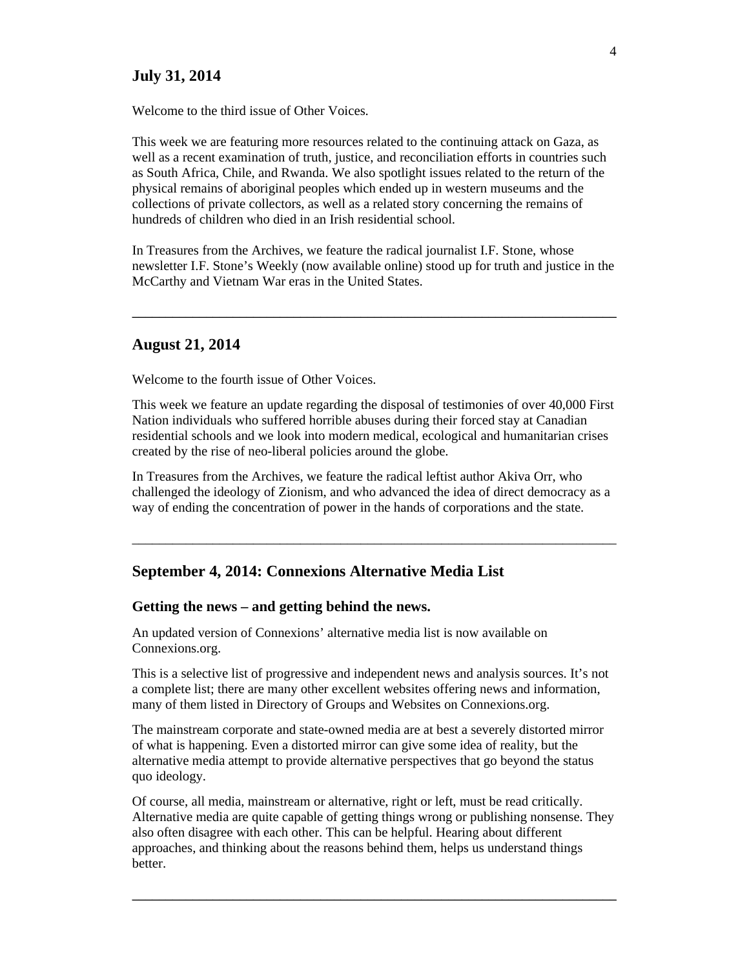# **July 31, 2014**

Welcome to the third issue of Other Voices.

This week we are featuring more resources related to the continuing attack on Gaza, as well as a recent examination of truth, justice, and reconciliation efforts in countries such as South Africa, Chile, and Rwanda. We also spotlight issues related to the return of the physical remains of aboriginal peoples which ended up in western museums and the collections of private collectors, as well as a related story concerning the remains of hundreds of children who died in an Irish residential school.

In Treasures from the Archives, we feature the radical journalist I.F. Stone, whose newsletter I.F. Stone's Weekly (now available online) stood up for truth and justice in the McCarthy and Vietnam War eras in the United States.

\_\_\_\_\_\_\_\_\_\_\_\_\_\_\_\_\_\_\_\_\_\_\_\_\_\_\_\_\_\_\_\_\_\_\_\_\_\_\_\_\_\_\_\_\_\_\_\_\_\_\_\_\_\_\_\_\_\_\_\_\_\_\_\_\_\_\_\_\_\_\_\_

### **August 21, 2014**

Welcome to the fourth issue of Other Voices.

This week we feature an update regarding the disposal of testimonies of over 40,000 First Nation individuals who suffered horrible abuses during their forced stay at Canadian residential schools and we look into modern medical, ecological and humanitarian crises created by the rise of neo-liberal policies around the globe.

In Treasures from the Archives, we feature the radical leftist author Akiva Orr, who challenged the ideology of Zionism, and who advanced the idea of direct democracy as a way of ending the concentration of power in the hands of corporations and the state.

 $\_$  , and the set of the set of the set of the set of the set of the set of the set of the set of the set of the set of the set of the set of the set of the set of the set of the set of the set of the set of the set of th

### **September 4, 2014: Connexions Alternative Media List**

#### **Getting the news – and getting behind the news.**

An updated version of Connexions' alternative media list is now available on Connexions.org.

This is a selective list of progressive and independent news and analysis sources. It's not a complete list; there are many other excellent websites offering news and information, many of them listed in Directory of Groups and Websites on Connexions.org.

The mainstream corporate and state-owned media are at best a severely distorted mirror of what is happening. Even a distorted mirror can give some idea of reality, but the alternative media attempt to provide alternative perspectives that go beyond the status quo ideology.

Of course, all media, mainstream or alternative, right or left, must be read critically. Alternative media are quite capable of getting things wrong or publishing nonsense. They also often disagree with each other. This can be helpful. Hearing about different approaches, and thinking about the reasons behind them, helps us understand things better.

\_\_\_\_\_\_\_\_\_\_\_\_\_\_\_\_\_\_\_\_\_\_\_\_\_\_\_\_\_\_\_\_\_\_\_\_\_\_\_\_\_\_\_\_\_\_\_\_\_\_\_\_\_\_\_\_\_\_\_\_\_\_\_\_\_\_\_\_\_\_\_\_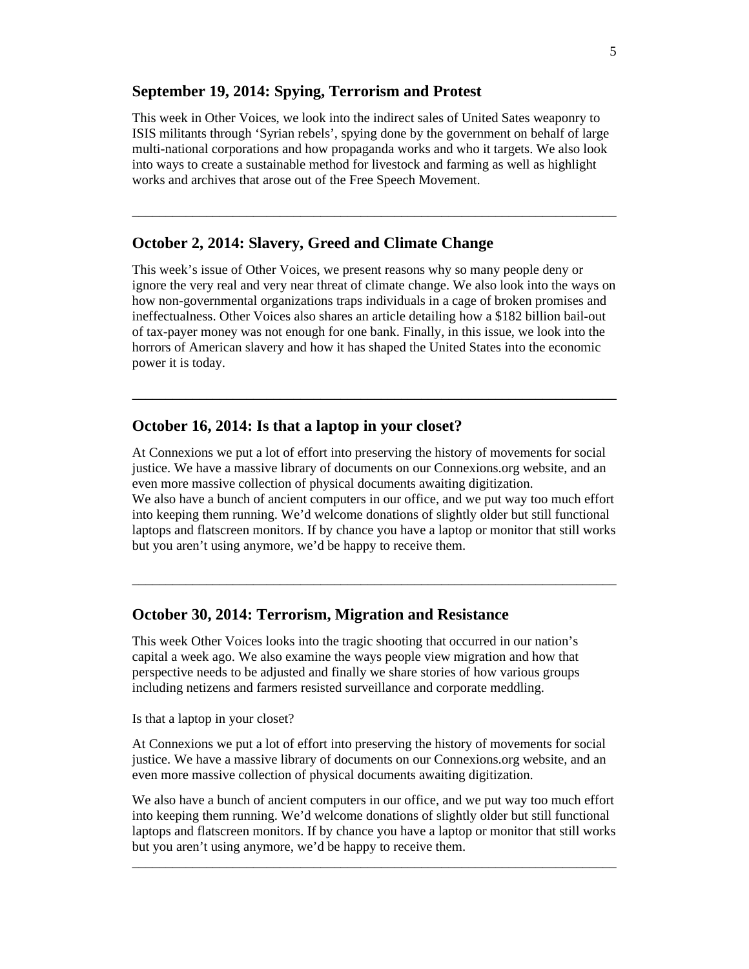### **September 19, 2014: Spying, Terrorism and Protest**

This week in Other Voices, we look into the indirect sales of United Sates weaponry to ISIS militants through 'Syrian rebels', spying done by the government on behalf of large multi-national corporations and how propaganda works and who it targets. We also look into ways to create a sustainable method for livestock and farming as well as highlight works and archives that arose out of the Free Speech Movement.

 $\_$  , and the set of the set of the set of the set of the set of the set of the set of the set of the set of the set of the set of the set of the set of the set of the set of the set of the set of the set of the set of th

# **October 2, 2014: Slavery, Greed and Climate Change**

This week's issue of Other Voices, we present reasons why so many people deny or ignore the very real and very near threat of climate change. We also look into the ways on how non-governmental organizations traps individuals in a cage of broken promises and ineffectualness. Other Voices also shares an article detailing how a \$182 billion bail-out of tax-payer money was not enough for one bank. Finally, in this issue, we look into the horrors of American slavery and how it has shaped the United States into the economic power it is today.

\_\_\_\_\_\_\_\_\_\_\_\_\_\_\_\_\_\_\_\_\_\_\_\_\_\_\_\_\_\_\_\_\_\_\_\_\_\_\_\_\_\_\_\_\_\_\_\_\_\_\_\_\_\_\_\_\_\_\_\_\_\_\_\_\_\_\_\_\_\_\_\_

# **October 16, 2014: Is that a laptop in your closet?**

At Connexions we put a lot of effort into preserving the history of movements for social justice. We have a massive library of documents on our Connexions.org website, and an even more massive collection of physical documents awaiting digitization. We also have a bunch of ancient computers in our office, and we put way too much effort into keeping them running. We'd welcome donations of slightly older but still functional laptops and flatscreen monitors. If by chance you have a laptop or monitor that still works but you aren't using anymore, we'd be happy to receive them.

 $\_$  , and the set of the set of the set of the set of the set of the set of the set of the set of the set of the set of the set of the set of the set of the set of the set of the set of the set of the set of the set of th

### **October 30, 2014: Terrorism, Migration and Resistance**

This week Other Voices looks into the tragic shooting that occurred in our nation's capital a week ago. We also examine the ways people view migration and how that perspective needs to be adjusted and finally we share stories of how various groups including netizens and farmers resisted surveillance and corporate meddling.

Is that a laptop in your closet?

At Connexions we put a lot of effort into preserving the history of movements for social justice. We have a massive library of documents on our Connexions.org website, and an even more massive collection of physical documents awaiting digitization.

We also have a bunch of ancient computers in our office, and we put way too much effort into keeping them running. We'd welcome donations of slightly older but still functional laptops and flatscreen monitors. If by chance you have a laptop or monitor that still works but you aren't using anymore, we'd be happy to receive them.

 $\_$  , and the set of the set of the set of the set of the set of the set of the set of the set of the set of the set of the set of the set of the set of the set of the set of the set of the set of the set of the set of th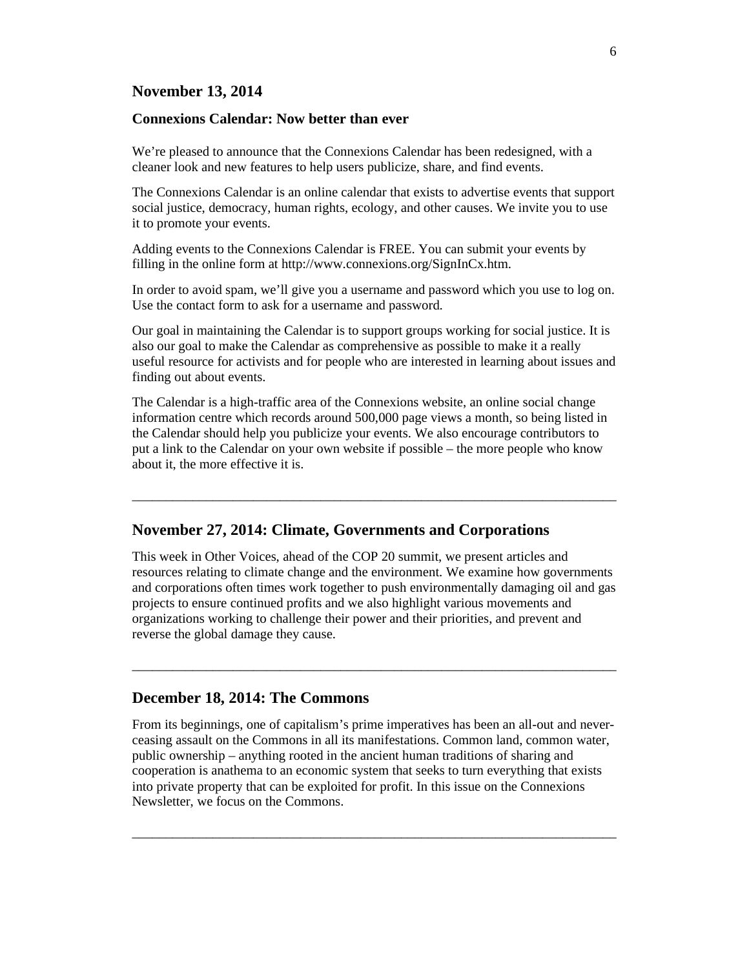### **November 13, 2014**

#### **Connexions Calendar: Now better than ever**

We're pleased to announce that the Connexions Calendar has been redesigned, with a cleaner look and new features to help users publicize, share, and find events.

The Connexions Calendar is an online calendar that exists to advertise events that support social justice, democracy, human rights, ecology, and other causes. We invite you to use it to promote your events.

Adding events to the Connexions Calendar is FREE. You can submit your events by filling in the online form at http://www.connexions.org/SignInCx.htm.

In order to avoid spam, we'll give you a username and password which you use to log on. Use the contact form to ask for a username and password.

Our goal in maintaining the Calendar is to support groups working for social justice. It is also our goal to make the Calendar as comprehensive as possible to make it a really useful resource for activists and for people who are interested in learning about issues and finding out about events.

The Calendar is a high-traffic area of the Connexions website, an online social change information centre which records around 500,000 page views a month, so being listed in the Calendar should help you publicize your events. We also encourage contributors to put a link to the Calendar on your own website if possible – the more people who know about it, the more effective it is.

\_\_\_\_\_\_\_\_\_\_\_\_\_\_\_\_\_\_\_\_\_\_\_\_\_\_\_\_\_\_\_\_\_\_\_\_\_\_\_\_\_\_\_\_\_\_\_\_\_\_\_\_\_\_\_\_\_\_\_\_\_\_\_\_\_\_\_\_\_\_\_\_

# **November 27, 2014: Climate, Governments and Corporations**

This week in Other Voices, ahead of the COP 20 summit, we present articles and resources relating to climate change and the environment. We examine how governments and corporations often times work together to push environmentally damaging oil and gas projects to ensure continued profits and we also highlight various movements and organizations working to challenge their power and their priorities, and prevent and reverse the global damage they cause.

 $\_$  , and the set of the set of the set of the set of the set of the set of the set of the set of the set of the set of the set of the set of the set of the set of the set of the set of the set of the set of the set of th

#### **December 18, 2014: The Commons**

From its beginnings, one of capitalism's prime imperatives has been an all-out and neverceasing assault on the Commons in all its manifestations. Common land, common water, public ownership – anything rooted in the ancient human traditions of sharing and cooperation is anathema to an economic system that seeks to turn everything that exists into private property that can be exploited for profit. In this issue on the Connexions Newsletter, we focus on the Commons.

 $\_$  , and the set of the set of the set of the set of the set of the set of the set of the set of the set of the set of the set of the set of the set of the set of the set of the set of the set of the set of the set of th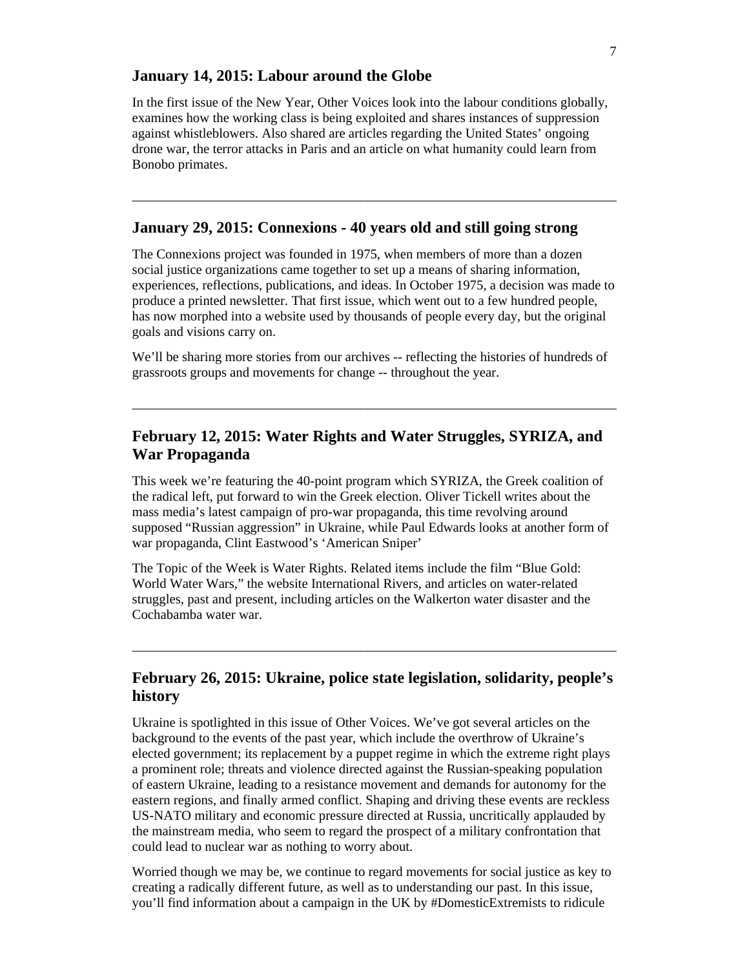### **January 14, 2015: Labour around the Globe**

In the first issue of the New Year, Other Voices look into the labour conditions globally, examines how the working class is being exploited and shares instances of suppression against whistleblowers. Also shared are articles regarding the United States' ongoing drone war, the terror attacks in Paris and an article on what humanity could learn from Bonobo primates.

\_\_\_\_\_\_\_\_\_\_\_\_\_\_\_\_\_\_\_\_\_\_\_\_\_\_\_\_\_\_\_\_\_\_\_\_\_\_\_\_\_\_\_\_\_\_\_\_\_\_\_\_\_\_\_\_\_\_\_\_\_\_\_\_\_\_\_\_\_\_\_\_

### **January 29, 2015: Connexions - 40 years old and still going strong**

The Connexions project was founded in 1975, when members of more than a dozen social justice organizations came together to set up a means of sharing information, experiences, reflections, publications, and ideas. In October 1975, a decision was made to produce a printed newsletter. That first issue, which went out to a few hundred people, has now morphed into a website used by thousands of people every day, but the original goals and visions carry on.

We'll be sharing more stories from our archives -- reflecting the histories of hundreds of grassroots groups and movements for change -- throughout the year.

\_\_\_\_\_\_\_\_\_\_\_\_\_\_\_\_\_\_\_\_\_\_\_\_\_\_\_\_\_\_\_\_\_\_\_\_\_\_\_\_\_\_\_\_\_\_\_\_\_\_\_\_\_\_\_\_\_\_\_\_\_\_\_\_\_\_\_\_\_\_\_\_

# **February 12, 2015: Water Rights and Water Struggles, SYRIZA, and War Propaganda**

This week we're featuring the 40-point program which SYRIZA, the Greek coalition of the radical left, put forward to win the Greek election. Oliver Tickell writes about the mass media's latest campaign of pro-war propaganda, this time revolving around supposed "Russian aggression" in Ukraine, while Paul Edwards looks at another form of war propaganda, Clint Eastwood's 'American Sniper'

The Topic of the Week is Water Rights. Related items include the film "Blue Gold: World Water Wars," the website International Rivers, and articles on water-related struggles, past and present, including articles on the Walkerton water disaster and the Cochabamba water war.

# **February 26, 2015: Ukraine, police state legislation, solidarity, people's history**

 $\_$  , and the set of the set of the set of the set of the set of the set of the set of the set of the set of the set of the set of the set of the set of the set of the set of the set of the set of the set of the set of th

Ukraine is spotlighted in this issue of Other Voices. We've got several articles on the background to the events of the past year, which include the overthrow of Ukraine's elected government; its replacement by a puppet regime in which the extreme right plays a prominent role; threats and violence directed against the Russian-speaking population of eastern Ukraine, leading to a resistance movement and demands for autonomy for the eastern regions, and finally armed conflict. Shaping and driving these events are reckless US-NATO military and economic pressure directed at Russia, uncritically applauded by the mainstream media, who seem to regard the prospect of a military confrontation that could lead to nuclear war as nothing to worry about.

Worried though we may be, we continue to regard movements for social justice as key to creating a radically different future, as well as to understanding our past. In this issue, you'll find information about a campaign in the UK by #DomesticExtremists to ridicule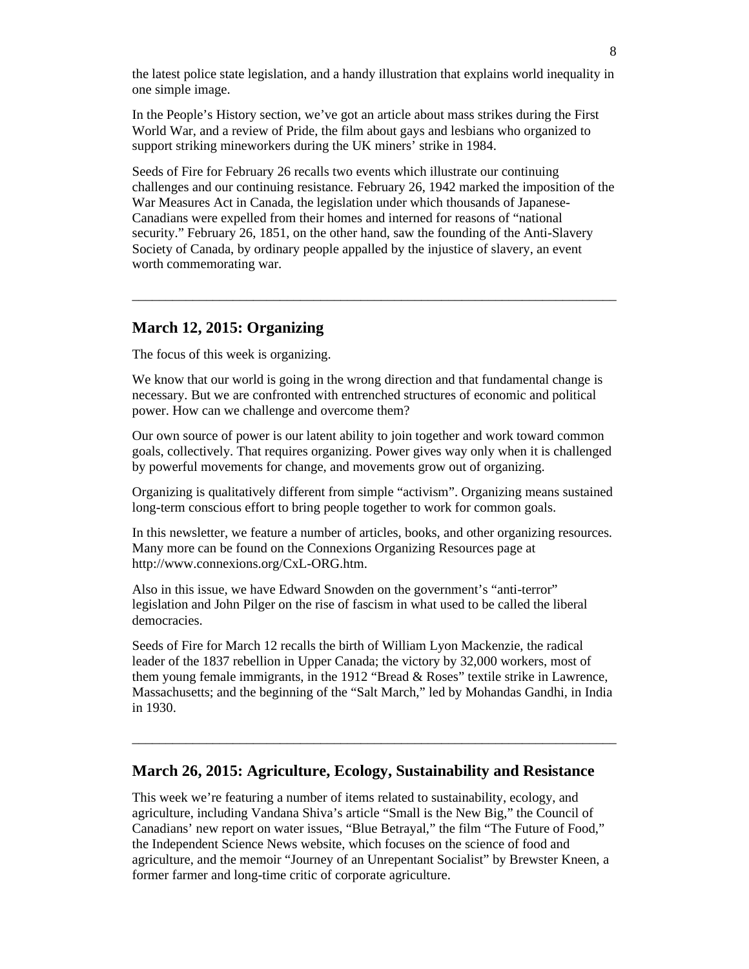the latest police state legislation, and a handy illustration that explains world inequality in one simple image.

In the People's History section, we've got an article about mass strikes during the First World War, and a review of Pride, the film about gays and lesbians who organized to support striking mineworkers during the UK miners' strike in 1984.

Seeds of Fire for February 26 recalls two events which illustrate our continuing challenges and our continuing resistance. February 26, 1942 marked the imposition of the War Measures Act in Canada, the legislation under which thousands of Japanese-Canadians were expelled from their homes and interned for reasons of "national security." February 26, 1851, on the other hand, saw the founding of the Anti-Slavery Society of Canada, by ordinary people appalled by the injustice of slavery, an event worth commemorating war.

 $\_$  , and the set of the set of the set of the set of the set of the set of the set of the set of the set of the set of the set of the set of the set of the set of the set of the set of the set of the set of the set of th

### **March 12, 2015: Organizing**

The focus of this week is organizing.

We know that our world is going in the wrong direction and that fundamental change is necessary. But we are confronted with entrenched structures of economic and political power. How can we challenge and overcome them?

Our own source of power is our latent ability to join together and work toward common goals, collectively. That requires organizing. Power gives way only when it is challenged by powerful movements for change, and movements grow out of organizing.

Organizing is qualitatively different from simple "activism". Organizing means sustained long-term conscious effort to bring people together to work for common goals.

In this newsletter, we feature a number of articles, books, and other organizing resources. Many more can be found on the Connexions Organizing Resources page at http://www.connexions.org/CxL-ORG.htm.

Also in this issue, we have Edward Snowden on the government's "anti-terror" legislation and John Pilger on the rise of fascism in what used to be called the liberal democracies.

Seeds of Fire for March 12 recalls the birth of William Lyon Mackenzie, the radical leader of the 1837 rebellion in Upper Canada; the victory by 32,000 workers, most of them young female immigrants, in the 1912 "Bread & Roses" textile strike in Lawrence, Massachusetts; and the beginning of the "Salt March," led by Mohandas Gandhi, in India in 1930.

 $\_$  , and the set of the set of the set of the set of the set of the set of the set of the set of the set of the set of the set of the set of the set of the set of the set of the set of the set of the set of the set of th

### **March 26, 2015: Agriculture, Ecology, Sustainability and Resistance**

This week we're featuring a number of items related to sustainability, ecology, and agriculture, including Vandana Shiva's article "Small is the New Big," the Council of Canadians' new report on water issues, "Blue Betrayal," the film "The Future of Food," the Independent Science News website, which focuses on the science of food and agriculture, and the memoir "Journey of an Unrepentant Socialist" by Brewster Kneen, a former farmer and long-time critic of corporate agriculture.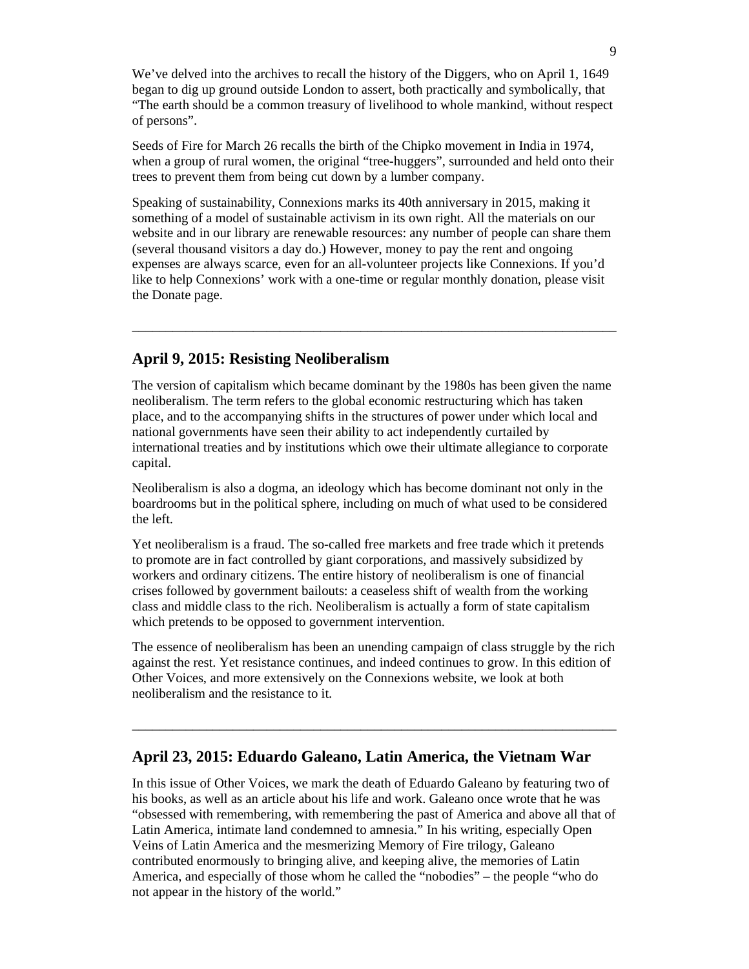We've delved into the archives to recall the history of the Diggers, who on April 1, 1649 began to dig up ground outside London to assert, both practically and symbolically, that "The earth should be a common treasury of livelihood to whole mankind, without respect of persons".

Seeds of Fire for March 26 recalls the birth of the Chipko movement in India in 1974, when a group of rural women, the original "tree-huggers", surrounded and held onto their trees to prevent them from being cut down by a lumber company.

Speaking of sustainability, Connexions marks its 40th anniversary in 2015, making it something of a model of sustainable activism in its own right. All the materials on our website and in our library are renewable resources: any number of people can share them (several thousand visitors a day do.) However, money to pay the rent and ongoing expenses are always scarce, even for an all-volunteer projects like Connexions. If you'd like to help Connexions' work with a one-time or regular monthly donation, please visit the Donate page.

\_\_\_\_\_\_\_\_\_\_\_\_\_\_\_\_\_\_\_\_\_\_\_\_\_\_\_\_\_\_\_\_\_\_\_\_\_\_\_\_\_\_\_\_\_\_\_\_\_\_\_\_\_\_\_\_\_\_\_\_\_\_\_\_\_\_\_\_\_\_\_\_

### **April 9, 2015: Resisting Neoliberalism**

The version of capitalism which became dominant by the 1980s has been given the name neoliberalism. The term refers to the global economic restructuring which has taken place, and to the accompanying shifts in the structures of power under which local and national governments have seen their ability to act independently curtailed by international treaties and by institutions which owe their ultimate allegiance to corporate capital.

Neoliberalism is also a dogma, an ideology which has become dominant not only in the boardrooms but in the political sphere, including on much of what used to be considered the left.

Yet neoliberalism is a fraud. The so-called free markets and free trade which it pretends to promote are in fact controlled by giant corporations, and massively subsidized by workers and ordinary citizens. The entire history of neoliberalism is one of financial crises followed by government bailouts: a ceaseless shift of wealth from the working class and middle class to the rich. Neoliberalism is actually a form of state capitalism which pretends to be opposed to government intervention.

The essence of neoliberalism has been an unending campaign of class struggle by the rich against the rest. Yet resistance continues, and indeed continues to grow. In this edition of Other Voices, and more extensively on the Connexions website, we look at both neoliberalism and the resistance to it.

 $\_$  , and the set of the set of the set of the set of the set of the set of the set of the set of the set of the set of the set of the set of the set of the set of the set of the set of the set of the set of the set of th

# **April 23, 2015: Eduardo Galeano, Latin America, the Vietnam War**

In this issue of Other Voices, we mark the death of Eduardo Galeano by featuring two of his books, as well as an article about his life and work. Galeano once wrote that he was "obsessed with remembering, with remembering the past of America and above all that of Latin America, intimate land condemned to amnesia." In his writing, especially Open Veins of Latin America and the mesmerizing Memory of Fire trilogy, Galeano contributed enormously to bringing alive, and keeping alive, the memories of Latin America, and especially of those whom he called the "nobodies" – the people "who do not appear in the history of the world."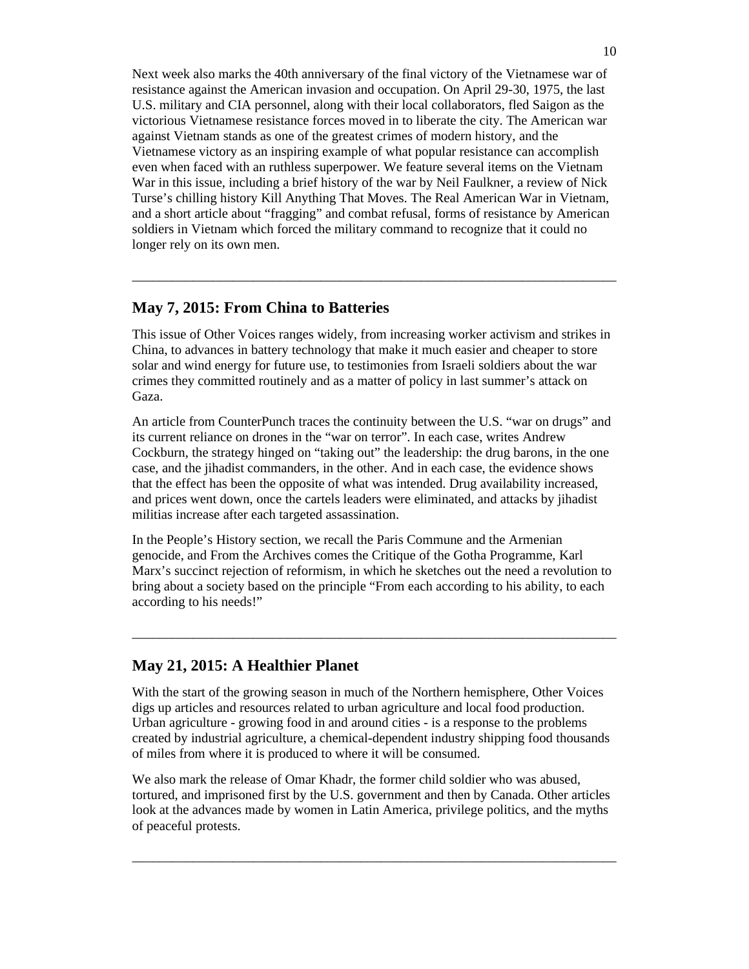Next week also marks the 40th anniversary of the final victory of the Vietnamese war of resistance against the American invasion and occupation. On April 29-30, 1975, the last U.S. military and CIA personnel, along with their local collaborators, fled Saigon as the victorious Vietnamese resistance forces moved in to liberate the city. The American war against Vietnam stands as one of the greatest crimes of modern history, and the Vietnamese victory as an inspiring example of what popular resistance can accomplish even when faced with an ruthless superpower. We feature several items on the Vietnam War in this issue, including a brief history of the war by Neil Faulkner, a review of Nick Turse's chilling history Kill Anything That Moves. The Real American War in Vietnam, and a short article about "fragging" and combat refusal, forms of resistance by American soldiers in Vietnam which forced the military command to recognize that it could no longer rely on its own men.

### **May 7, 2015: From China to Batteries**

This issue of Other Voices ranges widely, from increasing worker activism and strikes in China, to advances in battery technology that make it much easier and cheaper to store solar and wind energy for future use, to testimonies from Israeli soldiers about the war crimes they committed routinely and as a matter of policy in last summer's attack on Gaza.

 $\_$  , and the set of the set of the set of the set of the set of the set of the set of the set of the set of the set of the set of the set of the set of the set of the set of the set of the set of the set of the set of th

An article from CounterPunch traces the continuity between the U.S. "war on drugs" and its current reliance on drones in the "war on terror". In each case, writes Andrew Cockburn, the strategy hinged on "taking out" the leadership: the drug barons, in the one case, and the jihadist commanders, in the other. And in each case, the evidence shows that the effect has been the opposite of what was intended. Drug availability increased, and prices went down, once the cartels leaders were eliminated, and attacks by jihadist militias increase after each targeted assassination.

In the People's History section, we recall the Paris Commune and the Armenian genocide, and From the Archives comes the Critique of the Gotha Programme, Karl Marx's succinct rejection of reformism, in which he sketches out the need a revolution to bring about a society based on the principle "From each according to his ability, to each according to his needs!"

 $\_$  , and the set of the set of the set of the set of the set of the set of the set of the set of the set of the set of the set of the set of the set of the set of the set of the set of the set of the set of the set of th

# **May 21, 2015: A Healthier Planet**

With the start of the growing season in much of the Northern hemisphere, Other Voices digs up articles and resources related to urban agriculture and local food production. Urban agriculture - growing food in and around cities - is a response to the problems created by industrial agriculture, a chemical-dependent industry shipping food thousands of miles from where it is produced to where it will be consumed.

We also mark the release of Omar Khadr, the former child soldier who was abused, tortured, and imprisoned first by the U.S. government and then by Canada. Other articles look at the advances made by women in Latin America, privilege politics, and the myths of peaceful protests.

 $\_$  , and the set of the set of the set of the set of the set of the set of the set of the set of the set of the set of the set of the set of the set of the set of the set of the set of the set of the set of the set of th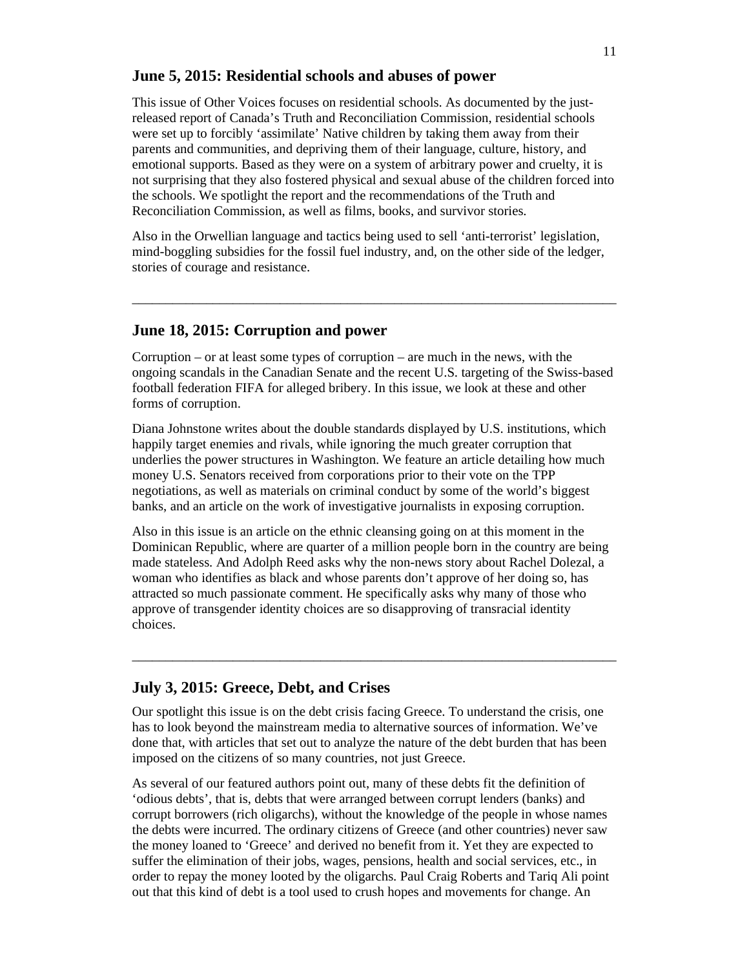### **June 5, 2015: Residential schools and abuses of power**

This issue of Other Voices focuses on residential schools. As documented by the justreleased report of Canada's Truth and Reconciliation Commission, residential schools were set up to forcibly 'assimilate' Native children by taking them away from their parents and communities, and depriving them of their language, culture, history, and emotional supports. Based as they were on a system of arbitrary power and cruelty, it is not surprising that they also fostered physical and sexual abuse of the children forced into the schools. We spotlight the report and the recommendations of the Truth and Reconciliation Commission, as well as films, books, and survivor stories.

Also in the Orwellian language and tactics being used to sell 'anti-terrorist' legislation, mind-boggling subsidies for the fossil fuel industry, and, on the other side of the ledger, stories of courage and resistance.

 $\_$  , and the set of the set of the set of the set of the set of the set of the set of the set of the set of the set of the set of the set of the set of the set of the set of the set of the set of the set of the set of th

# **June 18, 2015: Corruption and power**

Corruption – or at least some types of corruption – are much in the news, with the ongoing scandals in the Canadian Senate and the recent U.S. targeting of the Swiss-based football federation FIFA for alleged bribery. In this issue, we look at these and other forms of corruption.

Diana Johnstone writes about the double standards displayed by U.S. institutions, which happily target enemies and rivals, while ignoring the much greater corruption that underlies the power structures in Washington. We feature an article detailing how much money U.S. Senators received from corporations prior to their vote on the TPP negotiations, as well as materials on criminal conduct by some of the world's biggest banks, and an article on the work of investigative journalists in exposing corruption.

Also in this issue is an article on the ethnic cleansing going on at this moment in the Dominican Republic, where are quarter of a million people born in the country are being made stateless. And Adolph Reed asks why the non-news story about Rachel Dolezal, a woman who identifies as black and whose parents don't approve of her doing so, has attracted so much passionate comment. He specifically asks why many of those who approve of transgender identity choices are so disapproving of transracial identity choices.

 $\_$  , and the set of the set of the set of the set of the set of the set of the set of the set of the set of the set of the set of the set of the set of the set of the set of the set of the set of the set of the set of th

### **July 3, 2015: Greece, Debt, and Crises**

Our spotlight this issue is on the debt crisis facing Greece. To understand the crisis, one has to look beyond the mainstream media to alternative sources of information. We've done that, with articles that set out to analyze the nature of the debt burden that has been imposed on the citizens of so many countries, not just Greece.

As several of our featured authors point out, many of these debts fit the definition of 'odious debts', that is, debts that were arranged between corrupt lenders (banks) and corrupt borrowers (rich oligarchs), without the knowledge of the people in whose names the debts were incurred. The ordinary citizens of Greece (and other countries) never saw the money loaned to 'Greece' and derived no benefit from it. Yet they are expected to suffer the elimination of their jobs, wages, pensions, health and social services, etc., in order to repay the money looted by the oligarchs. Paul Craig Roberts and Tariq Ali point out that this kind of debt is a tool used to crush hopes and movements for change. An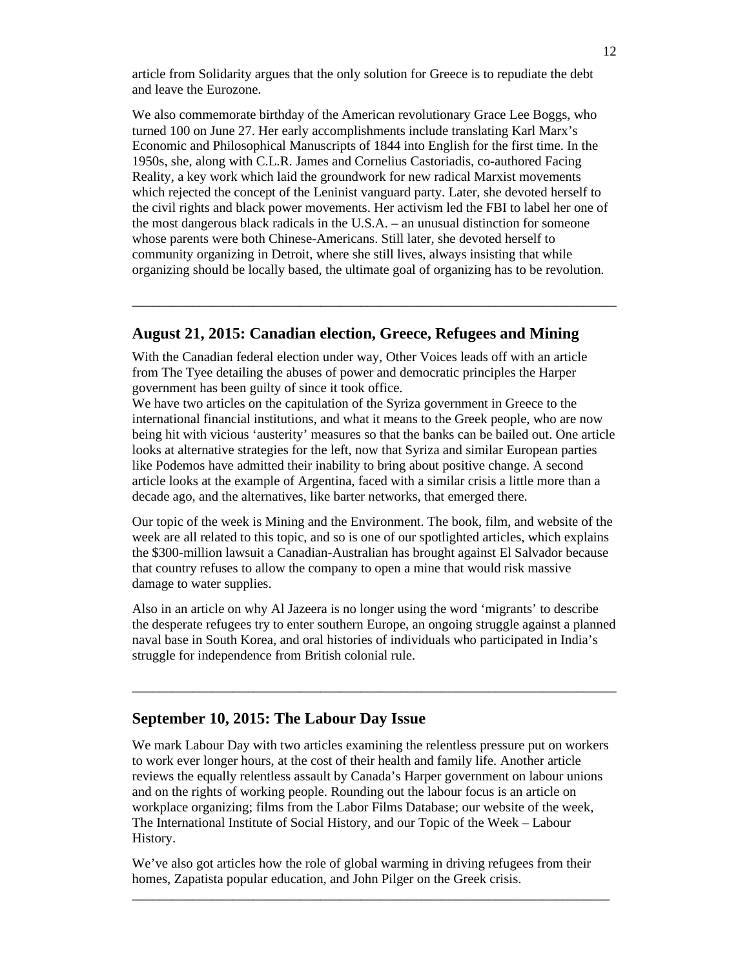article from Solidarity argues that the only solution for Greece is to repudiate the debt and leave the Eurozone.

We also commemorate birthday of the American revolutionary Grace Lee Boggs, who turned 100 on June 27. Her early accomplishments include translating Karl Marx's Economic and Philosophical Manuscripts of 1844 into English for the first time. In the 1950s, she, along with C.L.R. James and Cornelius Castoriadis, co-authored Facing Reality, a key work which laid the groundwork for new radical Marxist movements which rejected the concept of the Leninist vanguard party. Later, she devoted herself to the civil rights and black power movements. Her activism led the FBI to label her one of the most dangerous black radicals in the U.S.A. – an unusual distinction for someone whose parents were both Chinese-Americans. Still later, she devoted herself to community organizing in Detroit, where she still lives, always insisting that while organizing should be locally based, the ultimate goal of organizing has to be revolution.

### **August 21, 2015: Canadian election, Greece, Refugees and Mining**

\_\_\_\_\_\_\_\_\_\_\_\_\_\_\_\_\_\_\_\_\_\_\_\_\_\_\_\_\_\_\_\_\_\_\_\_\_\_\_\_\_\_\_\_\_\_\_\_\_\_\_\_\_\_\_\_\_\_\_\_\_\_\_\_\_\_\_\_\_\_\_\_

With the Canadian federal election under way, Other Voices leads off with an article from The Tyee detailing the abuses of power and democratic principles the Harper government has been guilty of since it took office.

We have two articles on the capitulation of the Syriza government in Greece to the international financial institutions, and what it means to the Greek people, who are now being hit with vicious 'austerity' measures so that the banks can be bailed out. One article looks at alternative strategies for the left, now that Syriza and similar European parties like Podemos have admitted their inability to bring about positive change. A second article looks at the example of Argentina, faced with a similar crisis a little more than a decade ago, and the alternatives, like barter networks, that emerged there.

Our topic of the week is Mining and the Environment. The book, film, and website of the week are all related to this topic, and so is one of our spotlighted articles, which explains the \$300-million lawsuit a Canadian-Australian has brought against El Salvador because that country refuses to allow the company to open a mine that would risk massive damage to water supplies.

Also in an article on why Al Jazeera is no longer using the word 'migrants' to describe the desperate refugees try to enter southern Europe, an ongoing struggle against a planned naval base in South Korea, and oral histories of individuals who participated in India's struggle for independence from British colonial rule.

 $\_$  , and the set of the set of the set of the set of the set of the set of the set of the set of the set of the set of the set of the set of the set of the set of the set of the set of the set of the set of the set of th

### **September 10, 2015: The Labour Day Issue**

We mark Labour Day with two articles examining the relentless pressure put on workers to work ever longer hours, at the cost of their health and family life. Another article reviews the equally relentless assault by Canada's Harper government on labour unions and on the rights of working people. Rounding out the labour focus is an article on workplace organizing; films from the Labor Films Database; our website of the week, The International Institute of Social History, and our Topic of the Week – Labour History.

We've also got articles how the role of global warming in driving refugees from their homes, Zapatista popular education, and John Pilger on the Greek crisis.

\_\_\_\_\_\_\_\_\_\_\_\_\_\_\_\_\_\_\_\_\_\_\_\_\_\_\_\_\_\_\_\_\_\_\_\_\_\_\_\_\_\_\_\_\_\_\_\_\_\_\_\_\_\_\_\_\_\_\_\_\_\_\_\_\_\_\_\_\_\_\_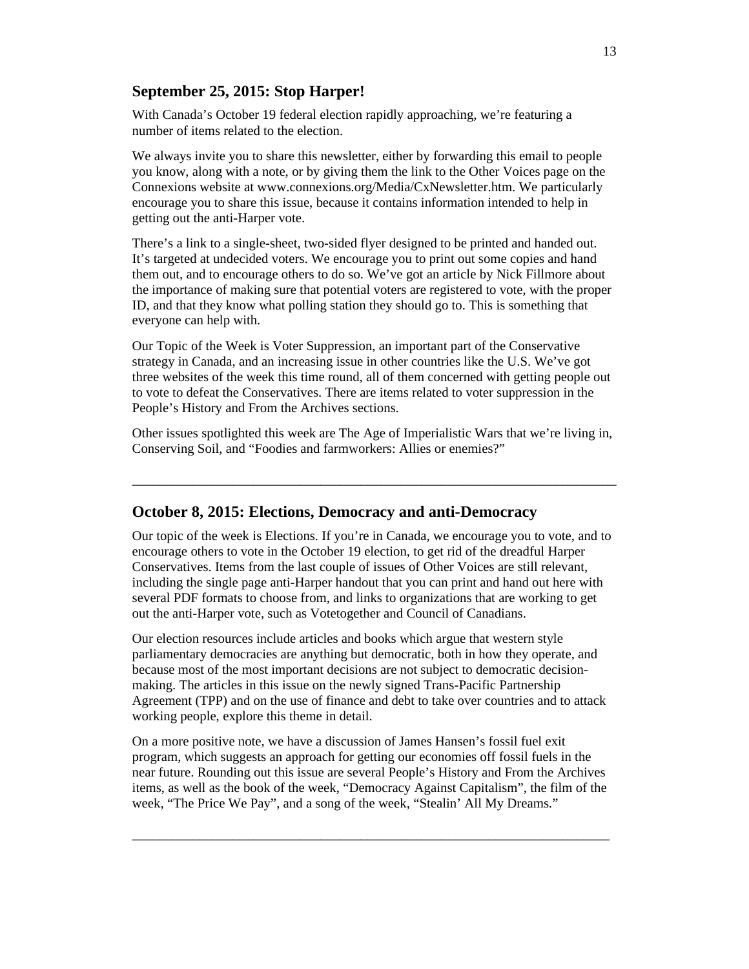# **September 25, 2015: Stop Harper!**

With Canada's October 19 federal election rapidly approaching, we're featuring a number of items related to the election.

We always invite you to share this newsletter, either by forwarding this email to people you know, along with a note, or by giving them the link to the Other Voices page on the Connexions website at www.connexions.org/Media/CxNewsletter.htm. We particularly encourage you to share this issue, because it contains information intended to help in getting out the anti-Harper vote.

There's a link to a single-sheet, two-sided flyer designed to be printed and handed out. It's targeted at undecided voters. We encourage you to print out some copies and hand them out, and to encourage others to do so. We've got an article by Nick Fillmore about the importance of making sure that potential voters are registered to vote, with the proper ID, and that they know what polling station they should go to. This is something that everyone can help with.

Our Topic of the Week is Voter Suppression, an important part of the Conservative strategy in Canada, and an increasing issue in other countries like the U.S. We've got three websites of the week this time round, all of them concerned with getting people out to vote to defeat the Conservatives. There are items related to voter suppression in the People's History and From the Archives sections.

Other issues spotlighted this week are The Age of Imperialistic Wars that we're living in, Conserving Soil, and "Foodies and farmworkers: Allies or enemies?"

 $\_$  , and the set of the set of the set of the set of the set of the set of the set of the set of the set of the set of the set of the set of the set of the set of the set of the set of the set of the set of the set of th

# **October 8, 2015: Elections, Democracy and anti-Democracy**

Our topic of the week is Elections. If you're in Canada, we encourage you to vote, and to encourage others to vote in the October 19 election, to get rid of the dreadful Harper Conservatives. Items from the last couple of issues of Other Voices are still relevant, including the single page anti-Harper handout that you can print and hand out here with several PDF formats to choose from, and links to organizations that are working to get out the anti-Harper vote, such as Votetogether and Council of Canadians.

Our election resources include articles and books which argue that western style parliamentary democracies are anything but democratic, both in how they operate, and because most of the most important decisions are not subject to democratic decisionmaking. The articles in this issue on the newly signed Trans-Pacific Partnership Agreement (TPP) and on the use of finance and debt to take over countries and to attack working people, explore this theme in detail.

On a more positive note, we have a discussion of James Hansen's fossil fuel exit program, which suggests an approach for getting our economies off fossil fuels in the near future. Rounding out this issue are several People's History and From the Archives items, as well as the book of the week, "Democracy Against Capitalism", the film of the week, "The Price We Pay", and a song of the week, "Stealin' All My Dreams."

\_\_\_\_\_\_\_\_\_\_\_\_\_\_\_\_\_\_\_\_\_\_\_\_\_\_\_\_\_\_\_\_\_\_\_\_\_\_\_\_\_\_\_\_\_\_\_\_\_\_\_\_\_\_\_\_\_\_\_\_\_\_\_\_\_\_\_\_\_\_\_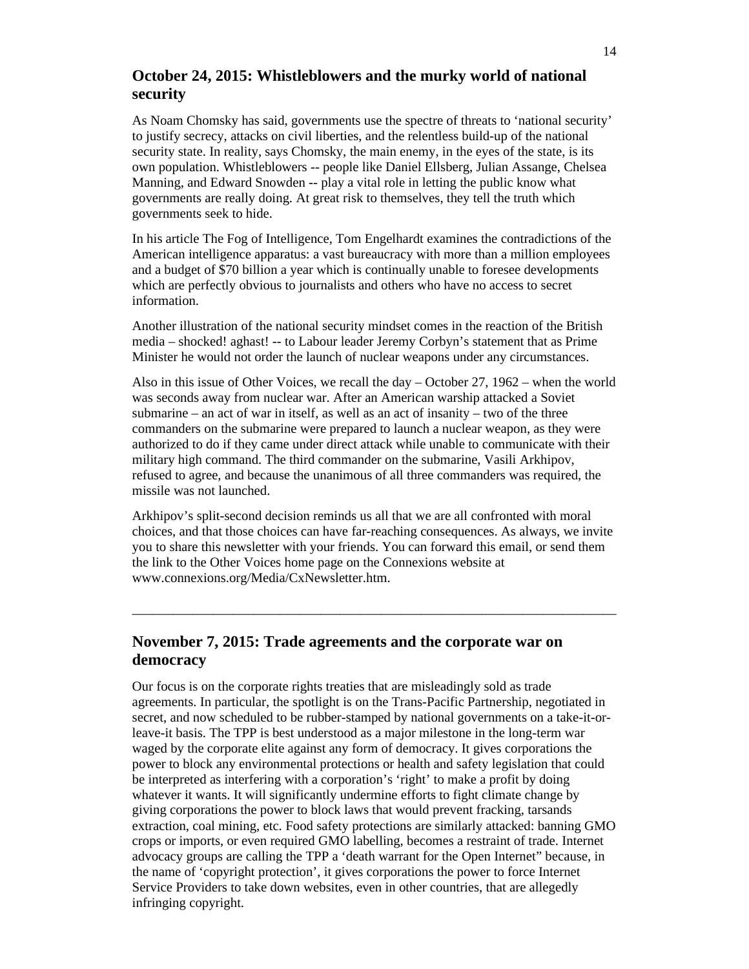# **October 24, 2015: Whistleblowers and the murky world of national security**

As Noam Chomsky has said, governments use the spectre of threats to 'national security' to justify secrecy, attacks on civil liberties, and the relentless build-up of the national security state. In reality, says Chomsky, the main enemy, in the eyes of the state, is its own population. Whistleblowers -- people like Daniel Ellsberg, Julian Assange, Chelsea Manning, and Edward Snowden -- play a vital role in letting the public know what governments are really doing. At great risk to themselves, they tell the truth which governments seek to hide.

In his article The Fog of Intelligence, Tom Engelhardt examines the contradictions of the American intelligence apparatus: a vast bureaucracy with more than a million employees and a budget of \$70 billion a year which is continually unable to foresee developments which are perfectly obvious to journalists and others who have no access to secret information.

Another illustration of the national security mindset comes in the reaction of the British media – shocked! aghast! -- to Labour leader Jeremy Corbyn's statement that as Prime Minister he would not order the launch of nuclear weapons under any circumstances.

Also in this issue of Other Voices, we recall the day – October 27, 1962 – when the world was seconds away from nuclear war. After an American warship attacked a Soviet submarine – an act of war in itself, as well as an act of insanity – two of the three commanders on the submarine were prepared to launch a nuclear weapon, as they were authorized to do if they came under direct attack while unable to communicate with their military high command. The third commander on the submarine, Vasili Arkhipov, refused to agree, and because the unanimous of all three commanders was required, the missile was not launched.

Arkhipov's split-second decision reminds us all that we are all confronted with moral choices, and that those choices can have far-reaching consequences. As always, we invite you to share this newsletter with your friends. You can forward this email, or send them the link to the Other Voices home page on the Connexions website at www.connexions.org/Media/CxNewsletter.htm.

 $\_$  , and the set of the set of the set of the set of the set of the set of the set of the set of the set of the set of the set of the set of the set of the set of the set of the set of the set of the set of the set of th

# **November 7, 2015: Trade agreements and the corporate war on democracy**

Our focus is on the corporate rights treaties that are misleadingly sold as trade agreements. In particular, the spotlight is on the Trans-Pacific Partnership, negotiated in secret, and now scheduled to be rubber-stamped by national governments on a take-it-orleave-it basis. The TPP is best understood as a major milestone in the long-term war waged by the corporate elite against any form of democracy. It gives corporations the power to block any environmental protections or health and safety legislation that could be interpreted as interfering with a corporation's 'right' to make a profit by doing whatever it wants. It will significantly undermine efforts to fight climate change by giving corporations the power to block laws that would prevent fracking, tarsands extraction, coal mining, etc. Food safety protections are similarly attacked: banning GMO crops or imports, or even required GMO labelling, becomes a restraint of trade. Internet advocacy groups are calling the TPP a 'death warrant for the Open Internet" because, in the name of 'copyright protection', it gives corporations the power to force Internet Service Providers to take down websites, even in other countries, that are allegedly infringing copyright.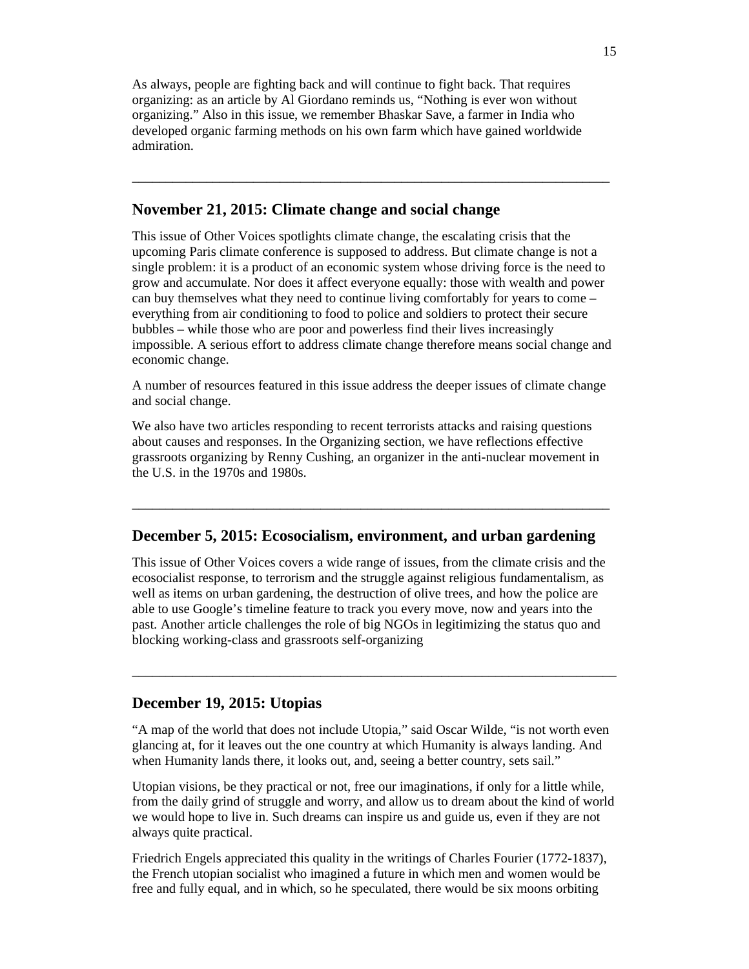As always, people are fighting back and will continue to fight back. That requires organizing: as an article by Al Giordano reminds us, "Nothing is ever won without organizing." Also in this issue, we remember Bhaskar Save, a farmer in India who developed organic farming methods on his own farm which have gained worldwide admiration.

### **November 21, 2015: Climate change and social change**

This issue of Other Voices spotlights climate change, the escalating crisis that the upcoming Paris climate conference is supposed to address. But climate change is not a single problem: it is a product of an economic system whose driving force is the need to grow and accumulate. Nor does it affect everyone equally: those with wealth and power can buy themselves what they need to continue living comfortably for years to come – everything from air conditioning to food to police and soldiers to protect their secure bubbles – while those who are poor and powerless find their lives increasingly impossible. A serious effort to address climate change therefore means social change and economic change.

\_\_\_\_\_\_\_\_\_\_\_\_\_\_\_\_\_\_\_\_\_\_\_\_\_\_\_\_\_\_\_\_\_\_\_\_\_\_\_\_\_\_\_\_\_\_\_\_\_\_\_\_\_\_\_\_\_\_\_\_\_\_\_\_\_\_\_\_\_\_\_

A number of resources featured in this issue address the deeper issues of climate change and social change.

We also have two articles responding to recent terrorists attacks and raising questions about causes and responses. In the Organizing section, we have reflections effective grassroots organizing by Renny Cushing, an organizer in the anti-nuclear movement in the U.S. in the 1970s and 1980s.

### **December 5, 2015: Ecosocialism, environment, and urban gardening**

\_\_\_\_\_\_\_\_\_\_\_\_\_\_\_\_\_\_\_\_\_\_\_\_\_\_\_\_\_\_\_\_\_\_\_\_\_\_\_\_\_\_\_\_\_\_\_\_\_\_\_\_\_\_\_\_\_\_\_\_\_\_\_\_\_\_\_\_\_\_\_

This issue of Other Voices covers a wide range of issues, from the climate crisis and the ecosocialist response, to terrorism and the struggle against religious fundamentalism, as well as items on urban gardening, the destruction of olive trees, and how the police are able to use Google's timeline feature to track you every move, now and years into the past. Another article challenges the role of big NGOs in legitimizing the status quo and blocking working-class and grassroots self-organizing

### **December 19, 2015: Utopias**

"A map of the world that does not include Utopia," said Oscar Wilde, "is not worth even glancing at, for it leaves out the one country at which Humanity is always landing. And when Humanity lands there, it looks out, and, seeing a better country, sets sail."

 $\_$  , and the set of the set of the set of the set of the set of the set of the set of the set of the set of the set of the set of the set of the set of the set of the set of the set of the set of the set of the set of th

Utopian visions, be they practical or not, free our imaginations, if only for a little while, from the daily grind of struggle and worry, and allow us to dream about the kind of world we would hope to live in. Such dreams can inspire us and guide us, even if they are not always quite practical.

Friedrich Engels appreciated this quality in the writings of Charles Fourier (1772-1837), the French utopian socialist who imagined a future in which men and women would be free and fully equal, and in which, so he speculated, there would be six moons orbiting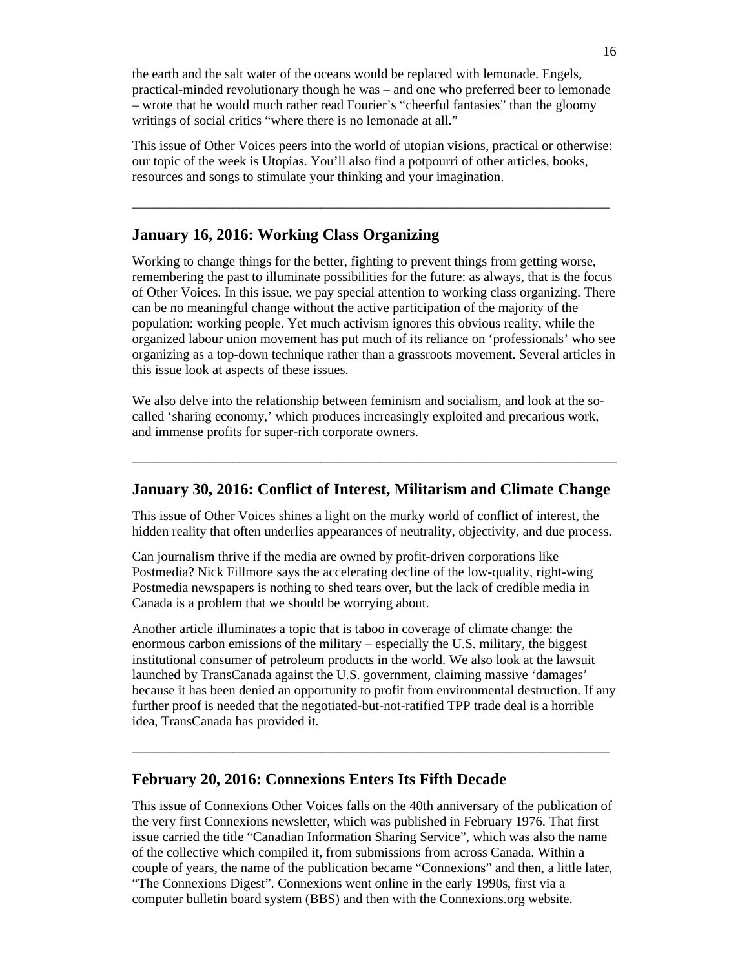the earth and the salt water of the oceans would be replaced with lemonade. Engels, practical-minded revolutionary though he was – and one who preferred beer to lemonade – wrote that he would much rather read Fourier's "cheerful fantasies" than the gloomy writings of social critics "where there is no lemonade at all."

This issue of Other Voices peers into the world of utopian visions, practical or otherwise: our topic of the week is Utopias. You'll also find a potpourri of other articles, books, resources and songs to stimulate your thinking and your imagination.

\_\_\_\_\_\_\_\_\_\_\_\_\_\_\_\_\_\_\_\_\_\_\_\_\_\_\_\_\_\_\_\_\_\_\_\_\_\_\_\_\_\_\_\_\_\_\_\_\_\_\_\_\_\_\_\_\_\_\_\_\_\_\_\_\_\_\_\_\_\_\_

### **January 16, 2016: Working Class Organizing**

Working to change things for the better, fighting to prevent things from getting worse, remembering the past to illuminate possibilities for the future: as always, that is the focus of Other Voices. In this issue, we pay special attention to working class organizing. There can be no meaningful change without the active participation of the majority of the population: working people. Yet much activism ignores this obvious reality, while the organized labour union movement has put much of its reliance on 'professionals' who see organizing as a top-down technique rather than a grassroots movement. Several articles in this issue look at aspects of these issues.

We also delve into the relationship between feminism and socialism, and look at the socalled 'sharing economy,' which produces increasingly exploited and precarious work, and immense profits for super-rich corporate owners.

### **January 30, 2016: Conflict of Interest, Militarism and Climate Change**

 $\_$  , and the set of the set of the set of the set of the set of the set of the set of the set of the set of the set of the set of the set of the set of the set of the set of the set of the set of the set of the set of th

This issue of Other Voices shines a light on the murky world of conflict of interest, the hidden reality that often underlies appearances of neutrality, objectivity, and due process.

Can journalism thrive if the media are owned by profit-driven corporations like Postmedia? Nick Fillmore says the accelerating decline of the low-quality, right-wing Postmedia newspapers is nothing to shed tears over, but the lack of credible media in Canada is a problem that we should be worrying about.

Another article illuminates a topic that is taboo in coverage of climate change: the enormous carbon emissions of the military – especially the U.S. military, the biggest institutional consumer of petroleum products in the world. We also look at the lawsuit launched by TransCanada against the U.S. government, claiming massive 'damages' because it has been denied an opportunity to profit from environmental destruction. If any further proof is needed that the negotiated-but-not-ratified TPP trade deal is a horrible idea, TransCanada has provided it.

 $\_$  , and the set of the set of the set of the set of the set of the set of the set of the set of the set of the set of the set of the set of the set of the set of the set of the set of the set of the set of the set of th

#### **February 20, 2016: Connexions Enters Its Fifth Decade**

This issue of Connexions Other Voices falls on the 40th anniversary of the publication of the very first Connexions newsletter, which was published in February 1976. That first issue carried the title "Canadian Information Sharing Service", which was also the name of the collective which compiled it, from submissions from across Canada. Within a couple of years, the name of the publication became "Connexions" and then, a little later, "The Connexions Digest". Connexions went online in the early 1990s, first via a computer bulletin board system (BBS) and then with the Connexions.org website.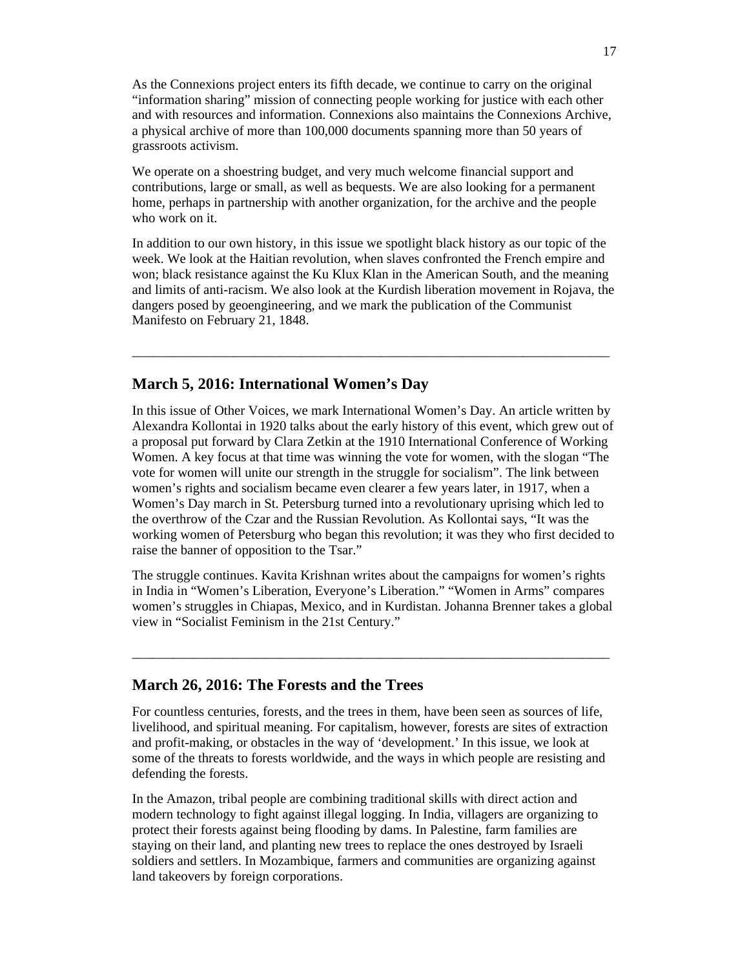As the Connexions project enters its fifth decade, we continue to carry on the original "information sharing" mission of connecting people working for justice with each other and with resources and information. Connexions also maintains the Connexions Archive, a physical archive of more than 100,000 documents spanning more than 50 years of grassroots activism.

We operate on a shoestring budget, and very much welcome financial support and contributions, large or small, as well as bequests. We are also looking for a permanent home, perhaps in partnership with another organization, for the archive and the people who work on it.

In addition to our own history, in this issue we spotlight black history as our topic of the week. We look at the Haitian revolution, when slaves confronted the French empire and won; black resistance against the Ku Klux Klan in the American South, and the meaning and limits of anti-racism. We also look at the Kurdish liberation movement in Rojava, the dangers posed by geoengineering, and we mark the publication of the Communist Manifesto on February 21, 1848.

\_\_\_\_\_\_\_\_\_\_\_\_\_\_\_\_\_\_\_\_\_\_\_\_\_\_\_\_\_\_\_\_\_\_\_\_\_\_\_\_\_\_\_\_\_\_\_\_\_\_\_\_\_\_\_\_\_\_\_\_\_\_\_\_\_\_\_\_\_\_\_

### **March 5, 2016: International Women's Day**

In this issue of Other Voices, we mark International Women's Day. An article written by Alexandra Kollontai in 1920 talks about the early history of this event, which grew out of a proposal put forward by Clara Zetkin at the 1910 International Conference of Working Women. A key focus at that time was winning the vote for women, with the slogan "The vote for women will unite our strength in the struggle for socialism". The link between women's rights and socialism became even clearer a few years later, in 1917, when a Women's Day march in St. Petersburg turned into a revolutionary uprising which led to the overthrow of the Czar and the Russian Revolution. As Kollontai says, "It was the working women of Petersburg who began this revolution; it was they who first decided to raise the banner of opposition to the Tsar."

The struggle continues. Kavita Krishnan writes about the campaigns for women's rights in India in "Women's Liberation, Everyone's Liberation." "Women in Arms" compares women's struggles in Chiapas, Mexico, and in Kurdistan. Johanna Brenner takes a global view in "Socialist Feminism in the 21st Century."

\_\_\_\_\_\_\_\_\_\_\_\_\_\_\_\_\_\_\_\_\_\_\_\_\_\_\_\_\_\_\_\_\_\_\_\_\_\_\_\_\_\_\_\_\_\_\_\_\_\_\_\_\_\_\_\_\_\_\_\_\_\_\_\_\_\_\_\_\_\_\_

### **March 26, 2016: The Forests and the Trees**

For countless centuries, forests, and the trees in them, have been seen as sources of life, livelihood, and spiritual meaning. For capitalism, however, forests are sites of extraction and profit-making, or obstacles in the way of 'development.' In this issue, we look at some of the threats to forests worldwide, and the ways in which people are resisting and defending the forests.

In the Amazon, tribal people are combining traditional skills with direct action and modern technology to fight against illegal logging. In India, villagers are organizing to protect their forests against being flooding by dams. In Palestine, farm families are staying on their land, and planting new trees to replace the ones destroyed by Israeli soldiers and settlers. In Mozambique, farmers and communities are organizing against land takeovers by foreign corporations.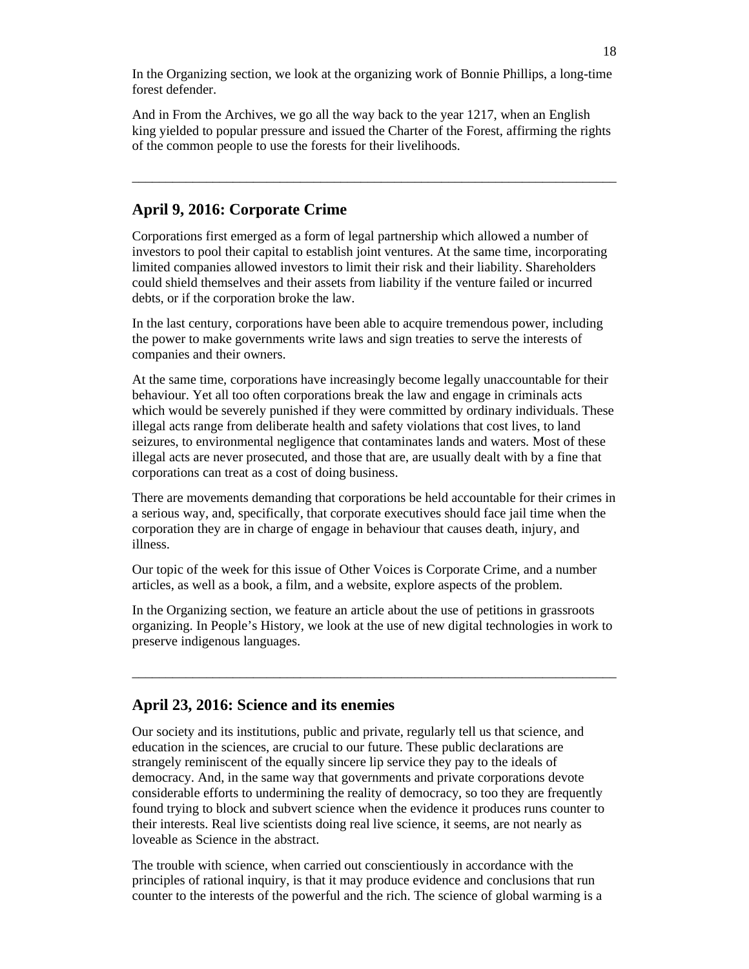In the Organizing section, we look at the organizing work of Bonnie Phillips, a long-time forest defender.

And in From the Archives, we go all the way back to the year 1217, when an English king yielded to popular pressure and issued the Charter of the Forest, affirming the rights of the common people to use the forests for their livelihoods.

\_\_\_\_\_\_\_\_\_\_\_\_\_\_\_\_\_\_\_\_\_\_\_\_\_\_\_\_\_\_\_\_\_\_\_\_\_\_\_\_\_\_\_\_\_\_\_\_\_\_\_\_\_\_\_\_\_\_\_\_\_\_\_\_\_\_\_\_\_\_\_\_

### **April 9, 2016: Corporate Crime**

Corporations first emerged as a form of legal partnership which allowed a number of investors to pool their capital to establish joint ventures. At the same time, incorporating limited companies allowed investors to limit their risk and their liability. Shareholders could shield themselves and their assets from liability if the venture failed or incurred debts, or if the corporation broke the law.

In the last century, corporations have been able to acquire tremendous power, including the power to make governments write laws and sign treaties to serve the interests of companies and their owners.

At the same time, corporations have increasingly become legally unaccountable for their behaviour. Yet all too often corporations break the law and engage in criminals acts which would be severely punished if they were committed by ordinary individuals. These illegal acts range from deliberate health and safety violations that cost lives, to land seizures, to environmental negligence that contaminates lands and waters. Most of these illegal acts are never prosecuted, and those that are, are usually dealt with by a fine that corporations can treat as a cost of doing business.

There are movements demanding that corporations be held accountable for their crimes in a serious way, and, specifically, that corporate executives should face jail time when the corporation they are in charge of engage in behaviour that causes death, injury, and illness.

Our topic of the week for this issue of Other Voices is Corporate Crime, and a number articles, as well as a book, a film, and a website, explore aspects of the problem.

In the Organizing section, we feature an article about the use of petitions in grassroots organizing. In People's History, we look at the use of new digital technologies in work to preserve indigenous languages.

 $\_$  , and the set of the set of the set of the set of the set of the set of the set of the set of the set of the set of the set of the set of the set of the set of the set of the set of the set of the set of the set of th

### **April 23, 2016: Science and its enemies**

Our society and its institutions, public and private, regularly tell us that science, and education in the sciences, are crucial to our future. These public declarations are strangely reminiscent of the equally sincere lip service they pay to the ideals of democracy. And, in the same way that governments and private corporations devote considerable efforts to undermining the reality of democracy, so too they are frequently found trying to block and subvert science when the evidence it produces runs counter to their interests. Real live scientists doing real live science, it seems, are not nearly as loveable as Science in the abstract.

The trouble with science, when carried out conscientiously in accordance with the principles of rational inquiry, is that it may produce evidence and conclusions that run counter to the interests of the powerful and the rich. The science of global warming is a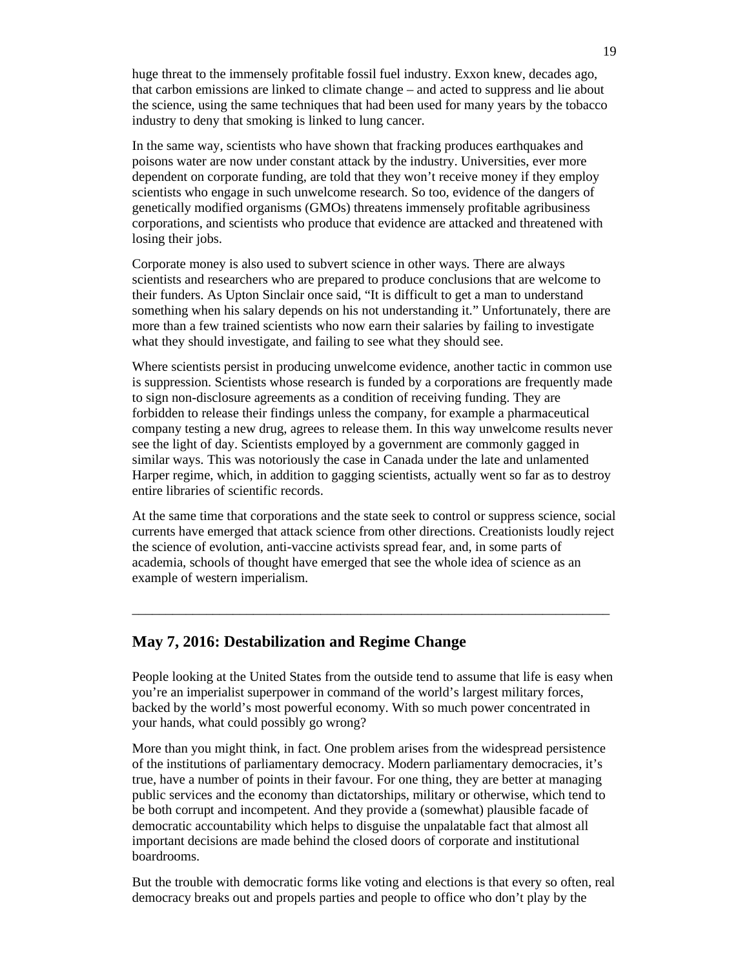huge threat to the immensely profitable fossil fuel industry. Exxon knew, decades ago, that carbon emissions are linked to climate change – and acted to suppress and lie about the science, using the same techniques that had been used for many years by the tobacco industry to deny that smoking is linked to lung cancer.

In the same way, scientists who have shown that fracking produces earthquakes and poisons water are now under constant attack by the industry. Universities, ever more dependent on corporate funding, are told that they won't receive money if they employ scientists who engage in such unwelcome research. So too, evidence of the dangers of genetically modified organisms (GMOs) threatens immensely profitable agribusiness corporations, and scientists who produce that evidence are attacked and threatened with losing their jobs.

Corporate money is also used to subvert science in other ways. There are always scientists and researchers who are prepared to produce conclusions that are welcome to their funders. As Upton Sinclair once said, "It is difficult to get a man to understand something when his salary depends on his not understanding it." Unfortunately, there are more than a few trained scientists who now earn their salaries by failing to investigate what they should investigate, and failing to see what they should see.

Where scientists persist in producing unwelcome evidence, another tactic in common use is suppression. Scientists whose research is funded by a corporations are frequently made to sign non-disclosure agreements as a condition of receiving funding. They are forbidden to release their findings unless the company, for example a pharmaceutical company testing a new drug, agrees to release them. In this way unwelcome results never see the light of day. Scientists employed by a government are commonly gagged in similar ways. This was notoriously the case in Canada under the late and unlamented Harper regime, which, in addition to gagging scientists, actually went so far as to destroy entire libraries of scientific records.

At the same time that corporations and the state seek to control or suppress science, social currents have emerged that attack science from other directions. Creationists loudly reject the science of evolution, anti-vaccine activists spread fear, and, in some parts of academia, schools of thought have emerged that see the whole idea of science as an example of western imperialism.

\_\_\_\_\_\_\_\_\_\_\_\_\_\_\_\_\_\_\_\_\_\_\_\_\_\_\_\_\_\_\_\_\_\_\_\_\_\_\_\_\_\_\_\_\_\_\_\_\_\_\_\_\_\_\_\_\_\_\_\_\_\_\_\_\_\_\_\_\_\_\_

# **May 7, 2016: Destabilization and Regime Change**

People looking at the United States from the outside tend to assume that life is easy when you're an imperialist superpower in command of the world's largest military forces, backed by the world's most powerful economy. With so much power concentrated in your hands, what could possibly go wrong?

More than you might think, in fact. One problem arises from the widespread persistence of the institutions of parliamentary democracy. Modern parliamentary democracies, it's true, have a number of points in their favour. For one thing, they are better at managing public services and the economy than dictatorships, military or otherwise, which tend to be both corrupt and incompetent. And they provide a (somewhat) plausible facade of democratic accountability which helps to disguise the unpalatable fact that almost all important decisions are made behind the closed doors of corporate and institutional boardrooms.

But the trouble with democratic forms like voting and elections is that every so often, real democracy breaks out and propels parties and people to office who don't play by the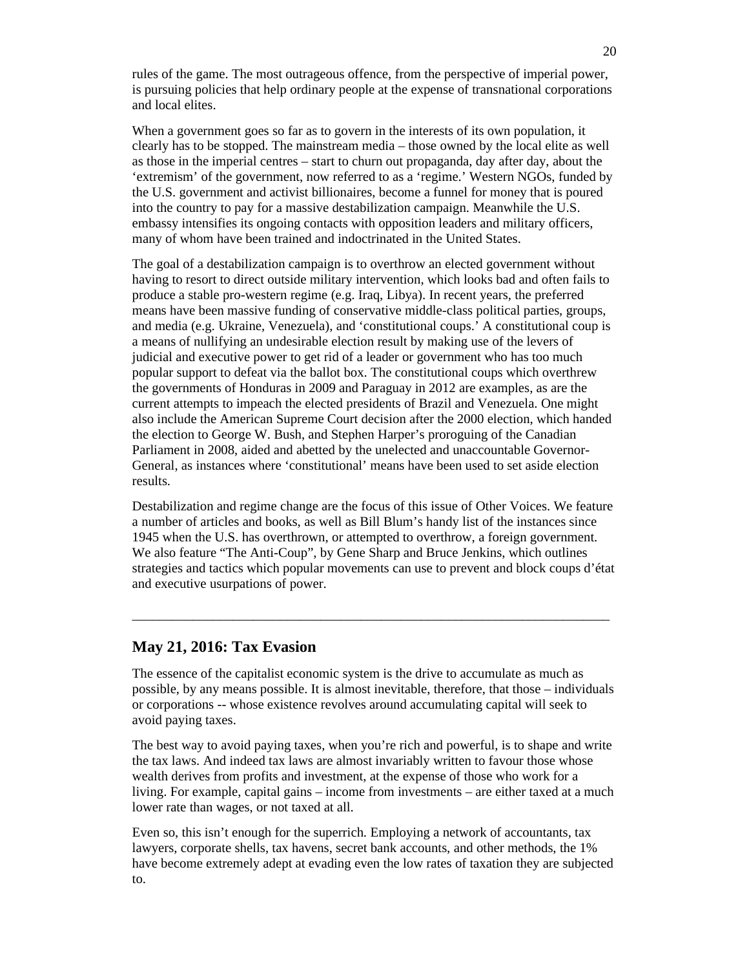rules of the game. The most outrageous offence, from the perspective of imperial power, is pursuing policies that help ordinary people at the expense of transnational corporations and local elites.

When a government goes so far as to govern in the interests of its own population, it clearly has to be stopped. The mainstream media – those owned by the local elite as well as those in the imperial centres – start to churn out propaganda, day after day, about the 'extremism' of the government, now referred to as a 'regime.' Western NGOs, funded by the U.S. government and activist billionaires, become a funnel for money that is poured into the country to pay for a massive destabilization campaign. Meanwhile the U.S. embassy intensifies its ongoing contacts with opposition leaders and military officers, many of whom have been trained and indoctrinated in the United States.

The goal of a destabilization campaign is to overthrow an elected government without having to resort to direct outside military intervention, which looks bad and often fails to produce a stable pro-western regime (e.g. Iraq, Libya). In recent years, the preferred means have been massive funding of conservative middle-class political parties, groups, and media (e.g. Ukraine, Venezuela), and 'constitutional coups.' A constitutional coup is a means of nullifying an undesirable election result by making use of the levers of judicial and executive power to get rid of a leader or government who has too much popular support to defeat via the ballot box. The constitutional coups which overthrew the governments of Honduras in 2009 and Paraguay in 2012 are examples, as are the current attempts to impeach the elected presidents of Brazil and Venezuela. One might also include the American Supreme Court decision after the 2000 election, which handed the election to George W. Bush, and Stephen Harper's proroguing of the Canadian Parliament in 2008, aided and abetted by the unelected and unaccountable Governor-General, as instances where 'constitutional' means have been used to set aside election results.

Destabilization and regime change are the focus of this issue of Other Voices. We feature a number of articles and books, as well as Bill Blum's handy list of the instances since 1945 when the U.S. has overthrown, or attempted to overthrow, a foreign government. We also feature "The Anti-Coup", by Gene Sharp and Bruce Jenkins, which outlines strategies and tactics which popular movements can use to prevent and block coups d'état and executive usurpations of power.

\_\_\_\_\_\_\_\_\_\_\_\_\_\_\_\_\_\_\_\_\_\_\_\_\_\_\_\_\_\_\_\_\_\_\_\_\_\_\_\_\_\_\_\_\_\_\_\_\_\_\_\_\_\_\_\_\_\_\_\_\_\_\_\_\_\_\_\_\_\_\_

### **May 21, 2016: Tax Evasion**

The essence of the capitalist economic system is the drive to accumulate as much as possible, by any means possible. It is almost inevitable, therefore, that those – individuals or corporations -- whose existence revolves around accumulating capital will seek to avoid paying taxes.

The best way to avoid paying taxes, when you're rich and powerful, is to shape and write the tax laws. And indeed tax laws are almost invariably written to favour those whose wealth derives from profits and investment, at the expense of those who work for a living. For example, capital gains – income from investments – are either taxed at a much lower rate than wages, or not taxed at all.

Even so, this isn't enough for the superrich. Employing a network of accountants, tax lawyers, corporate shells, tax havens, secret bank accounts, and other methods, the 1% have become extremely adept at evading even the low rates of taxation they are subjected to.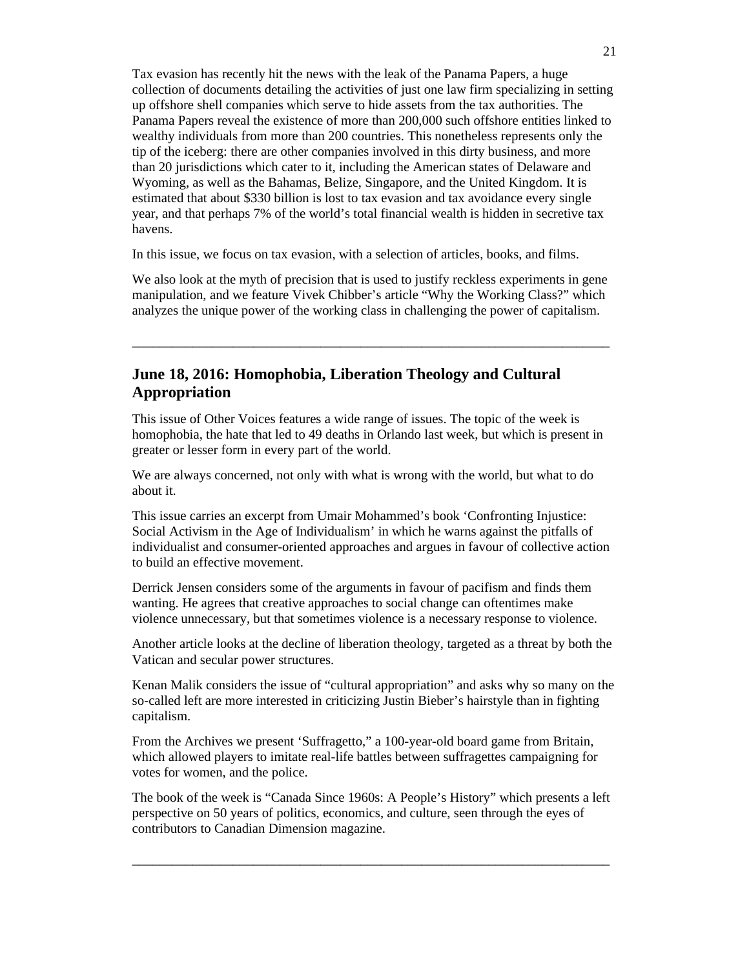Tax evasion has recently hit the news with the leak of the Panama Papers, a huge collection of documents detailing the activities of just one law firm specializing in setting up offshore shell companies which serve to hide assets from the tax authorities. The Panama Papers reveal the existence of more than 200,000 such offshore entities linked to wealthy individuals from more than 200 countries. This nonetheless represents only the tip of the iceberg: there are other companies involved in this dirty business, and more than 20 jurisdictions which cater to it, including the American states of Delaware and Wyoming, as well as the Bahamas, Belize, Singapore, and the United Kingdom. It is estimated that about \$330 billion is lost to tax evasion and tax avoidance every single year, and that perhaps 7% of the world's total financial wealth is hidden in secretive tax havens.

In this issue, we focus on tax evasion, with a selection of articles, books, and films.

We also look at the myth of precision that is used to justify reckless experiments in gene manipulation, and we feature Vivek Chibber's article "Why the Working Class?" which analyzes the unique power of the working class in challenging the power of capitalism.

\_\_\_\_\_\_\_\_\_\_\_\_\_\_\_\_\_\_\_\_\_\_\_\_\_\_\_\_\_\_\_\_\_\_\_\_\_\_\_\_\_\_\_\_\_\_\_\_\_\_\_\_\_\_\_\_\_\_\_\_\_\_\_\_\_\_\_\_\_\_\_

# **June 18, 2016: Homophobia, Liberation Theology and Cultural Appropriation**

This issue of Other Voices features a wide range of issues. The topic of the week is homophobia, the hate that led to 49 deaths in Orlando last week, but which is present in greater or lesser form in every part of the world.

We are always concerned, not only with what is wrong with the world, but what to do about it.

This issue carries an excerpt from Umair Mohammed's book 'Confronting Injustice: Social Activism in the Age of Individualism' in which he warns against the pitfalls of individualist and consumer-oriented approaches and argues in favour of collective action to build an effective movement.

Derrick Jensen considers some of the arguments in favour of pacifism and finds them wanting. He agrees that creative approaches to social change can oftentimes make violence unnecessary, but that sometimes violence is a necessary response to violence.

Another article looks at the decline of liberation theology, targeted as a threat by both the Vatican and secular power structures.

Kenan Malik considers the issue of "cultural appropriation" and asks why so many on the so-called left are more interested in criticizing Justin Bieber's hairstyle than in fighting capitalism.

From the Archives we present 'Suffragetto," a 100-year-old board game from Britain, which allowed players to imitate real-life battles between suffragettes campaigning for votes for women, and the police.

The book of the week is "Canada Since 1960s: A People's History" which presents a left perspective on 50 years of politics, economics, and culture, seen through the eyes of contributors to Canadian Dimension magazine.

\_\_\_\_\_\_\_\_\_\_\_\_\_\_\_\_\_\_\_\_\_\_\_\_\_\_\_\_\_\_\_\_\_\_\_\_\_\_\_\_\_\_\_\_\_\_\_\_\_\_\_\_\_\_\_\_\_\_\_\_\_\_\_\_\_\_\_\_\_\_\_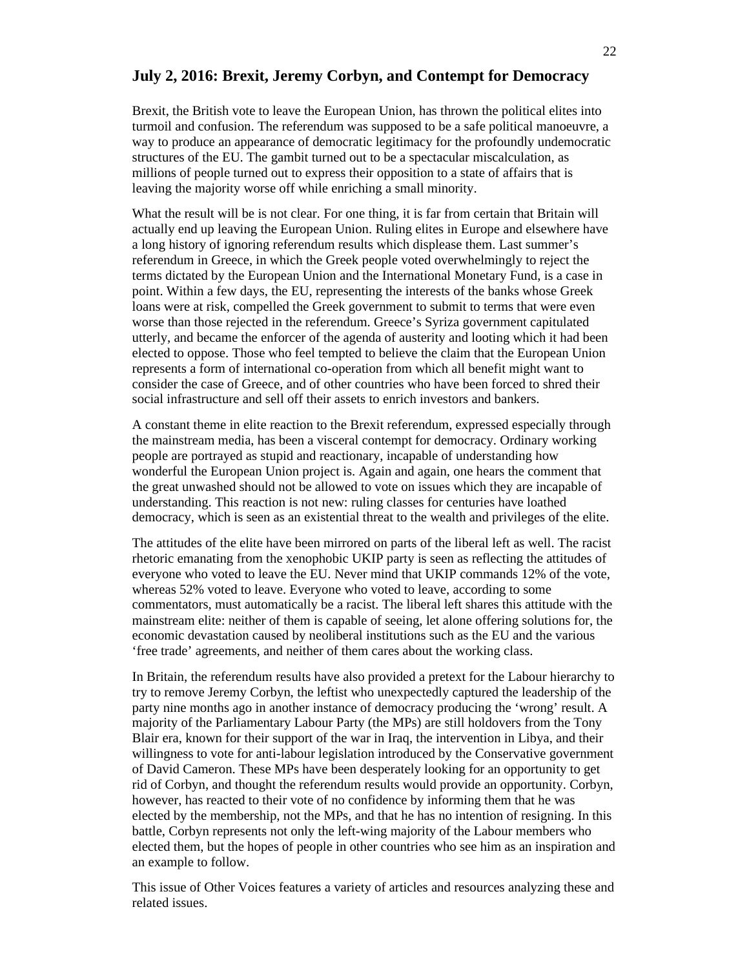# **July 2, 2016: Brexit, Jeremy Corbyn, and Contempt for Democracy**

Brexit, the British vote to leave the European Union, has thrown the political elites into turmoil and confusion. The referendum was supposed to be a safe political manoeuvre, a way to produce an appearance of democratic legitimacy for the profoundly undemocratic structures of the EU. The gambit turned out to be a spectacular miscalculation, as millions of people turned out to express their opposition to a state of affairs that is leaving the majority worse off while enriching a small minority.

What the result will be is not clear. For one thing, it is far from certain that Britain will actually end up leaving the European Union. Ruling elites in Europe and elsewhere have a long history of ignoring referendum results which displease them. Last summer's referendum in Greece, in which the Greek people voted overwhelmingly to reject the terms dictated by the European Union and the International Monetary Fund, is a case in point. Within a few days, the EU, representing the interests of the banks whose Greek loans were at risk, compelled the Greek government to submit to terms that were even worse than those rejected in the referendum. Greece's Syriza government capitulated utterly, and became the enforcer of the agenda of austerity and looting which it had been elected to oppose. Those who feel tempted to believe the claim that the European Union represents a form of international co-operation from which all benefit might want to consider the case of Greece, and of other countries who have been forced to shred their social infrastructure and sell off their assets to enrich investors and bankers.

A constant theme in elite reaction to the Brexit referendum, expressed especially through the mainstream media, has been a visceral contempt for democracy. Ordinary working people are portrayed as stupid and reactionary, incapable of understanding how wonderful the European Union project is. Again and again, one hears the comment that the great unwashed should not be allowed to vote on issues which they are incapable of understanding. This reaction is not new: ruling classes for centuries have loathed democracy, which is seen as an existential threat to the wealth and privileges of the elite.

The attitudes of the elite have been mirrored on parts of the liberal left as well. The racist rhetoric emanating from the xenophobic UKIP party is seen as reflecting the attitudes of everyone who voted to leave the EU. Never mind that UKIP commands 12% of the vote, whereas 52% voted to leave. Everyone who voted to leave, according to some commentators, must automatically be a racist. The liberal left shares this attitude with the mainstream elite: neither of them is capable of seeing, let alone offering solutions for, the economic devastation caused by neoliberal institutions such as the EU and the various 'free trade' agreements, and neither of them cares about the working class.

In Britain, the referendum results have also provided a pretext for the Labour hierarchy to try to remove Jeremy Corbyn, the leftist who unexpectedly captured the leadership of the party nine months ago in another instance of democracy producing the 'wrong' result. A majority of the Parliamentary Labour Party (the MPs) are still holdovers from the Tony Blair era, known for their support of the war in Iraq, the intervention in Libya, and their willingness to vote for anti-labour legislation introduced by the Conservative government of David Cameron. These MPs have been desperately looking for an opportunity to get rid of Corbyn, and thought the referendum results would provide an opportunity. Corbyn, however, has reacted to their vote of no confidence by informing them that he was elected by the membership, not the MPs, and that he has no intention of resigning. In this battle, Corbyn represents not only the left-wing majority of the Labour members who elected them, but the hopes of people in other countries who see him as an inspiration and an example to follow.

This issue of Other Voices features a variety of articles and resources analyzing these and related issues.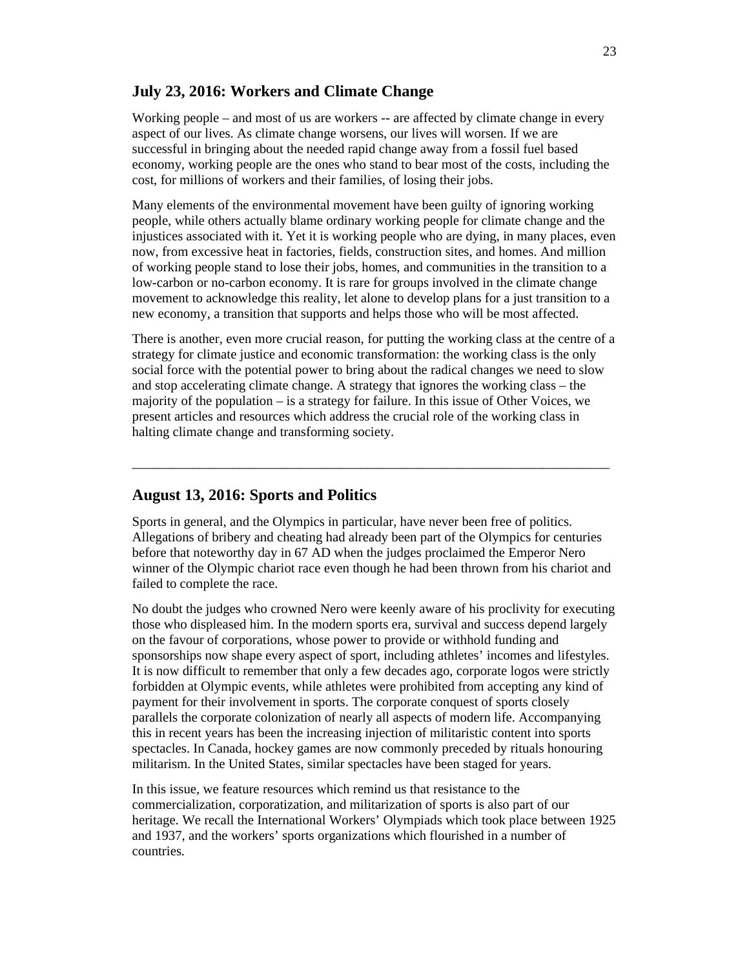# **July 23, 2016: Workers and Climate Change**

Working people – and most of us are workers -- are affected by climate change in every aspect of our lives. As climate change worsens, our lives will worsen. If we are successful in bringing about the needed rapid change away from a fossil fuel based economy, working people are the ones who stand to bear most of the costs, including the cost, for millions of workers and their families, of losing their jobs.

Many elements of the environmental movement have been guilty of ignoring working people, while others actually blame ordinary working people for climate change and the injustices associated with it. Yet it is working people who are dying, in many places, even now, from excessive heat in factories, fields, construction sites, and homes. And million of working people stand to lose their jobs, homes, and communities in the transition to a low-carbon or no-carbon economy. It is rare for groups involved in the climate change movement to acknowledge this reality, let alone to develop plans for a just transition to a new economy, a transition that supports and helps those who will be most affected.

There is another, even more crucial reason, for putting the working class at the centre of a strategy for climate justice and economic transformation: the working class is the only social force with the potential power to bring about the radical changes we need to slow and stop accelerating climate change. A strategy that ignores the working class – the majority of the population – is a strategy for failure. In this issue of Other Voices, we present articles and resources which address the crucial role of the working class in halting climate change and transforming society.

\_\_\_\_\_\_\_\_\_\_\_\_\_\_\_\_\_\_\_\_\_\_\_\_\_\_\_\_\_\_\_\_\_\_\_\_\_\_\_\_\_\_\_\_\_\_\_\_\_\_\_\_\_\_\_\_\_\_\_\_\_\_\_\_\_\_\_\_\_\_\_

# **August 13, 2016: Sports and Politics**

Sports in general, and the Olympics in particular, have never been free of politics. Allegations of bribery and cheating had already been part of the Olympics for centuries before that noteworthy day in 67 AD when the judges proclaimed the Emperor Nero winner of the Olympic chariot race even though he had been thrown from his chariot and failed to complete the race.

No doubt the judges who crowned Nero were keenly aware of his proclivity for executing those who displeased him. In the modern sports era, survival and success depend largely on the favour of corporations, whose power to provide or withhold funding and sponsorships now shape every aspect of sport, including athletes' incomes and lifestyles. It is now difficult to remember that only a few decades ago, corporate logos were strictly forbidden at Olympic events, while athletes were prohibited from accepting any kind of payment for their involvement in sports. The corporate conquest of sports closely parallels the corporate colonization of nearly all aspects of modern life. Accompanying this in recent years has been the increasing injection of militaristic content into sports spectacles. In Canada, hockey games are now commonly preceded by rituals honouring militarism. In the United States, similar spectacles have been staged for years.

In this issue, we feature resources which remind us that resistance to the commercialization, corporatization, and militarization of sports is also part of our heritage. We recall the International Workers' Olympiads which took place between 1925 and 1937, and the workers' sports organizations which flourished in a number of countries.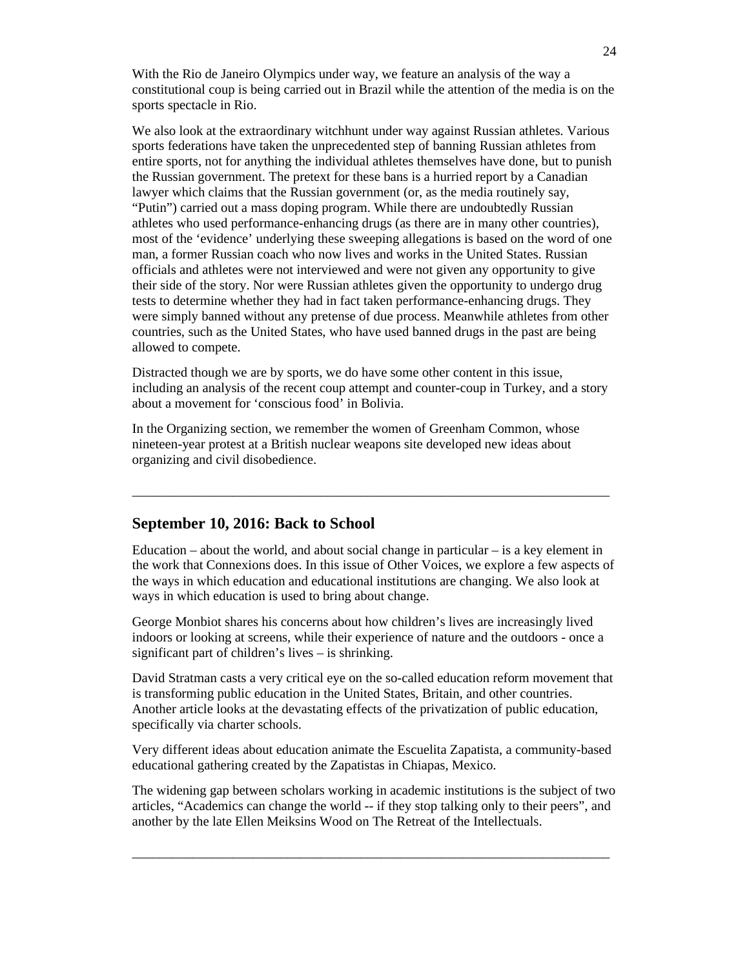With the Rio de Janeiro Olympics under way, we feature an analysis of the way a constitutional coup is being carried out in Brazil while the attention of the media is on the sports spectacle in Rio.

We also look at the extraordinary witchhunt under way against Russian athletes. Various sports federations have taken the unprecedented step of banning Russian athletes from entire sports, not for anything the individual athletes themselves have done, but to punish the Russian government. The pretext for these bans is a hurried report by a Canadian lawyer which claims that the Russian government (or, as the media routinely say, "Putin") carried out a mass doping program. While there are undoubtedly Russian athletes who used performance-enhancing drugs (as there are in many other countries), most of the 'evidence' underlying these sweeping allegations is based on the word of one man, a former Russian coach who now lives and works in the United States. Russian officials and athletes were not interviewed and were not given any opportunity to give their side of the story. Nor were Russian athletes given the opportunity to undergo drug tests to determine whether they had in fact taken performance-enhancing drugs. They were simply banned without any pretense of due process. Meanwhile athletes from other countries, such as the United States, who have used banned drugs in the past are being allowed to compete.

Distracted though we are by sports, we do have some other content in this issue, including an analysis of the recent coup attempt and counter-coup in Turkey, and a story about a movement for 'conscious food' in Bolivia.

In the Organizing section, we remember the women of Greenham Common, whose nineteen-year protest at a British nuclear weapons site developed new ideas about organizing and civil disobedience.

### **September 10, 2016: Back to School**

Education  $-$  about the world, and about social change in particular  $-$  is a key element in the work that Connexions does. In this issue of Other Voices, we explore a few aspects of the ways in which education and educational institutions are changing. We also look at ways in which education is used to bring about change.

\_\_\_\_\_\_\_\_\_\_\_\_\_\_\_\_\_\_\_\_\_\_\_\_\_\_\_\_\_\_\_\_\_\_\_\_\_\_\_\_\_\_\_\_\_\_\_\_\_\_\_\_\_\_\_\_\_\_\_\_\_\_\_\_\_\_\_\_\_\_\_

George Monbiot shares his concerns about how children's lives are increasingly lived indoors or looking at screens, while their experience of nature and the outdoors - once a significant part of children's lives – is shrinking.

David Stratman casts a very critical eye on the so-called education reform movement that is transforming public education in the United States, Britain, and other countries. Another article looks at the devastating effects of the privatization of public education, specifically via charter schools.

Very different ideas about education animate the Escuelita Zapatista, a community-based educational gathering created by the Zapatistas in Chiapas, Mexico.

The widening gap between scholars working in academic institutions is the subject of two articles, "Academics can change the world -- if they stop talking only to their peers", and another by the late Ellen Meiksins Wood on The Retreat of the Intellectuals.

\_\_\_\_\_\_\_\_\_\_\_\_\_\_\_\_\_\_\_\_\_\_\_\_\_\_\_\_\_\_\_\_\_\_\_\_\_\_\_\_\_\_\_\_\_\_\_\_\_\_\_\_\_\_\_\_\_\_\_\_\_\_\_\_\_\_\_\_\_\_\_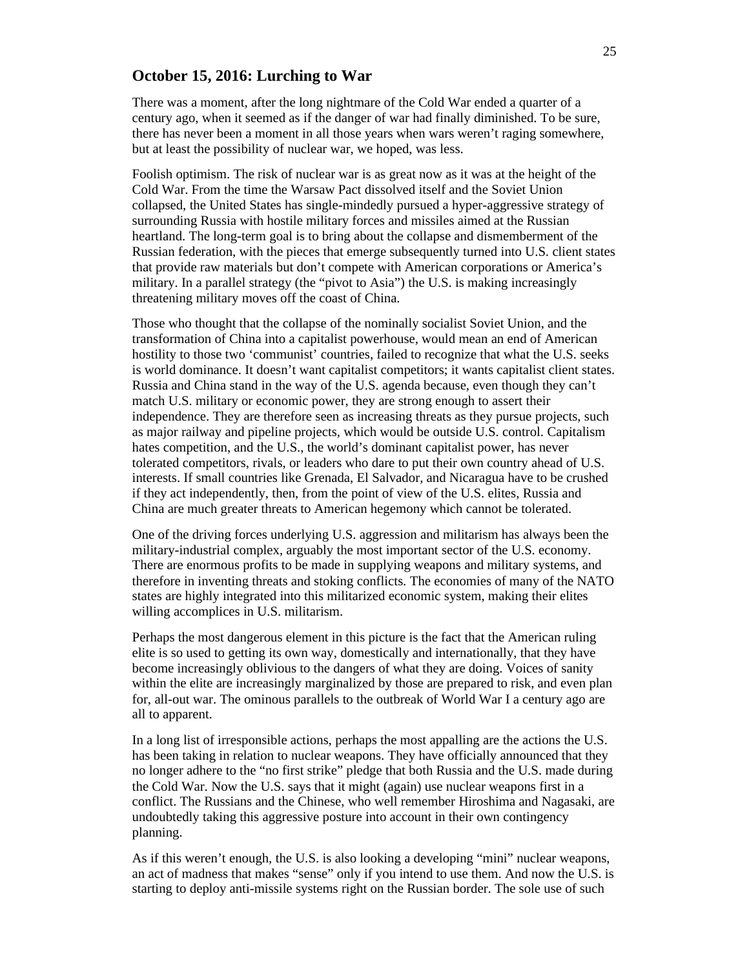### **October 15, 2016: Lurching to War**

There was a moment, after the long nightmare of the Cold War ended a quarter of a century ago, when it seemed as if the danger of war had finally diminished. To be sure, there has never been a moment in all those years when wars weren't raging somewhere, but at least the possibility of nuclear war, we hoped, was less.

Foolish optimism. The risk of nuclear war is as great now as it was at the height of the Cold War. From the time the Warsaw Pact dissolved itself and the Soviet Union collapsed, the United States has single-mindedly pursued a hyper-aggressive strategy of surrounding Russia with hostile military forces and missiles aimed at the Russian heartland. The long-term goal is to bring about the collapse and dismemberment of the Russian federation, with the pieces that emerge subsequently turned into U.S. client states that provide raw materials but don't compete with American corporations or America's military. In a parallel strategy (the "pivot to Asia") the U.S. is making increasingly threatening military moves off the coast of China.

Those who thought that the collapse of the nominally socialist Soviet Union, and the transformation of China into a capitalist powerhouse, would mean an end of American hostility to those two 'communist' countries, failed to recognize that what the U.S. seeks is world dominance. It doesn't want capitalist competitors; it wants capitalist client states. Russia and China stand in the way of the U.S. agenda because, even though they can't match U.S. military or economic power, they are strong enough to assert their independence. They are therefore seen as increasing threats as they pursue projects, such as major railway and pipeline projects, which would be outside U.S. control. Capitalism hates competition, and the U.S., the world's dominant capitalist power, has never tolerated competitors, rivals, or leaders who dare to put their own country ahead of U.S. interests. If small countries like Grenada, El Salvador, and Nicaragua have to be crushed if they act independently, then, from the point of view of the U.S. elites, Russia and China are much greater threats to American hegemony which cannot be tolerated.

One of the driving forces underlying U.S. aggression and militarism has always been the military-industrial complex, arguably the most important sector of the U.S. economy. There are enormous profits to be made in supplying weapons and military systems, and therefore in inventing threats and stoking conflicts. The economies of many of the NATO states are highly integrated into this militarized economic system, making their elites willing accomplices in U.S. militarism.

Perhaps the most dangerous element in this picture is the fact that the American ruling elite is so used to getting its own way, domestically and internationally, that they have become increasingly oblivious to the dangers of what they are doing. Voices of sanity within the elite are increasingly marginalized by those are prepared to risk, and even plan for, all-out war. The ominous parallels to the outbreak of World War I a century ago are all to apparent.

In a long list of irresponsible actions, perhaps the most appalling are the actions the U.S. has been taking in relation to nuclear weapons. They have officially announced that they no longer adhere to the "no first strike" pledge that both Russia and the U.S. made during the Cold War. Now the U.S. says that it might (again) use nuclear weapons first in a conflict. The Russians and the Chinese, who well remember Hiroshima and Nagasaki, are undoubtedly taking this aggressive posture into account in their own contingency planning.

As if this weren't enough, the U.S. is also looking a developing "mini" nuclear weapons, an act of madness that makes "sense" only if you intend to use them. And now the U.S. is starting to deploy anti-missile systems right on the Russian border. The sole use of such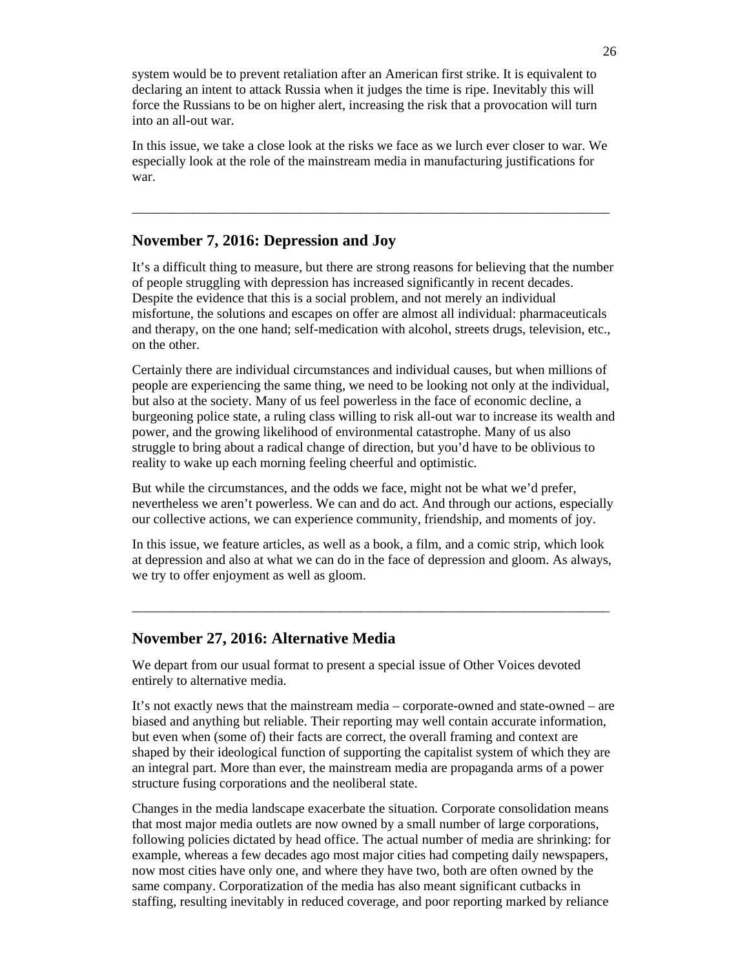system would be to prevent retaliation after an American first strike. It is equivalent to declaring an intent to attack Russia when it judges the time is ripe. Inevitably this will force the Russians to be on higher alert, increasing the risk that a provocation will turn into an all-out war.

In this issue, we take a close look at the risks we face as we lurch ever closer to war. We especially look at the role of the mainstream media in manufacturing justifications for war.

\_\_\_\_\_\_\_\_\_\_\_\_\_\_\_\_\_\_\_\_\_\_\_\_\_\_\_\_\_\_\_\_\_\_\_\_\_\_\_\_\_\_\_\_\_\_\_\_\_\_\_\_\_\_\_\_\_\_\_\_\_\_\_\_\_\_\_\_\_\_\_

# **November 7, 2016: Depression and Joy**

It's a difficult thing to measure, but there are strong reasons for believing that the number of people struggling with depression has increased significantly in recent decades. Despite the evidence that this is a social problem, and not merely an individual misfortune, the solutions and escapes on offer are almost all individual: pharmaceuticals and therapy, on the one hand; self-medication with alcohol, streets drugs, television, etc., on the other.

Certainly there are individual circumstances and individual causes, but when millions of people are experiencing the same thing, we need to be looking not only at the individual, but also at the society. Many of us feel powerless in the face of economic decline, a burgeoning police state, a ruling class willing to risk all-out war to increase its wealth and power, and the growing likelihood of environmental catastrophe. Many of us also struggle to bring about a radical change of direction, but you'd have to be oblivious to reality to wake up each morning feeling cheerful and optimistic.

But while the circumstances, and the odds we face, might not be what we'd prefer, nevertheless we aren't powerless. We can and do act. And through our actions, especially our collective actions, we can experience community, friendship, and moments of joy.

In this issue, we feature articles, as well as a book, a film, and a comic strip, which look at depression and also at what we can do in the face of depression and gloom. As always, we try to offer enjoyment as well as gloom.

\_\_\_\_\_\_\_\_\_\_\_\_\_\_\_\_\_\_\_\_\_\_\_\_\_\_\_\_\_\_\_\_\_\_\_\_\_\_\_\_\_\_\_\_\_\_\_\_\_\_\_\_\_\_\_\_\_\_\_\_\_\_\_\_\_\_\_\_\_\_\_

### **November 27, 2016: Alternative Media**

We depart from our usual format to present a special issue of Other Voices devoted entirely to alternative media.

It's not exactly news that the mainstream media – corporate-owned and state-owned – are biased and anything but reliable. Their reporting may well contain accurate information, but even when (some of) their facts are correct, the overall framing and context are shaped by their ideological function of supporting the capitalist system of which they are an integral part. More than ever, the mainstream media are propaganda arms of a power structure fusing corporations and the neoliberal state.

Changes in the media landscape exacerbate the situation. Corporate consolidation means that most major media outlets are now owned by a small number of large corporations, following policies dictated by head office. The actual number of media are shrinking: for example, whereas a few decades ago most major cities had competing daily newspapers, now most cities have only one, and where they have two, both are often owned by the same company. Corporatization of the media has also meant significant cutbacks in staffing, resulting inevitably in reduced coverage, and poor reporting marked by reliance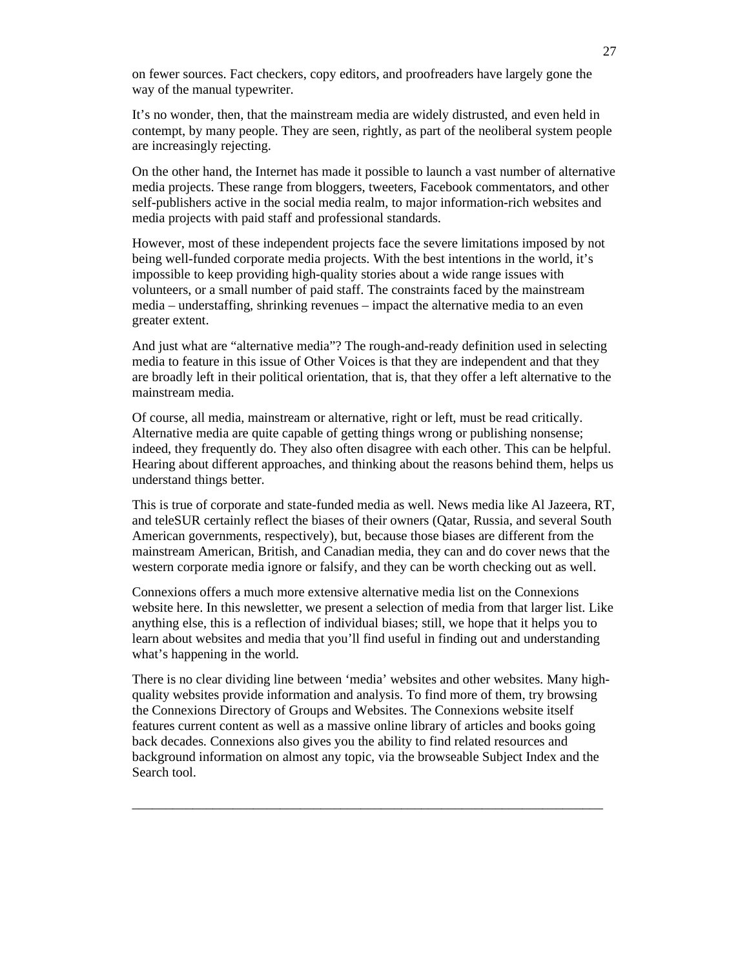on fewer sources. Fact checkers, copy editors, and proofreaders have largely gone the way of the manual typewriter.

It's no wonder, then, that the mainstream media are widely distrusted, and even held in contempt, by many people. They are seen, rightly, as part of the neoliberal system people are increasingly rejecting.

On the other hand, the Internet has made it possible to launch a vast number of alternative media projects. These range from bloggers, tweeters, Facebook commentators, and other self-publishers active in the social media realm, to major information-rich websites and media projects with paid staff and professional standards.

However, most of these independent projects face the severe limitations imposed by not being well-funded corporate media projects. With the best intentions in the world, it's impossible to keep providing high-quality stories about a wide range issues with volunteers, or a small number of paid staff. The constraints faced by the mainstream media – understaffing, shrinking revenues – impact the alternative media to an even greater extent.

And just what are "alternative media"? The rough-and-ready definition used in selecting media to feature in this issue of Other Voices is that they are independent and that they are broadly left in their political orientation, that is, that they offer a left alternative to the mainstream media.

Of course, all media, mainstream or alternative, right or left, must be read critically. Alternative media are quite capable of getting things wrong or publishing nonsense; indeed, they frequently do. They also often disagree with each other. This can be helpful. Hearing about different approaches, and thinking about the reasons behind them, helps us understand things better.

This is true of corporate and state-funded media as well. News media like Al Jazeera, RT, and teleSUR certainly reflect the biases of their owners (Qatar, Russia, and several South American governments, respectively), but, because those biases are different from the mainstream American, British, and Canadian media, they can and do cover news that the western corporate media ignore or falsify, and they can be worth checking out as well.

Connexions offers a much more extensive alternative media list on the Connexions website here. In this newsletter, we present a selection of media from that larger list. Like anything else, this is a reflection of individual biases; still, we hope that it helps you to learn about websites and media that you'll find useful in finding out and understanding what's happening in the world.

There is no clear dividing line between 'media' websites and other websites. Many highquality websites provide information and analysis. To find more of them, try browsing the Connexions Directory of Groups and Websites. The Connexions website itself features current content as well as a massive online library of articles and books going back decades. Connexions also gives you the ability to find related resources and background information on almost any topic, via the browseable Subject Index and the Search tool.

\_\_\_\_\_\_\_\_\_\_\_\_\_\_\_\_\_\_\_\_\_\_\_\_\_\_\_\_\_\_\_\_\_\_\_\_\_\_\_\_\_\_\_\_\_\_\_\_\_\_\_\_\_\_\_\_\_\_\_\_\_\_\_\_\_\_\_\_\_\_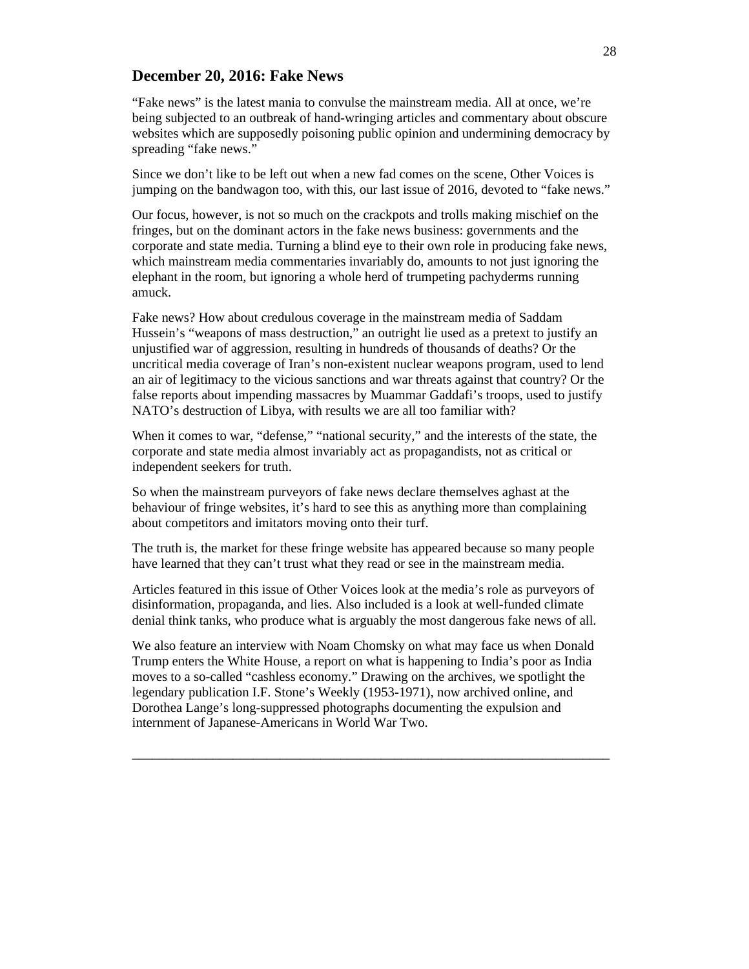# **December 20, 2016: Fake News**

"Fake news" is the latest mania to convulse the mainstream media. All at once, we're being subjected to an outbreak of hand-wringing articles and commentary about obscure websites which are supposedly poisoning public opinion and undermining democracy by spreading "fake news."

Since we don't like to be left out when a new fad comes on the scene, Other Voices is jumping on the bandwagon too, with this, our last issue of 2016, devoted to "fake news."

Our focus, however, is not so much on the crackpots and trolls making mischief on the fringes, but on the dominant actors in the fake news business: governments and the corporate and state media. Turning a blind eye to their own role in producing fake news, which mainstream media commentaries invariably do, amounts to not just ignoring the elephant in the room, but ignoring a whole herd of trumpeting pachyderms running amuck.

Fake news? How about credulous coverage in the mainstream media of Saddam Hussein's "weapons of mass destruction," an outright lie used as a pretext to justify an unjustified war of aggression, resulting in hundreds of thousands of deaths? Or the uncritical media coverage of Iran's non-existent nuclear weapons program, used to lend an air of legitimacy to the vicious sanctions and war threats against that country? Or the false reports about impending massacres by Muammar Gaddafi's troops, used to justify NATO's destruction of Libya, with results we are all too familiar with?

When it comes to war, "defense," "national security," and the interests of the state, the corporate and state media almost invariably act as propagandists, not as critical or independent seekers for truth.

So when the mainstream purveyors of fake news declare themselves aghast at the behaviour of fringe websites, it's hard to see this as anything more than complaining about competitors and imitators moving onto their turf.

The truth is, the market for these fringe website has appeared because so many people have learned that they can't trust what they read or see in the mainstream media.

Articles featured in this issue of Other Voices look at the media's role as purveyors of disinformation, propaganda, and lies. Also included is a look at well-funded climate denial think tanks, who produce what is arguably the most dangerous fake news of all.

We also feature an interview with Noam Chomsky on what may face us when Donald Trump enters the White House, a report on what is happening to India's poor as India moves to a so-called "cashless economy." Drawing on the archives, we spotlight the legendary publication I.F. Stone's Weekly (1953-1971), now archived online, and Dorothea Lange's long-suppressed photographs documenting the expulsion and internment of Japanese-Americans in World War Two.

\_\_\_\_\_\_\_\_\_\_\_\_\_\_\_\_\_\_\_\_\_\_\_\_\_\_\_\_\_\_\_\_\_\_\_\_\_\_\_\_\_\_\_\_\_\_\_\_\_\_\_\_\_\_\_\_\_\_\_\_\_\_\_\_\_\_\_\_\_\_\_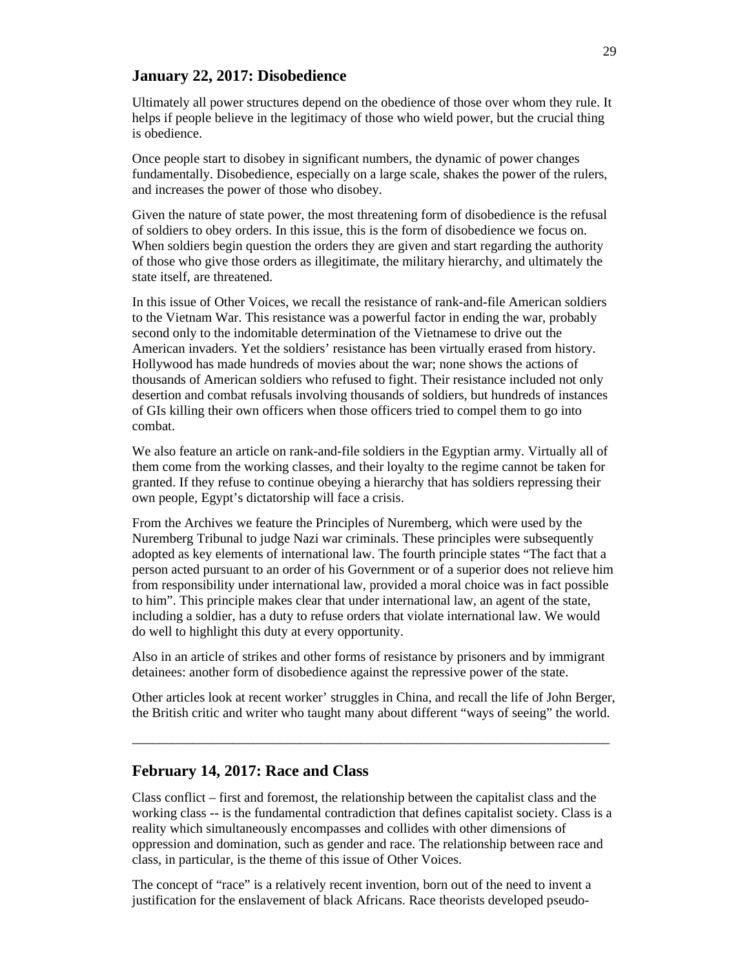### **January 22, 2017: Disobedience**

Ultimately all power structures depend on the obedience of those over whom they rule. It helps if people believe in the legitimacy of those who wield power, but the crucial thing is obedience.

Once people start to disobey in significant numbers, the dynamic of power changes fundamentally. Disobedience, especially on a large scale, shakes the power of the rulers, and increases the power of those who disobey.

Given the nature of state power, the most threatening form of disobedience is the refusal of soldiers to obey orders. In this issue, this is the form of disobedience we focus on. When soldiers begin question the orders they are given and start regarding the authority of those who give those orders as illegitimate, the military hierarchy, and ultimately the state itself, are threatened.

In this issue of Other Voices, we recall the resistance of rank-and-file American soldiers to the Vietnam War. This resistance was a powerful factor in ending the war, probably second only to the indomitable determination of the Vietnamese to drive out the American invaders. Yet the soldiers' resistance has been virtually erased from history. Hollywood has made hundreds of movies about the war; none shows the actions of thousands of American soldiers who refused to fight. Their resistance included not only desertion and combat refusals involving thousands of soldiers, but hundreds of instances of GIs killing their own officers when those officers tried to compel them to go into combat.

We also feature an article on rank-and-file soldiers in the Egyptian army. Virtually all of them come from the working classes, and their loyalty to the regime cannot be taken for granted. If they refuse to continue obeying a hierarchy that has soldiers repressing their own people, Egypt's dictatorship will face a crisis.

From the Archives we feature the Principles of Nuremberg, which were used by the Nuremberg Tribunal to judge Nazi war criminals. These principles were subsequently adopted as key elements of international law. The fourth principle states "The fact that a person acted pursuant to an order of his Government or of a superior does not relieve him from responsibility under international law, provided a moral choice was in fact possible to him". This principle makes clear that under international law, an agent of the state, including a soldier, has a duty to refuse orders that violate international law. We would do well to highlight this duty at every opportunity.

Also in an article of strikes and other forms of resistance by prisoners and by immigrant detainees: another form of disobedience against the repressive power of the state.

Other articles look at recent worker' struggles in China, and recall the life of John Berger, the British critic and writer who taught many about different "ways of seeing" the world.

\_\_\_\_\_\_\_\_\_\_\_\_\_\_\_\_\_\_\_\_\_\_\_\_\_\_\_\_\_\_\_\_\_\_\_\_\_\_\_\_\_\_\_\_\_\_\_\_\_\_\_\_\_\_\_\_\_\_\_\_\_\_\_\_\_\_\_\_\_\_\_

#### **February 14, 2017: Race and Class**

Class conflict – first and foremost, the relationship between the capitalist class and the working class -- is the fundamental contradiction that defines capitalist society. Class is a reality which simultaneously encompasses and collides with other dimensions of oppression and domination, such as gender and race. The relationship between race and class, in particular, is the theme of this issue of Other Voices.

The concept of "race" is a relatively recent invention, born out of the need to invent a justification for the enslavement of black Africans. Race theorists developed pseudo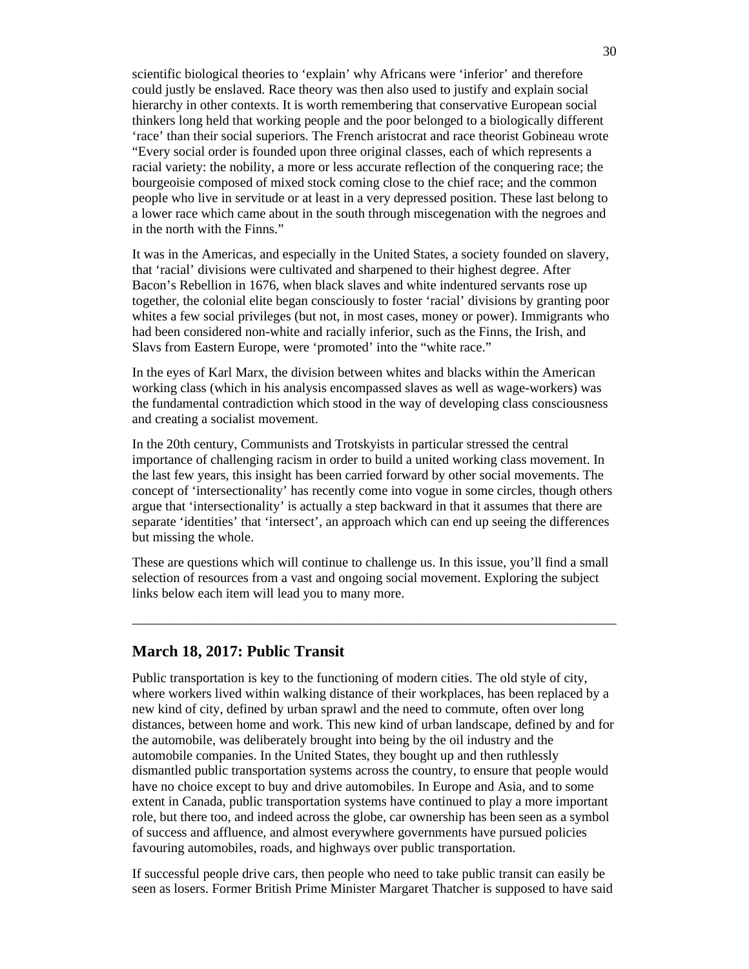scientific biological theories to 'explain' why Africans were 'inferior' and therefore could justly be enslaved. Race theory was then also used to justify and explain social hierarchy in other contexts. It is worth remembering that conservative European social thinkers long held that working people and the poor belonged to a biologically different 'race' than their social superiors. The French aristocrat and race theorist Gobineau wrote "Every social order is founded upon three original classes, each of which represents a racial variety: the nobility, a more or less accurate reflection of the conquering race; the bourgeoisie composed of mixed stock coming close to the chief race; and the common people who live in servitude or at least in a very depressed position. These last belong to a lower race which came about in the south through miscegenation with the negroes and in the north with the Finns."

It was in the Americas, and especially in the United States, a society founded on slavery, that 'racial' divisions were cultivated and sharpened to their highest degree. After Bacon's Rebellion in 1676, when black slaves and white indentured servants rose up together, the colonial elite began consciously to foster 'racial' divisions by granting poor whites a few social privileges (but not, in most cases, money or power). Immigrants who had been considered non-white and racially inferior, such as the Finns, the Irish, and Slavs from Eastern Europe, were 'promoted' into the "white race."

In the eyes of Karl Marx, the division between whites and blacks within the American working class (which in his analysis encompassed slaves as well as wage-workers) was the fundamental contradiction which stood in the way of developing class consciousness and creating a socialist movement.

In the 20th century, Communists and Trotskyists in particular stressed the central importance of challenging racism in order to build a united working class movement. In the last few years, this insight has been carried forward by other social movements. The concept of 'intersectionality' has recently come into vogue in some circles, though others argue that 'intersectionality' is actually a step backward in that it assumes that there are separate 'identities' that 'intersect', an approach which can end up seeing the differences but missing the whole.

These are questions which will continue to challenge us. In this issue, you'll find a small selection of resources from a vast and ongoing social movement. Exploring the subject links below each item will lead you to many more.

\_\_\_\_\_\_\_\_\_\_\_\_\_\_\_\_\_\_\_\_\_\_\_\_\_\_\_\_\_\_\_\_\_\_\_\_\_\_\_\_\_\_\_\_\_\_\_\_\_\_\_\_\_\_\_\_\_\_\_\_\_\_\_\_\_\_\_\_\_\_\_\_

### **March 18, 2017: Public Transit**

Public transportation is key to the functioning of modern cities. The old style of city, where workers lived within walking distance of their workplaces, has been replaced by a new kind of city, defined by urban sprawl and the need to commute, often over long distances, between home and work. This new kind of urban landscape, defined by and for the automobile, was deliberately brought into being by the oil industry and the automobile companies. In the United States, they bought up and then ruthlessly dismantled public transportation systems across the country, to ensure that people would have no choice except to buy and drive automobiles. In Europe and Asia, and to some extent in Canada, public transportation systems have continued to play a more important role, but there too, and indeed across the globe, car ownership has been seen as a symbol of success and affluence, and almost everywhere governments have pursued policies favouring automobiles, roads, and highways over public transportation.

If successful people drive cars, then people who need to take public transit can easily be seen as losers. Former British Prime Minister Margaret Thatcher is supposed to have said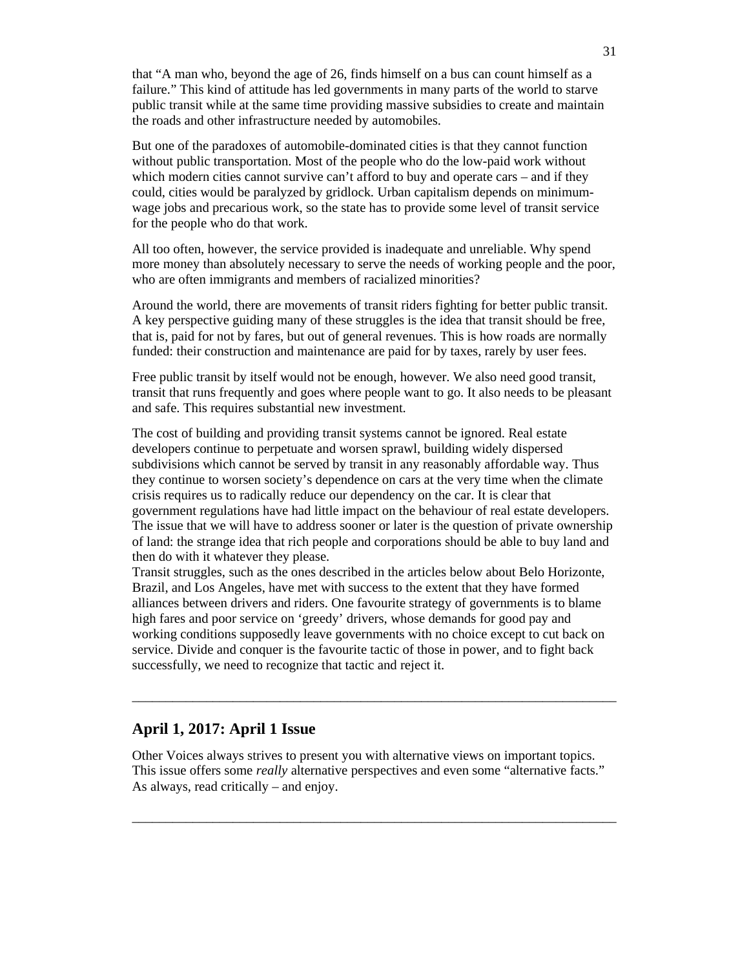that "A man who, beyond the age of 26, finds himself on a bus can count himself as a failure." This kind of attitude has led governments in many parts of the world to starve public transit while at the same time providing massive subsidies to create and maintain the roads and other infrastructure needed by automobiles.

But one of the paradoxes of automobile-dominated cities is that they cannot function without public transportation. Most of the people who do the low-paid work without which modern cities cannot survive can't afford to buy and operate cars – and if they could, cities would be paralyzed by gridlock. Urban capitalism depends on minimumwage jobs and precarious work, so the state has to provide some level of transit service for the people who do that work.

All too often, however, the service provided is inadequate and unreliable. Why spend more money than absolutely necessary to serve the needs of working people and the poor, who are often immigrants and members of racialized minorities?

Around the world, there are movements of transit riders fighting for better public transit. A key perspective guiding many of these struggles is the idea that transit should be free, that is, paid for not by fares, but out of general revenues. This is how roads are normally funded: their construction and maintenance are paid for by taxes, rarely by user fees.

Free public transit by itself would not be enough, however. We also need good transit, transit that runs frequently and goes where people want to go. It also needs to be pleasant and safe. This requires substantial new investment.

The cost of building and providing transit systems cannot be ignored. Real estate developers continue to perpetuate and worsen sprawl, building widely dispersed subdivisions which cannot be served by transit in any reasonably affordable way. Thus they continue to worsen society's dependence on cars at the very time when the climate crisis requires us to radically reduce our dependency on the car. It is clear that government regulations have had little impact on the behaviour of real estate developers. The issue that we will have to address sooner or later is the question of private ownership of land: the strange idea that rich people and corporations should be able to buy land and then do with it whatever they please.

Transit struggles, such as the ones described in the articles below about Belo Horizonte, Brazil, and Los Angeles, have met with success to the extent that they have formed alliances between drivers and riders. One favourite strategy of governments is to blame high fares and poor service on 'greedy' drivers, whose demands for good pay and working conditions supposedly leave governments with no choice except to cut back on service. Divide and conquer is the favourite tactic of those in power, and to fight back successfully, we need to recognize that tactic and reject it.

 $\_$  , and the set of the set of the set of the set of the set of the set of the set of the set of the set of the set of the set of the set of the set of the set of the set of the set of the set of the set of the set of th

# **April 1, 2017: April 1 Issue**

Other Voices always strives to present you with alternative views on important topics. This issue offers some *really* alternative perspectives and even some "alternative facts." As always, read critically – and enjoy.

 $\_$  , and the set of the set of the set of the set of the set of the set of the set of the set of the set of the set of the set of the set of the set of the set of the set of the set of the set of the set of the set of th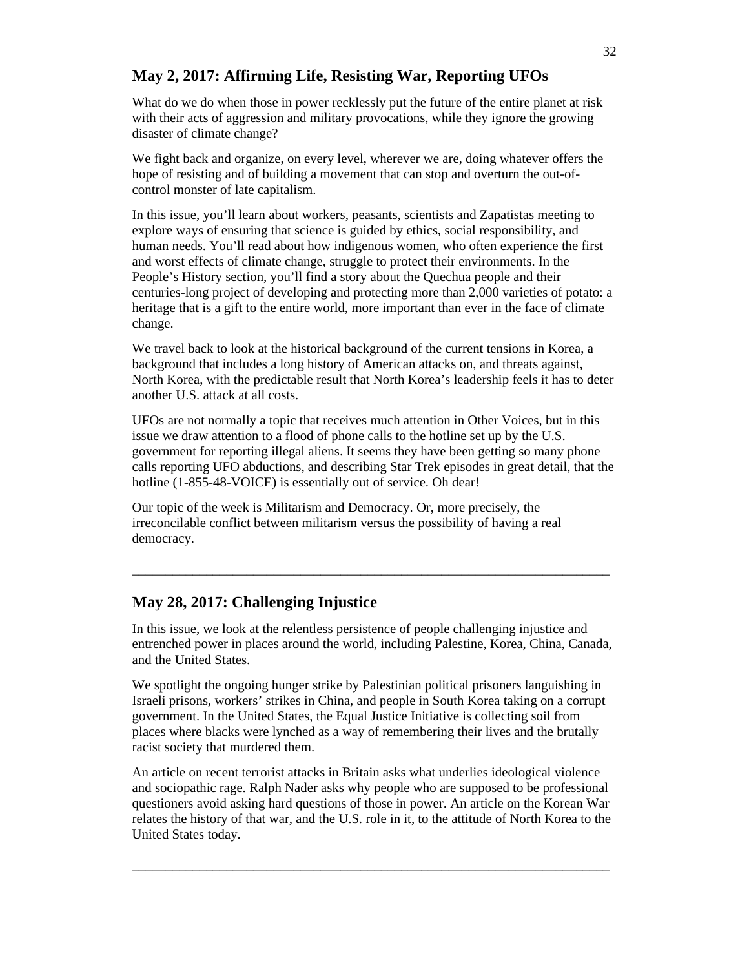# **May 2, 2017: Affirming Life, Resisting War, Reporting UFOs**

What do we do when those in power recklessly put the future of the entire planet at risk with their acts of aggression and military provocations, while they ignore the growing disaster of climate change?

We fight back and organize, on every level, wherever we are, doing whatever offers the hope of resisting and of building a movement that can stop and overturn the out-ofcontrol monster of late capitalism.

In this issue, you'll learn about workers, peasants, scientists and Zapatistas meeting to explore ways of ensuring that science is guided by ethics, social responsibility, and human needs. You'll read about how indigenous women, who often experience the first and worst effects of climate change, struggle to protect their environments. In the People's History section, you'll find a story about the Quechua people and their centuries-long project of developing and protecting more than 2,000 varieties of potato: a heritage that is a gift to the entire world, more important than ever in the face of climate change.

We travel back to look at the historical background of the current tensions in Korea, a background that includes a long history of American attacks on, and threats against, North Korea, with the predictable result that North Korea's leadership feels it has to deter another U.S. attack at all costs.

UFOs are not normally a topic that receives much attention in Other Voices, but in this issue we draw attention to a flood of phone calls to the hotline set up by the U.S. government for reporting illegal aliens. It seems they have been getting so many phone calls reporting UFO abductions, and describing Star Trek episodes in great detail, that the hotline (1-855-48-VOICE) is essentially out of service. Oh dear!

Our topic of the week is Militarism and Democracy. Or, more precisely, the irreconcilable conflict between militarism versus the possibility of having a real democracy.

# **May 28, 2017: Challenging Injustice**

In this issue, we look at the relentless persistence of people challenging injustice and entrenched power in places around the world, including Palestine, Korea, China, Canada, and the United States.

\_\_\_\_\_\_\_\_\_\_\_\_\_\_\_\_\_\_\_\_\_\_\_\_\_\_\_\_\_\_\_\_\_\_\_\_\_\_\_\_\_\_\_\_\_\_\_\_\_\_\_\_\_\_\_\_\_\_\_\_\_\_\_\_\_\_\_\_\_\_\_

We spotlight the ongoing hunger strike by Palestinian political prisoners languishing in Israeli prisons, workers' strikes in China, and people in South Korea taking on a corrupt government. In the United States, the Equal Justice Initiative is collecting soil from places where blacks were lynched as a way of remembering their lives and the brutally racist society that murdered them.

An article on recent terrorist attacks in Britain asks what underlies ideological violence and sociopathic rage. Ralph Nader asks why people who are supposed to be professional questioners avoid asking hard questions of those in power. An article on the Korean War relates the history of that war, and the U.S. role in it, to the attitude of North Korea to the United States today.

\_\_\_\_\_\_\_\_\_\_\_\_\_\_\_\_\_\_\_\_\_\_\_\_\_\_\_\_\_\_\_\_\_\_\_\_\_\_\_\_\_\_\_\_\_\_\_\_\_\_\_\_\_\_\_\_\_\_\_\_\_\_\_\_\_\_\_\_\_\_\_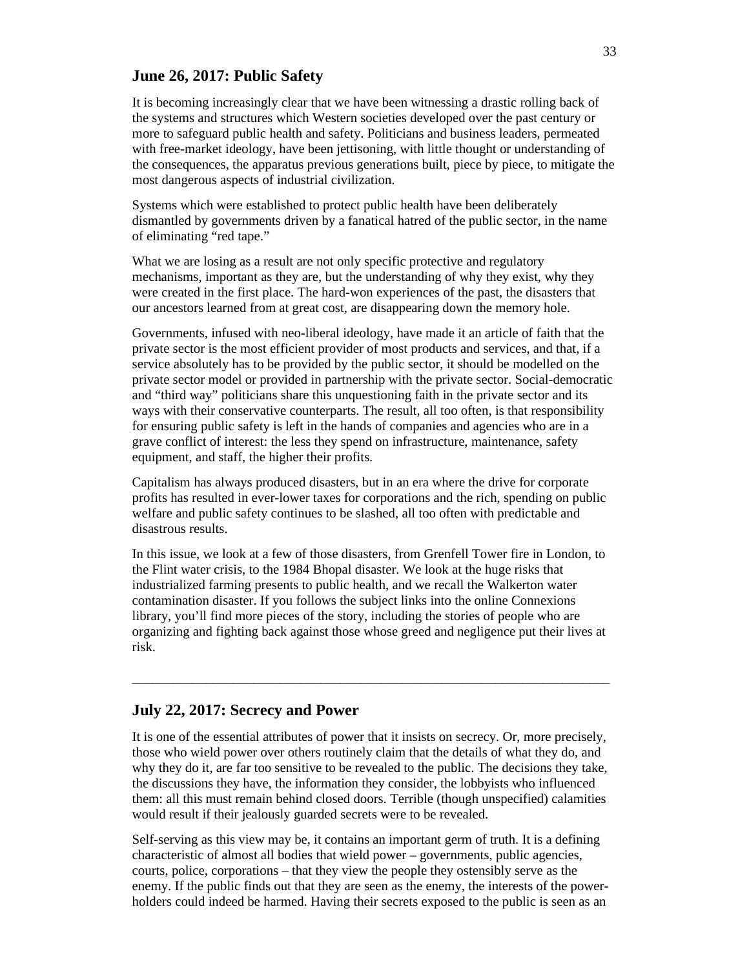### **June 26, 2017: Public Safety**

It is becoming increasingly clear that we have been witnessing a drastic rolling back of the systems and structures which Western societies developed over the past century or more to safeguard public health and safety. Politicians and business leaders, permeated with free-market ideology, have been jettisoning, with little thought or understanding of the consequences, the apparatus previous generations built, piece by piece, to mitigate the most dangerous aspects of industrial civilization.

Systems which were established to protect public health have been deliberately dismantled by governments driven by a fanatical hatred of the public sector, in the name of eliminating "red tape."

What we are losing as a result are not only specific protective and regulatory mechanisms, important as they are, but the understanding of why they exist, why they were created in the first place. The hard-won experiences of the past, the disasters that our ancestors learned from at great cost, are disappearing down the memory hole.

Governments, infused with neo-liberal ideology, have made it an article of faith that the private sector is the most efficient provider of most products and services, and that, if a service absolutely has to be provided by the public sector, it should be modelled on the private sector model or provided in partnership with the private sector. Social-democratic and "third way" politicians share this unquestioning faith in the private sector and its ways with their conservative counterparts. The result, all too often, is that responsibility for ensuring public safety is left in the hands of companies and agencies who are in a grave conflict of interest: the less they spend on infrastructure, maintenance, safety equipment, and staff, the higher their profits.

Capitalism has always produced disasters, but in an era where the drive for corporate profits has resulted in ever-lower taxes for corporations and the rich, spending on public welfare and public safety continues to be slashed, all too often with predictable and disastrous results.

In this issue, we look at a few of those disasters, from Grenfell Tower fire in London, to the Flint water crisis, to the 1984 Bhopal disaster. We look at the huge risks that industrialized farming presents to public health, and we recall the Walkerton water contamination disaster. If you follows the subject links into the online Connexions library, you'll find more pieces of the story, including the stories of people who are organizing and fighting back against those whose greed and negligence put their lives at risk.

\_\_\_\_\_\_\_\_\_\_\_\_\_\_\_\_\_\_\_\_\_\_\_\_\_\_\_\_\_\_\_\_\_\_\_\_\_\_\_\_\_\_\_\_\_\_\_\_\_\_\_\_\_\_\_\_\_\_\_\_\_\_\_\_\_\_\_\_\_\_\_

### **July 22, 2017: Secrecy and Power**

It is one of the essential attributes of power that it insists on secrecy. Or, more precisely, those who wield power over others routinely claim that the details of what they do, and why they do it, are far too sensitive to be revealed to the public. The decisions they take, the discussions they have, the information they consider, the lobbyists who influenced them: all this must remain behind closed doors. Terrible (though unspecified) calamities would result if their jealously guarded secrets were to be revealed.

Self-serving as this view may be, it contains an important germ of truth. It is a defining characteristic of almost all bodies that wield power – governments, public agencies, courts, police, corporations – that they view the people they ostensibly serve as the enemy. If the public finds out that they are seen as the enemy, the interests of the powerholders could indeed be harmed. Having their secrets exposed to the public is seen as an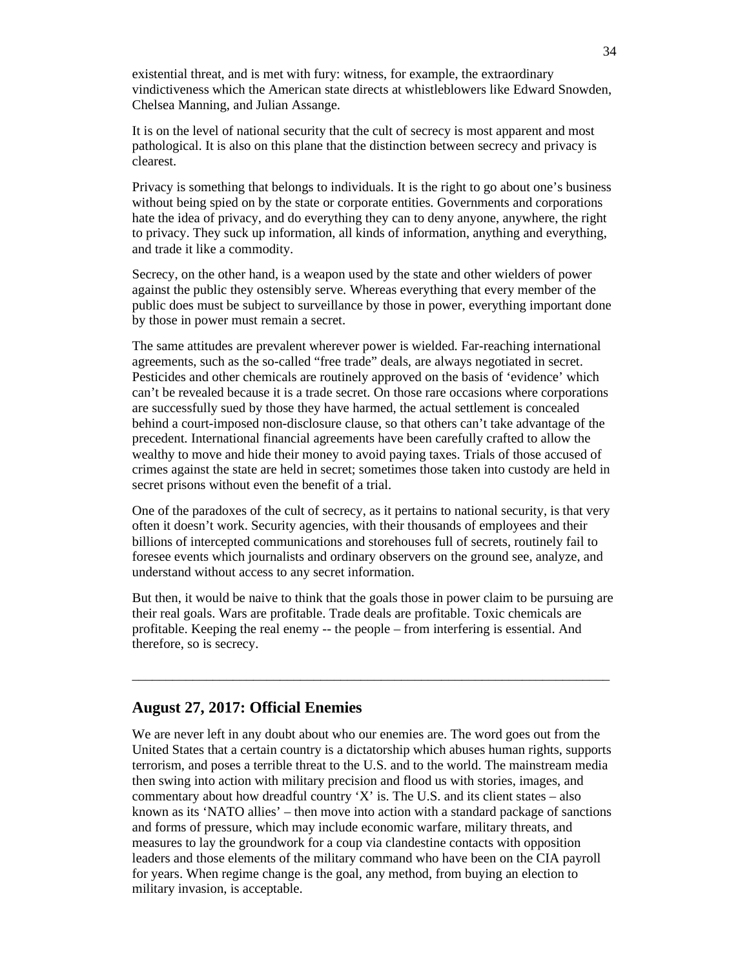existential threat, and is met with fury: witness, for example, the extraordinary vindictiveness which the American state directs at whistleblowers like Edward Snowden, Chelsea Manning, and Julian Assange.

It is on the level of national security that the cult of secrecy is most apparent and most pathological. It is also on this plane that the distinction between secrecy and privacy is clearest.

Privacy is something that belongs to individuals. It is the right to go about one's business without being spied on by the state or corporate entities. Governments and corporations hate the idea of privacy, and do everything they can to deny anyone, anywhere, the right to privacy. They suck up information, all kinds of information, anything and everything, and trade it like a commodity.

Secrecy, on the other hand, is a weapon used by the state and other wielders of power against the public they ostensibly serve. Whereas everything that every member of the public does must be subject to surveillance by those in power, everything important done by those in power must remain a secret.

The same attitudes are prevalent wherever power is wielded. Far-reaching international agreements, such as the so-called "free trade" deals, are always negotiated in secret. Pesticides and other chemicals are routinely approved on the basis of 'evidence' which can't be revealed because it is a trade secret. On those rare occasions where corporations are successfully sued by those they have harmed, the actual settlement is concealed behind a court-imposed non-disclosure clause, so that others can't take advantage of the precedent. International financial agreements have been carefully crafted to allow the wealthy to move and hide their money to avoid paying taxes. Trials of those accused of crimes against the state are held in secret; sometimes those taken into custody are held in secret prisons without even the benefit of a trial.

One of the paradoxes of the cult of secrecy, as it pertains to national security, is that very often it doesn't work. Security agencies, with their thousands of employees and their billions of intercepted communications and storehouses full of secrets, routinely fail to foresee events which journalists and ordinary observers on the ground see, analyze, and understand without access to any secret information.

But then, it would be naive to think that the goals those in power claim to be pursuing are their real goals. Wars are profitable. Trade deals are profitable. Toxic chemicals are profitable. Keeping the real enemy -- the people – from interfering is essential. And therefore, so is secrecy.

\_\_\_\_\_\_\_\_\_\_\_\_\_\_\_\_\_\_\_\_\_\_\_\_\_\_\_\_\_\_\_\_\_\_\_\_\_\_\_\_\_\_\_\_\_\_\_\_\_\_\_\_\_\_\_\_\_\_\_\_\_\_\_\_\_\_\_\_\_\_\_

# **August 27, 2017: Official Enemies**

We are never left in any doubt about who our enemies are. The word goes out from the United States that a certain country is a dictatorship which abuses human rights, supports terrorism, and poses a terrible threat to the U.S. and to the world. The mainstream media then swing into action with military precision and flood us with stories, images, and commentary about how dreadful country 'X' is. The U.S. and its client states  $-$  also known as its 'NATO allies' – then move into action with a standard package of sanctions and forms of pressure, which may include economic warfare, military threats, and measures to lay the groundwork for a coup via clandestine contacts with opposition leaders and those elements of the military command who have been on the CIA payroll for years. When regime change is the goal, any method, from buying an election to military invasion, is acceptable.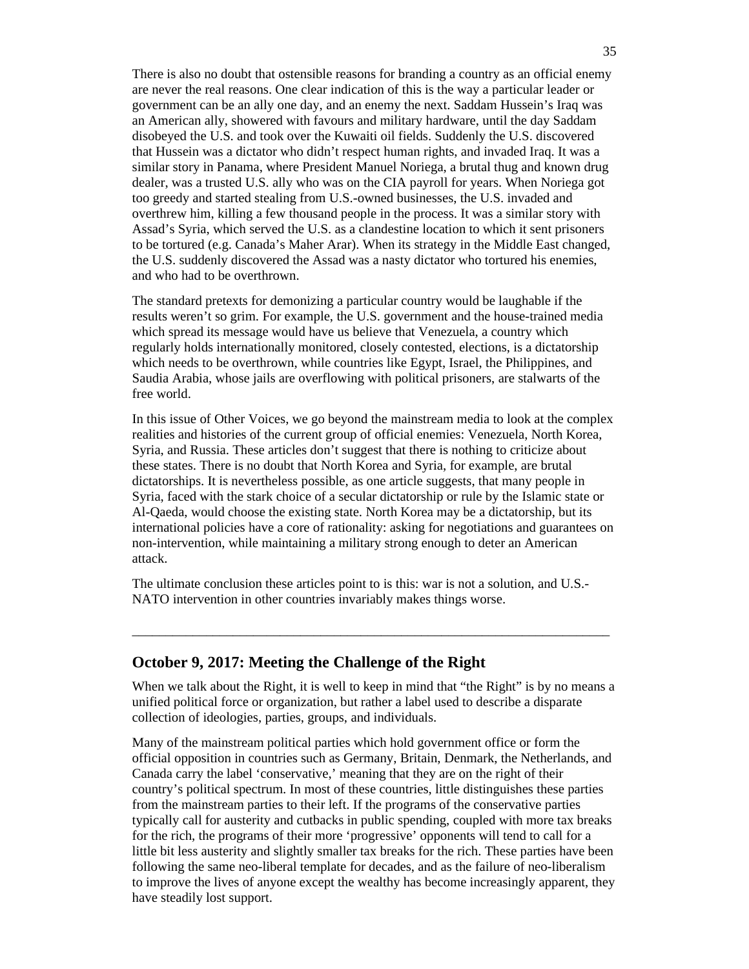There is also no doubt that ostensible reasons for branding a country as an official enemy are never the real reasons. One clear indication of this is the way a particular leader or government can be an ally one day, and an enemy the next. Saddam Hussein's Iraq was an American ally, showered with favours and military hardware, until the day Saddam disobeyed the U.S. and took over the Kuwaiti oil fields. Suddenly the U.S. discovered that Hussein was a dictator who didn't respect human rights, and invaded Iraq. It was a similar story in Panama, where President Manuel Noriega, a brutal thug and known drug dealer, was a trusted U.S. ally who was on the CIA payroll for years. When Noriega got too greedy and started stealing from U.S.-owned businesses, the U.S. invaded and overthrew him, killing a few thousand people in the process. It was a similar story with Assad's Syria, which served the U.S. as a clandestine location to which it sent prisoners to be tortured (e.g. Canada's Maher Arar). When its strategy in the Middle East changed, the U.S. suddenly discovered the Assad was a nasty dictator who tortured his enemies, and who had to be overthrown.

The standard pretexts for demonizing a particular country would be laughable if the results weren't so grim. For example, the U.S. government and the house-trained media which spread its message would have us believe that Venezuela, a country which regularly holds internationally monitored, closely contested, elections, is a dictatorship which needs to be overthrown, while countries like Egypt, Israel, the Philippines, and Saudia Arabia, whose jails are overflowing with political prisoners, are stalwarts of the free world.

In this issue of Other Voices, we go beyond the mainstream media to look at the complex realities and histories of the current group of official enemies: Venezuela, North Korea, Syria, and Russia. These articles don't suggest that there is nothing to criticize about these states. There is no doubt that North Korea and Syria, for example, are brutal dictatorships. It is nevertheless possible, as one article suggests, that many people in Syria, faced with the stark choice of a secular dictatorship or rule by the Islamic state or Al-Qaeda, would choose the existing state. North Korea may be a dictatorship, but its international policies have a core of rationality: asking for negotiations and guarantees on non-intervention, while maintaining a military strong enough to deter an American attack.

The ultimate conclusion these articles point to is this: war is not a solution, and U.S.- NATO intervention in other countries invariably makes things worse.

#### **October 9, 2017: Meeting the Challenge of the Right**

When we talk about the Right, it is well to keep in mind that "the Right" is by no means a unified political force or organization, but rather a label used to describe a disparate collection of ideologies, parties, groups, and individuals.

\_\_\_\_\_\_\_\_\_\_\_\_\_\_\_\_\_\_\_\_\_\_\_\_\_\_\_\_\_\_\_\_\_\_\_\_\_\_\_\_\_\_\_\_\_\_\_\_\_\_\_\_\_\_\_\_\_\_\_\_\_\_\_\_\_\_\_\_\_\_\_

Many of the mainstream political parties which hold government office or form the official opposition in countries such as Germany, Britain, Denmark, the Netherlands, and Canada carry the label 'conservative,' meaning that they are on the right of their country's political spectrum. In most of these countries, little distinguishes these parties from the mainstream parties to their left. If the programs of the conservative parties typically call for austerity and cutbacks in public spending, coupled with more tax breaks for the rich, the programs of their more 'progressive' opponents will tend to call for a little bit less austerity and slightly smaller tax breaks for the rich. These parties have been following the same neo-liberal template for decades, and as the failure of neo-liberalism to improve the lives of anyone except the wealthy has become increasingly apparent, they have steadily lost support.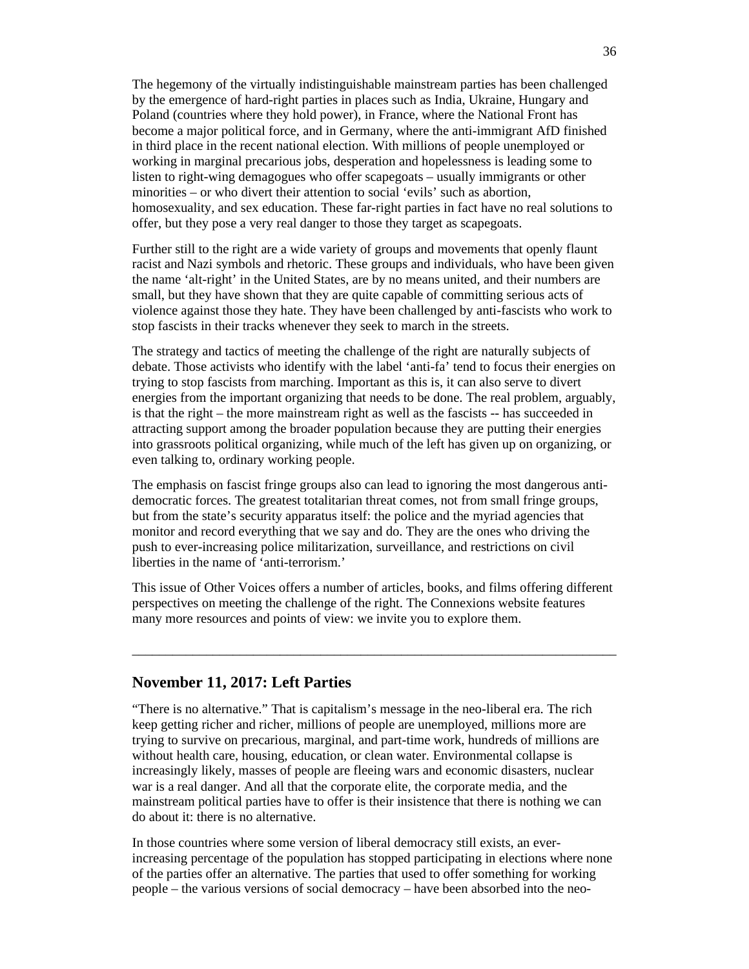The hegemony of the virtually indistinguishable mainstream parties has been challenged by the emergence of hard-right parties in places such as India, Ukraine, Hungary and Poland (countries where they hold power), in France, where the National Front has become a major political force, and in Germany, where the anti-immigrant AfD finished in third place in the recent national election. With millions of people unemployed or working in marginal precarious jobs, desperation and hopelessness is leading some to listen to right-wing demagogues who offer scapegoats – usually immigrants or other minorities – or who divert their attention to social 'evils' such as abortion, homosexuality, and sex education. These far-right parties in fact have no real solutions to offer, but they pose a very real danger to those they target as scapegoats.

Further still to the right are a wide variety of groups and movements that openly flaunt racist and Nazi symbols and rhetoric. These groups and individuals, who have been given the name 'alt-right' in the United States, are by no means united, and their numbers are small, but they have shown that they are quite capable of committing serious acts of violence against those they hate. They have been challenged by anti-fascists who work to stop fascists in their tracks whenever they seek to march in the streets.

The strategy and tactics of meeting the challenge of the right are naturally subjects of debate. Those activists who identify with the label 'anti-fa' tend to focus their energies on trying to stop fascists from marching. Important as this is, it can also serve to divert energies from the important organizing that needs to be done. The real problem, arguably, is that the right – the more mainstream right as well as the fascists -- has succeeded in attracting support among the broader population because they are putting their energies into grassroots political organizing, while much of the left has given up on organizing, or even talking to, ordinary working people.

The emphasis on fascist fringe groups also can lead to ignoring the most dangerous antidemocratic forces. The greatest totalitarian threat comes, not from small fringe groups, but from the state's security apparatus itself: the police and the myriad agencies that monitor and record everything that we say and do. They are the ones who driving the push to ever-increasing police militarization, surveillance, and restrictions on civil liberties in the name of 'anti-terrorism.'

This issue of Other Voices offers a number of articles, books, and films offering different perspectives on meeting the challenge of the right. The Connexions website features many more resources and points of view: we invite you to explore them.

 $\_$  , and the set of the set of the set of the set of the set of the set of the set of the set of the set of the set of the set of the set of the set of the set of the set of the set of the set of the set of the set of th

### **November 11, 2017: Left Parties**

"There is no alternative." That is capitalism's message in the neo-liberal era. The rich keep getting richer and richer, millions of people are unemployed, millions more are trying to survive on precarious, marginal, and part-time work, hundreds of millions are without health care, housing, education, or clean water. Environmental collapse is increasingly likely, masses of people are fleeing wars and economic disasters, nuclear war is a real danger. And all that the corporate elite, the corporate media, and the mainstream political parties have to offer is their insistence that there is nothing we can do about it: there is no alternative.

In those countries where some version of liberal democracy still exists, an everincreasing percentage of the population has stopped participating in elections where none of the parties offer an alternative. The parties that used to offer something for working people – the various versions of social democracy – have been absorbed into the neo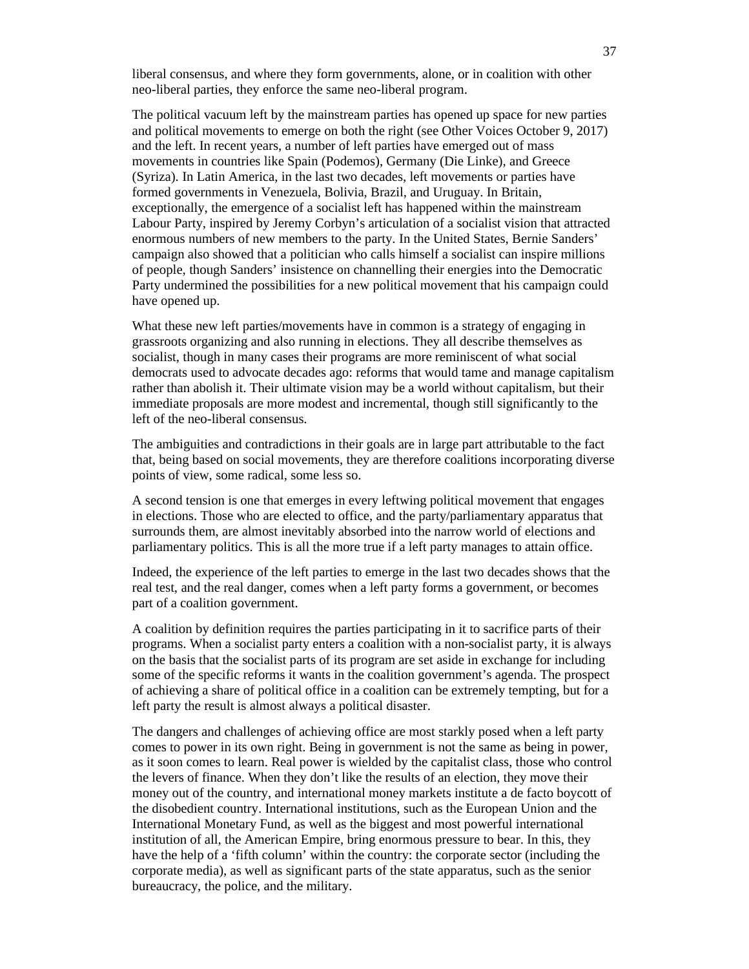liberal consensus, and where they form governments, alone, or in coalition with other neo-liberal parties, they enforce the same neo-liberal program.

The political vacuum left by the mainstream parties has opened up space for new parties and political movements to emerge on both the right (see Other Voices October 9, 2017) and the left. In recent years, a number of left parties have emerged out of mass movements in countries like Spain (Podemos), Germany (Die Linke), and Greece (Syriza). In Latin America, in the last two decades, left movements or parties have formed governments in Venezuela, Bolivia, Brazil, and Uruguay. In Britain, exceptionally, the emergence of a socialist left has happened within the mainstream Labour Party, inspired by Jeremy Corbyn's articulation of a socialist vision that attracted enormous numbers of new members to the party. In the United States, Bernie Sanders' campaign also showed that a politician who calls himself a socialist can inspire millions of people, though Sanders' insistence on channelling their energies into the Democratic Party undermined the possibilities for a new political movement that his campaign could have opened up.

What these new left parties/movements have in common is a strategy of engaging in grassroots organizing and also running in elections. They all describe themselves as socialist, though in many cases their programs are more reminiscent of what social democrats used to advocate decades ago: reforms that would tame and manage capitalism rather than abolish it. Their ultimate vision may be a world without capitalism, but their immediate proposals are more modest and incremental, though still significantly to the left of the neo-liberal consensus.

The ambiguities and contradictions in their goals are in large part attributable to the fact that, being based on social movements, they are therefore coalitions incorporating diverse points of view, some radical, some less so.

A second tension is one that emerges in every leftwing political movement that engages in elections. Those who are elected to office, and the party/parliamentary apparatus that surrounds them, are almost inevitably absorbed into the narrow world of elections and parliamentary politics. This is all the more true if a left party manages to attain office.

Indeed, the experience of the left parties to emerge in the last two decades shows that the real test, and the real danger, comes when a left party forms a government, or becomes part of a coalition government.

A coalition by definition requires the parties participating in it to sacrifice parts of their programs. When a socialist party enters a coalition with a non-socialist party, it is always on the basis that the socialist parts of its program are set aside in exchange for including some of the specific reforms it wants in the coalition government's agenda. The prospect of achieving a share of political office in a coalition can be extremely tempting, but for a left party the result is almost always a political disaster.

The dangers and challenges of achieving office are most starkly posed when a left party comes to power in its own right. Being in government is not the same as being in power, as it soon comes to learn. Real power is wielded by the capitalist class, those who control the levers of finance. When they don't like the results of an election, they move their money out of the country, and international money markets institute a de facto boycott of the disobedient country. International institutions, such as the European Union and the International Monetary Fund, as well as the biggest and most powerful international institution of all, the American Empire, bring enormous pressure to bear. In this, they have the help of a 'fifth column' within the country: the corporate sector (including the corporate media), as well as significant parts of the state apparatus, such as the senior bureaucracy, the police, and the military.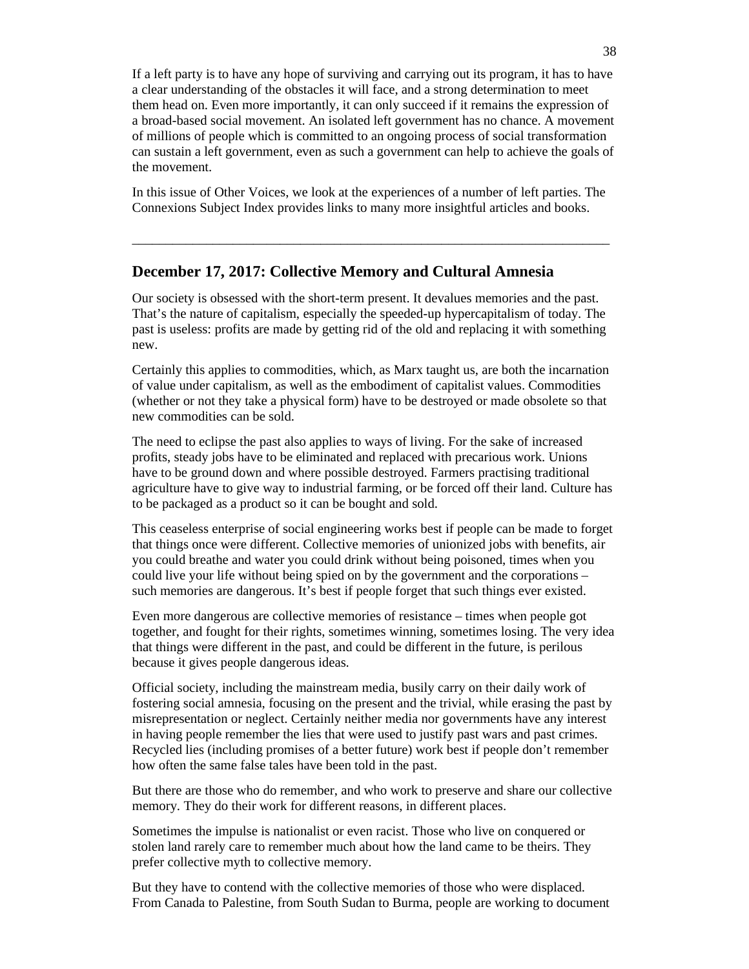If a left party is to have any hope of surviving and carrying out its program, it has to have a clear understanding of the obstacles it will face, and a strong determination to meet them head on. Even more importantly, it can only succeed if it remains the expression of a broad-based social movement. An isolated left government has no chance. A movement of millions of people which is committed to an ongoing process of social transformation can sustain a left government, even as such a government can help to achieve the goals of the movement.

In this issue of Other Voices, we look at the experiences of a number of left parties. The Connexions Subject Index provides links to many more insightful articles and books.

\_\_\_\_\_\_\_\_\_\_\_\_\_\_\_\_\_\_\_\_\_\_\_\_\_\_\_\_\_\_\_\_\_\_\_\_\_\_\_\_\_\_\_\_\_\_\_\_\_\_\_\_\_\_\_\_\_\_\_\_\_\_\_\_\_\_\_\_\_\_\_

# **December 17, 2017: Collective Memory and Cultural Amnesia**

Our society is obsessed with the short-term present. It devalues memories and the past. That's the nature of capitalism, especially the speeded-up hypercapitalism of today. The past is useless: profits are made by getting rid of the old and replacing it with something new.

Certainly this applies to commodities, which, as Marx taught us, are both the incarnation of value under capitalism, as well as the embodiment of capitalist values. Commodities (whether or not they take a physical form) have to be destroyed or made obsolete so that new commodities can be sold.

The need to eclipse the past also applies to ways of living. For the sake of increased profits, steady jobs have to be eliminated and replaced with precarious work. Unions have to be ground down and where possible destroyed. Farmers practising traditional agriculture have to give way to industrial farming, or be forced off their land. Culture has to be packaged as a product so it can be bought and sold.

This ceaseless enterprise of social engineering works best if people can be made to forget that things once were different. Collective memories of unionized jobs with benefits, air you could breathe and water you could drink without being poisoned, times when you could live your life without being spied on by the government and the corporations – such memories are dangerous. It's best if people forget that such things ever existed.

Even more dangerous are collective memories of resistance – times when people got together, and fought for their rights, sometimes winning, sometimes losing. The very idea that things were different in the past, and could be different in the future, is perilous because it gives people dangerous ideas.

Official society, including the mainstream media, busily carry on their daily work of fostering social amnesia, focusing on the present and the trivial, while erasing the past by misrepresentation or neglect. Certainly neither media nor governments have any interest in having people remember the lies that were used to justify past wars and past crimes. Recycled lies (including promises of a better future) work best if people don't remember how often the same false tales have been told in the past.

But there are those who do remember, and who work to preserve and share our collective memory. They do their work for different reasons, in different places.

Sometimes the impulse is nationalist or even racist. Those who live on conquered or stolen land rarely care to remember much about how the land came to be theirs. They prefer collective myth to collective memory.

But they have to contend with the collective memories of those who were displaced. From Canada to Palestine, from South Sudan to Burma, people are working to document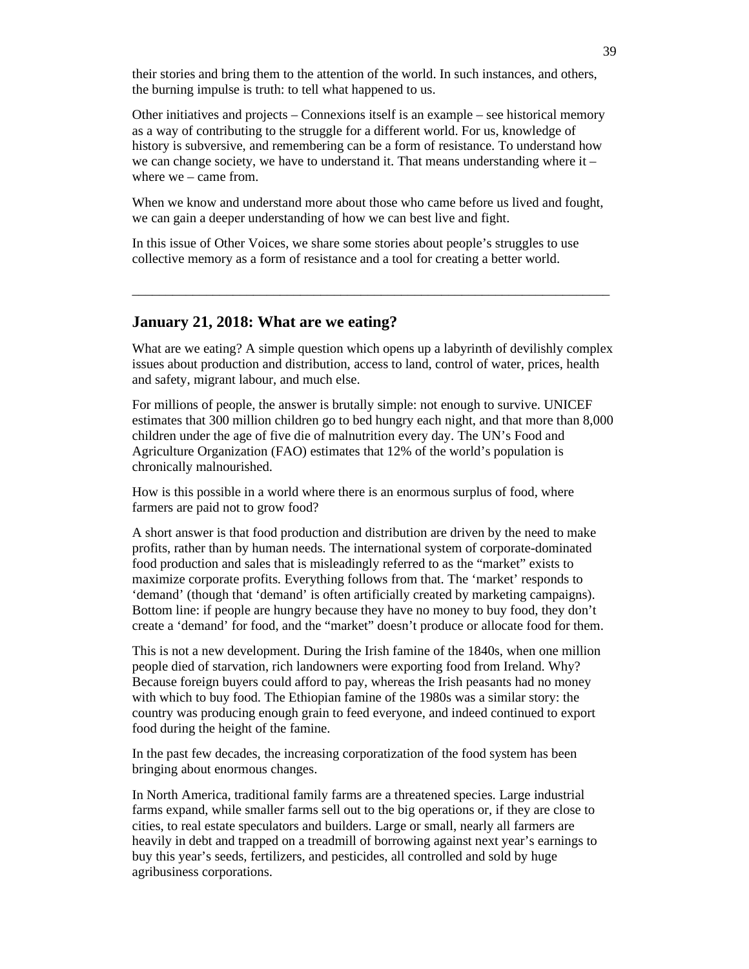their stories and bring them to the attention of the world. In such instances, and others, the burning impulse is truth: to tell what happened to us.

Other initiatives and projects – Connexions itself is an example – see historical memory as a way of contributing to the struggle for a different world. For us, knowledge of history is subversive, and remembering can be a form of resistance. To understand how we can change society, we have to understand it. That means understanding where it  $$ where we – came from.

When we know and understand more about those who came before us lived and fought, we can gain a deeper understanding of how we can best live and fight.

In this issue of Other Voices, we share some stories about people's struggles to use collective memory as a form of resistance and a tool for creating a better world.

### **January 21, 2018: What are we eating?**

What are we eating? A simple question which opens up a labyrinth of devilishly complex issues about production and distribution, access to land, control of water, prices, health and safety, migrant labour, and much else.

\_\_\_\_\_\_\_\_\_\_\_\_\_\_\_\_\_\_\_\_\_\_\_\_\_\_\_\_\_\_\_\_\_\_\_\_\_\_\_\_\_\_\_\_\_\_\_\_\_\_\_\_\_\_\_\_\_\_\_\_\_\_\_\_\_\_\_\_\_\_\_

For millions of people, the answer is brutally simple: not enough to survive. UNICEF estimates that 300 million children go to bed hungry each night, and that more than 8,000 children under the age of five die of malnutrition every day. The UN's Food and Agriculture Organization (FAO) estimates that 12% of the world's population is chronically malnourished.

How is this possible in a world where there is an enormous surplus of food, where farmers are paid not to grow food?

A short answer is that food production and distribution are driven by the need to make profits, rather than by human needs. The international system of corporate-dominated food production and sales that is misleadingly referred to as the "market" exists to maximize corporate profits. Everything follows from that. The 'market' responds to 'demand' (though that 'demand' is often artificially created by marketing campaigns). Bottom line: if people are hungry because they have no money to buy food, they don't create a 'demand' for food, and the "market" doesn't produce or allocate food for them.

This is not a new development. During the Irish famine of the 1840s, when one million people died of starvation, rich landowners were exporting food from Ireland. Why? Because foreign buyers could afford to pay, whereas the Irish peasants had no money with which to buy food. The Ethiopian famine of the 1980s was a similar story: the country was producing enough grain to feed everyone, and indeed continued to export food during the height of the famine.

In the past few decades, the increasing corporatization of the food system has been bringing about enormous changes.

In North America, traditional family farms are a threatened species. Large industrial farms expand, while smaller farms sell out to the big operations or, if they are close to cities, to real estate speculators and builders. Large or small, nearly all farmers are heavily in debt and trapped on a treadmill of borrowing against next year's earnings to buy this year's seeds, fertilizers, and pesticides, all controlled and sold by huge agribusiness corporations.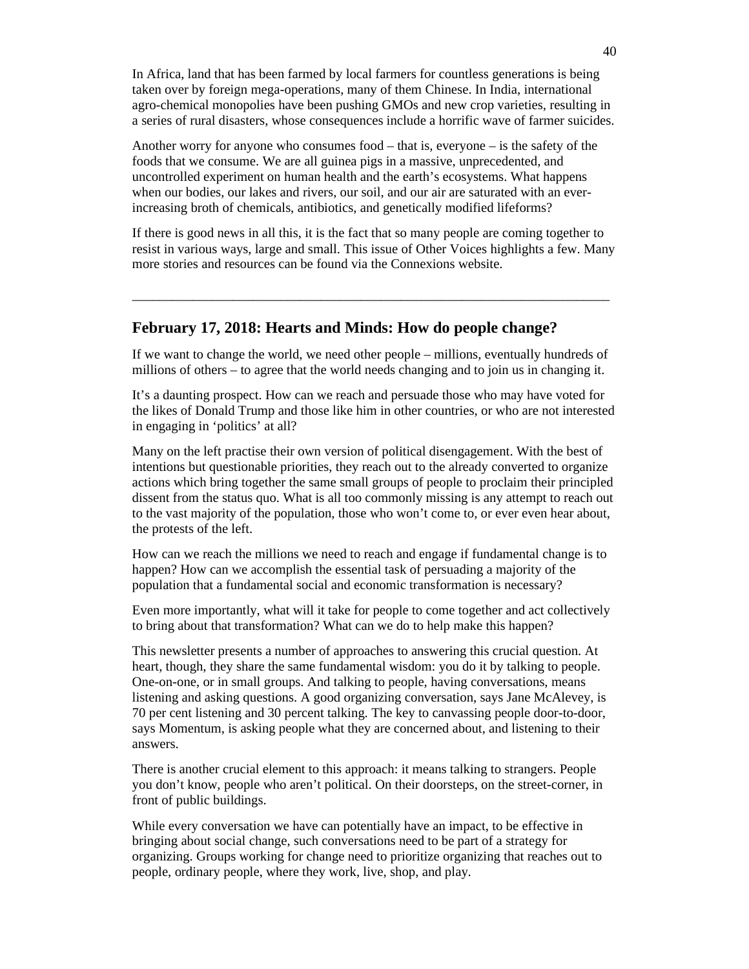In Africa, land that has been farmed by local farmers for countless generations is being taken over by foreign mega-operations, many of them Chinese. In India, international agro-chemical monopolies have been pushing GMOs and new crop varieties, resulting in a series of rural disasters, whose consequences include a horrific wave of farmer suicides.

Another worry for anyone who consumes food – that is, everyone – is the safety of the foods that we consume. We are all guinea pigs in a massive, unprecedented, and uncontrolled experiment on human health and the earth's ecosystems. What happens when our bodies, our lakes and rivers, our soil, and our air are saturated with an everincreasing broth of chemicals, antibiotics, and genetically modified lifeforms?

If there is good news in all this, it is the fact that so many people are coming together to resist in various ways, large and small. This issue of Other Voices highlights a few. Many more stories and resources can be found via the Connexions website.

\_\_\_\_\_\_\_\_\_\_\_\_\_\_\_\_\_\_\_\_\_\_\_\_\_\_\_\_\_\_\_\_\_\_\_\_\_\_\_\_\_\_\_\_\_\_\_\_\_\_\_\_\_\_\_\_\_\_\_\_\_\_\_\_\_\_\_\_\_\_\_

# **February 17, 2018: Hearts and Minds: How do people change?**

If we want to change the world, we need other people – millions, eventually hundreds of millions of others – to agree that the world needs changing and to join us in changing it.

It's a daunting prospect. How can we reach and persuade those who may have voted for the likes of Donald Trump and those like him in other countries, or who are not interested in engaging in 'politics' at all?

Many on the left practise their own version of political disengagement. With the best of intentions but questionable priorities, they reach out to the already converted to organize actions which bring together the same small groups of people to proclaim their principled dissent from the status quo. What is all too commonly missing is any attempt to reach out to the vast majority of the population, those who won't come to, or ever even hear about, the protests of the left.

How can we reach the millions we need to reach and engage if fundamental change is to happen? How can we accomplish the essential task of persuading a majority of the population that a fundamental social and economic transformation is necessary?

Even more importantly, what will it take for people to come together and act collectively to bring about that transformation? What can we do to help make this happen?

This newsletter presents a number of approaches to answering this crucial question. At heart, though, they share the same fundamental wisdom: you do it by talking to people. One-on-one, or in small groups. And talking to people, having conversations, means listening and asking questions. A good organizing conversation, says Jane McAlevey, is 70 per cent listening and 30 percent talking. The key to canvassing people door-to-door, says Momentum, is asking people what they are concerned about, and listening to their answers.

There is another crucial element to this approach: it means talking to strangers. People you don't know, people who aren't political. On their doorsteps, on the street-corner, in front of public buildings.

While every conversation we have can potentially have an impact, to be effective in bringing about social change, such conversations need to be part of a strategy for organizing. Groups working for change need to prioritize organizing that reaches out to people, ordinary people, where they work, live, shop, and play.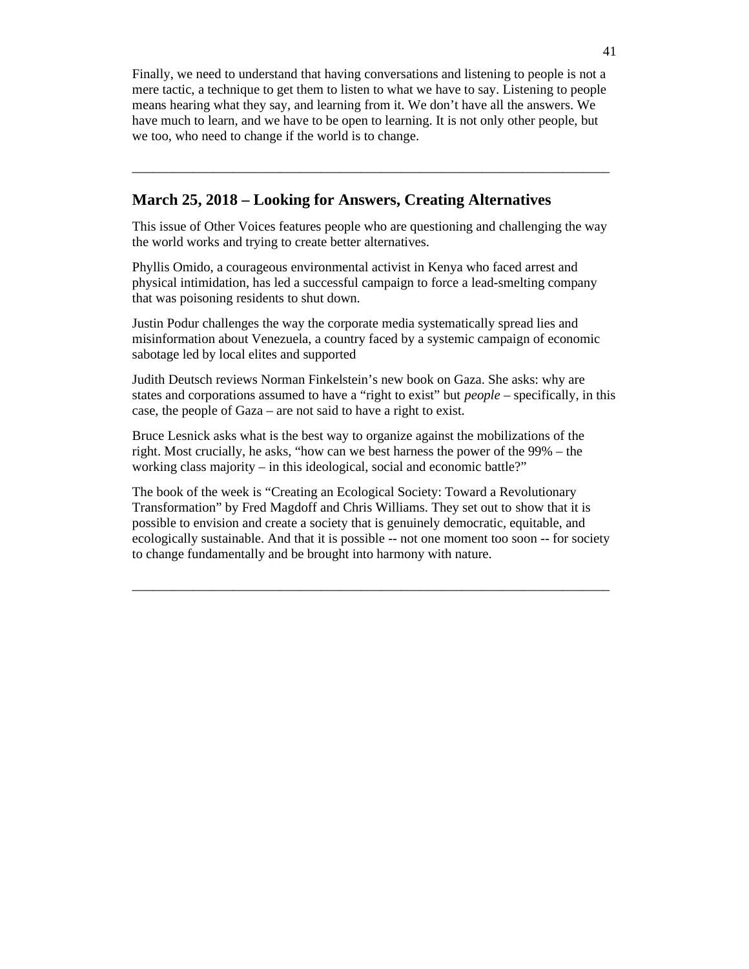Finally, we need to understand that having conversations and listening to people is not a mere tactic, a technique to get them to listen to what we have to say. Listening to people means hearing what they say, and learning from it. We don't have all the answers. We have much to learn, and we have to be open to learning. It is not only other people, but we too, who need to change if the world is to change.

\_\_\_\_\_\_\_\_\_\_\_\_\_\_\_\_\_\_\_\_\_\_\_\_\_\_\_\_\_\_\_\_\_\_\_\_\_\_\_\_\_\_\_\_\_\_\_\_\_\_\_\_\_\_\_\_\_\_\_\_\_\_\_\_\_\_\_\_\_\_\_

# **March 25, 2018 – Looking for Answers, Creating Alternatives**

This issue of Other Voices features people who are questioning and challenging the way the world works and trying to create better alternatives.

Phyllis Omido, a courageous environmental activist in Kenya who faced arrest and physical intimidation, has led a successful campaign to force a lead-smelting company that was poisoning residents to shut down.

Justin Podur challenges the way the corporate media systematically spread lies and misinformation about Venezuela, a country faced by a systemic campaign of economic sabotage led by local elites and supported

Judith Deutsch reviews Norman Finkelstein's new book on Gaza. She asks: why are states and corporations assumed to have a "right to exist" but *people* – specifically, in this case, the people of Gaza – are not said to have a right to exist.

Bruce Lesnick asks what is the best way to organize against the mobilizations of the right. Most crucially, he asks, "how can we best harness the power of the 99% – the working class majority – in this ideological, social and economic battle?"

The book of the week is "Creating an Ecological Society: Toward a Revolutionary Transformation" by Fred Magdoff and Chris Williams. They set out to show that it is possible to envision and create a society that is genuinely democratic, equitable, and ecologically sustainable. And that it is possible -- not one moment too soon -- for society to change fundamentally and be brought into harmony with nature.

\_\_\_\_\_\_\_\_\_\_\_\_\_\_\_\_\_\_\_\_\_\_\_\_\_\_\_\_\_\_\_\_\_\_\_\_\_\_\_\_\_\_\_\_\_\_\_\_\_\_\_\_\_\_\_\_\_\_\_\_\_\_\_\_\_\_\_\_\_\_\_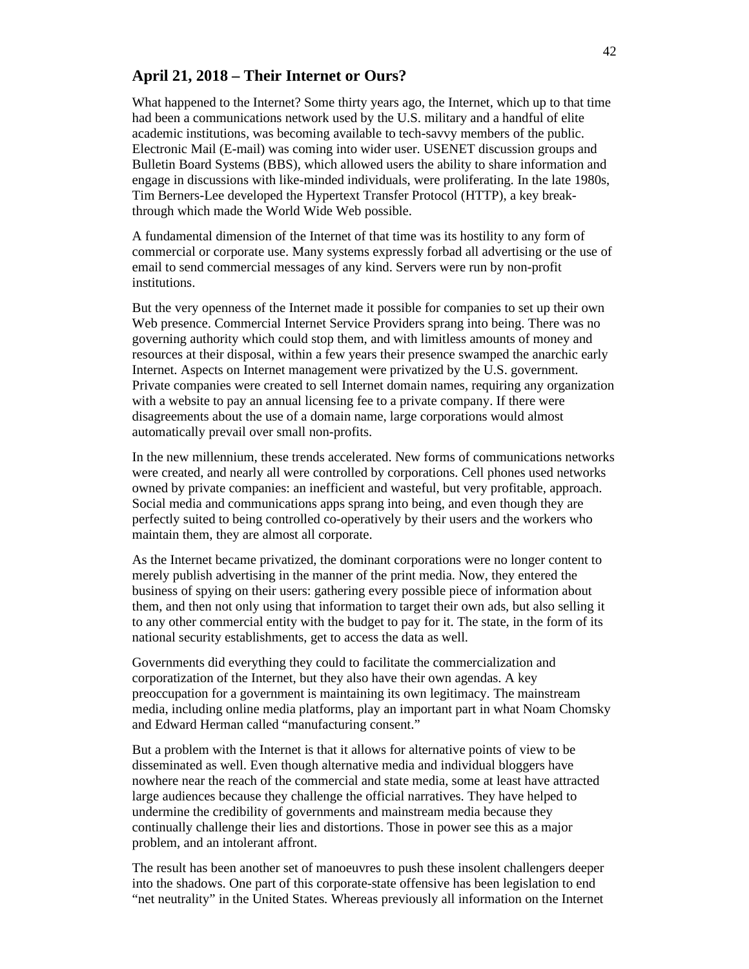# **April 21, 2018 – Their Internet or Ours?**

What happened to the Internet? Some thirty years ago, the Internet, which up to that time had been a communications network used by the U.S. military and a handful of elite academic institutions, was becoming available to tech-savvy members of the public. Electronic Mail (E-mail) was coming into wider user. USENET discussion groups and Bulletin Board Systems (BBS), which allowed users the ability to share information and engage in discussions with like-minded individuals, were proliferating. In the late 1980s, Tim Berners-Lee developed the Hypertext Transfer Protocol (HTTP), a key breakthrough which made the World Wide Web possible.

A fundamental dimension of the Internet of that time was its hostility to any form of commercial or corporate use. Many systems expressly forbad all advertising or the use of email to send commercial messages of any kind. Servers were run by non-profit institutions.

But the very openness of the Internet made it possible for companies to set up their own Web presence. Commercial Internet Service Providers sprang into being. There was no governing authority which could stop them, and with limitless amounts of money and resources at their disposal, within a few years their presence swamped the anarchic early Internet. Aspects on Internet management were privatized by the U.S. government. Private companies were created to sell Internet domain names, requiring any organization with a website to pay an annual licensing fee to a private company. If there were disagreements about the use of a domain name, large corporations would almost automatically prevail over small non-profits.

In the new millennium, these trends accelerated. New forms of communications networks were created, and nearly all were controlled by corporations. Cell phones used networks owned by private companies: an inefficient and wasteful, but very profitable, approach. Social media and communications apps sprang into being, and even though they are perfectly suited to being controlled co-operatively by their users and the workers who maintain them, they are almost all corporate.

As the Internet became privatized, the dominant corporations were no longer content to merely publish advertising in the manner of the print media. Now, they entered the business of spying on their users: gathering every possible piece of information about them, and then not only using that information to target their own ads, but also selling it to any other commercial entity with the budget to pay for it. The state, in the form of its national security establishments, get to access the data as well.

Governments did everything they could to facilitate the commercialization and corporatization of the Internet, but they also have their own agendas. A key preoccupation for a government is maintaining its own legitimacy. The mainstream media, including online media platforms, play an important part in what Noam Chomsky and Edward Herman called "manufacturing consent."

But a problem with the Internet is that it allows for alternative points of view to be disseminated as well. Even though alternative media and individual bloggers have nowhere near the reach of the commercial and state media, some at least have attracted large audiences because they challenge the official narratives. They have helped to undermine the credibility of governments and mainstream media because they continually challenge their lies and distortions. Those in power see this as a major problem, and an intolerant affront.

The result has been another set of manoeuvres to push these insolent challengers deeper into the shadows. One part of this corporate-state offensive has been legislation to end "net neutrality" in the United States. Whereas previously all information on the Internet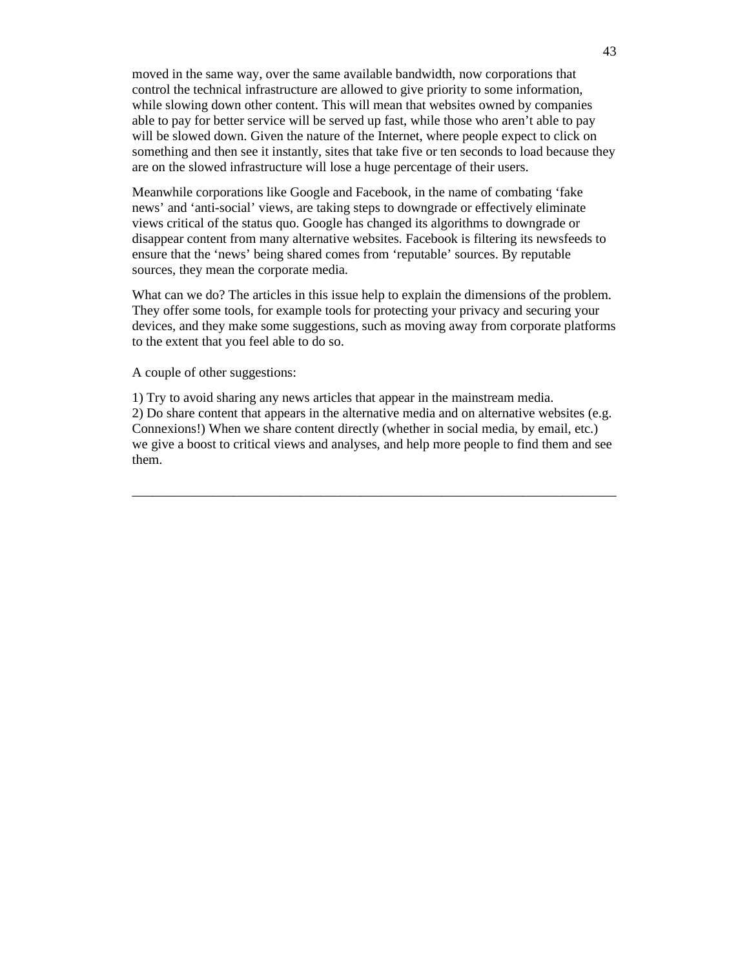moved in the same way, over the same available bandwidth, now corporations that control the technical infrastructure are allowed to give priority to some information, while slowing down other content. This will mean that websites owned by companies able to pay for better service will be served up fast, while those who aren't able to pay will be slowed down. Given the nature of the Internet, where people expect to click on something and then see it instantly, sites that take five or ten seconds to load because they are on the slowed infrastructure will lose a huge percentage of their users.

Meanwhile corporations like Google and Facebook, in the name of combating 'fake news' and 'anti-social' views, are taking steps to downgrade or effectively eliminate views critical of the status quo. Google has changed its algorithms to downgrade or disappear content from many alternative websites. Facebook is filtering its newsfeeds to ensure that the 'news' being shared comes from 'reputable' sources. By reputable sources, they mean the corporate media.

What can we do? The articles in this issue help to explain the dimensions of the problem. They offer some tools, for example tools for protecting your privacy and securing your devices, and they make some suggestions, such as moving away from corporate platforms to the extent that you feel able to do so.

A couple of other suggestions:

1) Try to avoid sharing any news articles that appear in the mainstream media. 2) Do share content that appears in the alternative media and on alternative websites (e.g. Connexions!) When we share content directly (whether in social media, by email, etc.) we give a boost to critical views and analyses, and help more people to find them and see them.

\_\_\_\_\_\_\_\_\_\_\_\_\_\_\_\_\_\_\_\_\_\_\_\_\_\_\_\_\_\_\_\_\_\_\_\_\_\_\_\_\_\_\_\_\_\_\_\_\_\_\_\_\_\_\_\_\_\_\_\_\_\_\_\_\_\_\_\_\_\_\_\_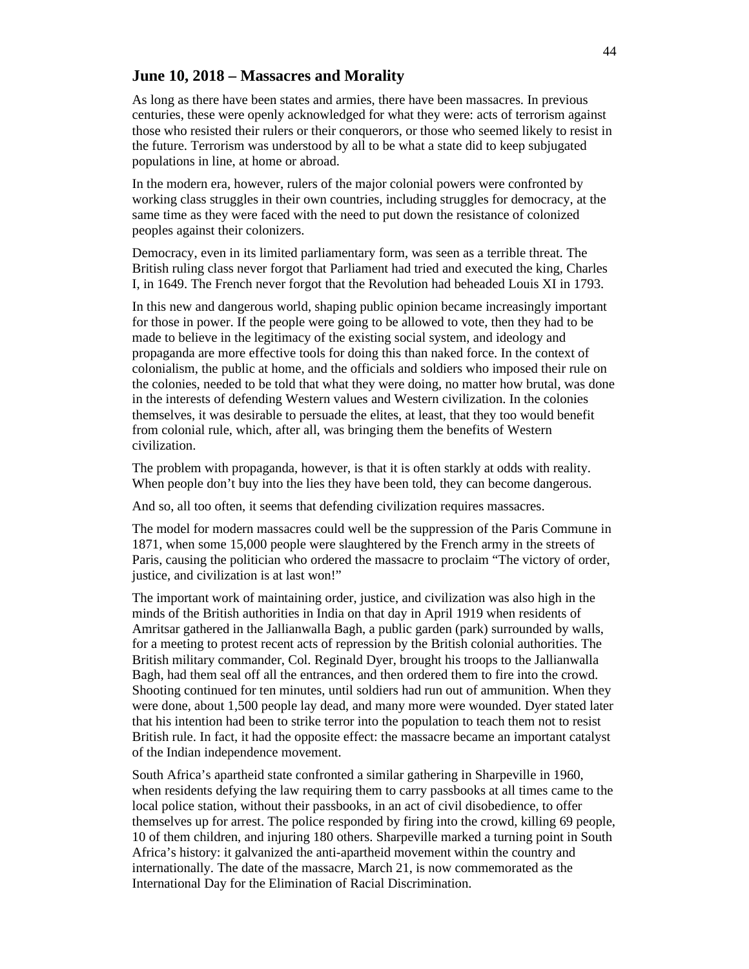### **June 10, 2018 – Massacres and Morality**

As long as there have been states and armies, there have been massacres. In previous centuries, these were openly acknowledged for what they were: acts of terrorism against those who resisted their rulers or their conquerors, or those who seemed likely to resist in the future. Terrorism was understood by all to be what a state did to keep subjugated populations in line, at home or abroad.

In the modern era, however, rulers of the major colonial powers were confronted by working class struggles in their own countries, including struggles for democracy, at the same time as they were faced with the need to put down the resistance of colonized peoples against their colonizers.

Democracy, even in its limited parliamentary form, was seen as a terrible threat. The British ruling class never forgot that Parliament had tried and executed the king, Charles I, in 1649. The French never forgot that the Revolution had beheaded Louis XI in 1793.

In this new and dangerous world, shaping public opinion became increasingly important for those in power. If the people were going to be allowed to vote, then they had to be made to believe in the legitimacy of the existing social system, and ideology and propaganda are more effective tools for doing this than naked force. In the context of colonialism, the public at home, and the officials and soldiers who imposed their rule on the colonies, needed to be told that what they were doing, no matter how brutal, was done in the interests of defending Western values and Western civilization. In the colonies themselves, it was desirable to persuade the elites, at least, that they too would benefit from colonial rule, which, after all, was bringing them the benefits of Western civilization.

The problem with propaganda, however, is that it is often starkly at odds with reality. When people don't buy into the lies they have been told, they can become dangerous.

And so, all too often, it seems that defending civilization requires massacres.

The model for modern massacres could well be the suppression of the Paris Commune in 1871, when some 15,000 people were slaughtered by the French army in the streets of Paris, causing the politician who ordered the massacre to proclaim "The victory of order, justice, and civilization is at last won!"

The important work of maintaining order, justice, and civilization was also high in the minds of the British authorities in India on that day in April 1919 when residents of Amritsar gathered in the Jallianwalla Bagh, a public garden (park) surrounded by walls, for a meeting to protest recent acts of repression by the British colonial authorities. The British military commander, Col. Reginald Dyer, brought his troops to the Jallianwalla Bagh, had them seal off all the entrances, and then ordered them to fire into the crowd. Shooting continued for ten minutes, until soldiers had run out of ammunition. When they were done, about 1,500 people lay dead, and many more were wounded. Dyer stated later that his intention had been to strike terror into the population to teach them not to resist British rule. In fact, it had the opposite effect: the massacre became an important catalyst of the Indian independence movement.

South Africa's apartheid state confronted a similar gathering in Sharpeville in 1960, when residents defying the law requiring them to carry passbooks at all times came to the local police station, without their passbooks, in an act of civil disobedience, to offer themselves up for arrest. The police responded by firing into the crowd, killing 69 people, 10 of them children, and injuring 180 others. Sharpeville marked a turning point in South Africa's history: it galvanized the anti-apartheid movement within the country and internationally. The date of the massacre, March 21, is now commemorated as the International Day for the Elimination of Racial Discrimination.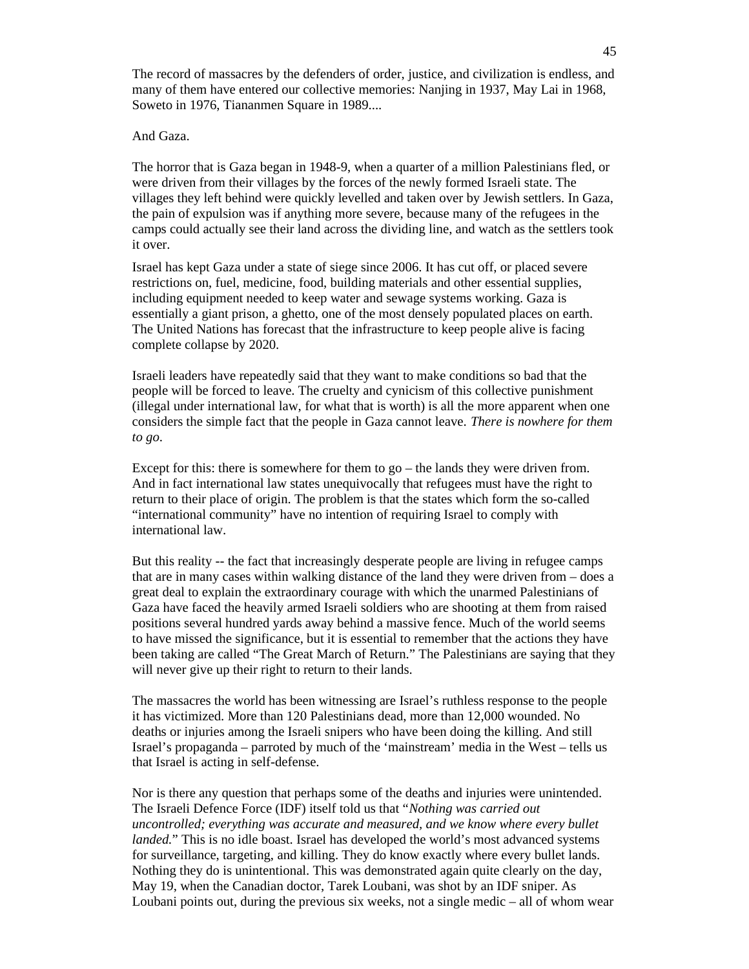The record of massacres by the defenders of order, justice, and civilization is endless, and many of them have entered our collective memories: Nanjing in 1937, May Lai in 1968, Soweto in 1976, Tiananmen Square in 1989....

#### And Gaza.

The horror that is Gaza began in 1948-9, when a quarter of a million Palestinians fled, or were driven from their villages by the forces of the newly formed Israeli state. The villages they left behind were quickly levelled and taken over by Jewish settlers. In Gaza, the pain of expulsion was if anything more severe, because many of the refugees in the camps could actually see their land across the dividing line, and watch as the settlers took it over.

Israel has kept Gaza under a state of siege since 2006. It has cut off, or placed severe restrictions on, fuel, medicine, food, building materials and other essential supplies, including equipment needed to keep water and sewage systems working. Gaza is essentially a giant prison, a ghetto, one of the most densely populated places on earth. The United Nations has forecast that the infrastructure to keep people alive is facing complete collapse by 2020.

Israeli leaders have repeatedly said that they want to make conditions so bad that the people will be forced to leave. The cruelty and cynicism of this collective punishment (illegal under international law, for what that is worth) is all the more apparent when one considers the simple fact that the people in Gaza cannot leave. *There is nowhere for them to go*.

Except for this: there is somewhere for them to  $g_0$  – the lands they were driven from. And in fact international law states unequivocally that refugees must have the right to return to their place of origin. The problem is that the states which form the so-called "international community" have no intention of requiring Israel to comply with international law.

But this reality -- the fact that increasingly desperate people are living in refugee camps that are in many cases within walking distance of the land they were driven from – does a great deal to explain the extraordinary courage with which the unarmed Palestinians of Gaza have faced the heavily armed Israeli soldiers who are shooting at them from raised positions several hundred yards away behind a massive fence. Much of the world seems to have missed the significance, but it is essential to remember that the actions they have been taking are called "The Great March of Return." The Palestinians are saying that they will never give up their right to return to their lands.

The massacres the world has been witnessing are Israel's ruthless response to the people it has victimized. More than 120 Palestinians dead, more than 12,000 wounded. No deaths or injuries among the Israeli snipers who have been doing the killing. And still Israel's propaganda – parroted by much of the 'mainstream' media in the West – tells us that Israel is acting in self-defense.

Nor is there any question that perhaps some of the deaths and injuries were unintended. The Israeli Defence Force (IDF) itself told us that "*Nothing was carried out uncontrolled; everything was accurate and measured, and we know where every bullet landed.*" This is no idle boast. Israel has developed the world's most advanced systems for surveillance, targeting, and killing. They do know exactly where every bullet lands. Nothing they do is unintentional. This was demonstrated again quite clearly on the day, May 19, when the Canadian doctor, Tarek Loubani, was shot by an IDF sniper. As Loubani points out, during the previous six weeks, not a single medic – all of whom wear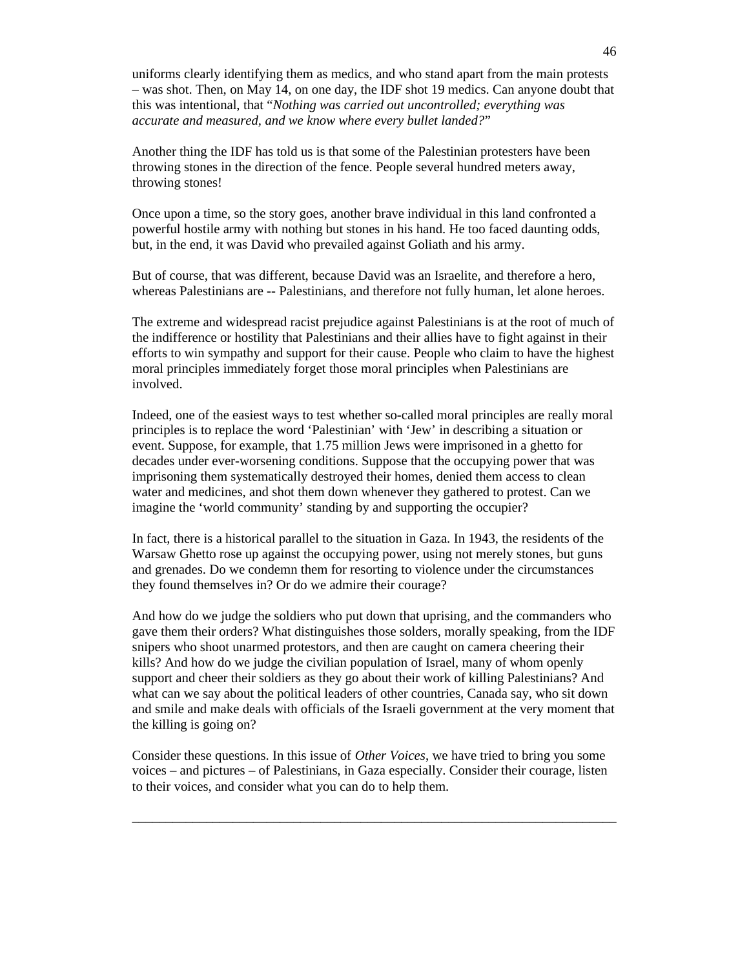uniforms clearly identifying them as medics, and who stand apart from the main protests – was shot. Then, on May 14, on one day, the IDF shot 19 medics. Can anyone doubt that this was intentional, that "*Nothing was carried out uncontrolled; everything was accurate and measured, and we know where every bullet landed?*"

Another thing the IDF has told us is that some of the Palestinian protesters have been throwing stones in the direction of the fence. People several hundred meters away, throwing stones!

Once upon a time, so the story goes, another brave individual in this land confronted a powerful hostile army with nothing but stones in his hand. He too faced daunting odds, but, in the end, it was David who prevailed against Goliath and his army.

But of course, that was different, because David was an Israelite, and therefore a hero, whereas Palestinians are -- Palestinians, and therefore not fully human, let alone heroes.

The extreme and widespread racist prejudice against Palestinians is at the root of much of the indifference or hostility that Palestinians and their allies have to fight against in their efforts to win sympathy and support for their cause. People who claim to have the highest moral principles immediately forget those moral principles when Palestinians are involved.

Indeed, one of the easiest ways to test whether so-called moral principles are really moral principles is to replace the word 'Palestinian' with 'Jew' in describing a situation or event. Suppose, for example, that 1.75 million Jews were imprisoned in a ghetto for decades under ever-worsening conditions. Suppose that the occupying power that was imprisoning them systematically destroyed their homes, denied them access to clean water and medicines, and shot them down whenever they gathered to protest. Can we imagine the 'world community' standing by and supporting the occupier?

In fact, there is a historical parallel to the situation in Gaza. In 1943, the residents of the Warsaw Ghetto rose up against the occupying power, using not merely stones, but guns and grenades. Do we condemn them for resorting to violence under the circumstances they found themselves in? Or do we admire their courage?

And how do we judge the soldiers who put down that uprising, and the commanders who gave them their orders? What distinguishes those solders, morally speaking, from the IDF snipers who shoot unarmed protestors, and then are caught on camera cheering their kills? And how do we judge the civilian population of Israel, many of whom openly support and cheer their soldiers as they go about their work of killing Palestinians? And what can we say about the political leaders of other countries, Canada say, who sit down and smile and make deals with officials of the Israeli government at the very moment that the killing is going on?

Consider these questions. In this issue of *Other Voices*, we have tried to bring you some voices – and pictures – of Palestinians, in Gaza especially. Consider their courage, listen to their voices, and consider what you can do to help them.

 $\_$  , and the set of the set of the set of the set of the set of the set of the set of the set of the set of the set of the set of the set of the set of the set of the set of the set of the set of the set of the set of th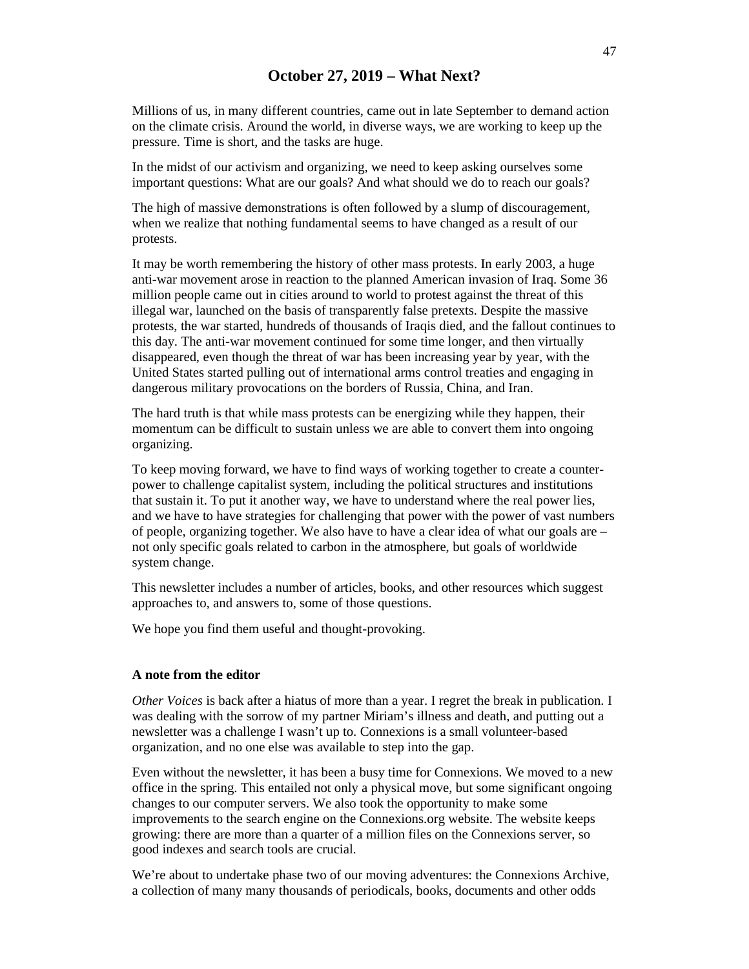# **October 27, 2019 – What Next?**

Millions of us, in many different countries, came out in late September to demand action on the climate crisis. Around the world, in diverse ways, we are working to keep up the pressure. Time is short, and the tasks are huge.

In the midst of our activism and organizing, we need to keep asking ourselves some important questions: What are our goals? And what should we do to reach our goals?

The high of massive demonstrations is often followed by a slump of discouragement, when we realize that nothing fundamental seems to have changed as a result of our protests.

It may be worth remembering the history of other mass protests. In early 2003, a huge anti-war movement arose in reaction to the planned American invasion of Iraq. Some 36 million people came out in cities around to world to protest against the threat of this illegal war, launched on the basis of transparently false pretexts. Despite the massive protests, the war started, hundreds of thousands of Iraqis died, and the fallout continues to this day. The anti-war movement continued for some time longer, and then virtually disappeared, even though the threat of war has been increasing year by year, with the United States started pulling out of international arms control treaties and engaging in dangerous military provocations on the borders of Russia, China, and Iran.

The hard truth is that while mass protests can be energizing while they happen, their momentum can be difficult to sustain unless we are able to convert them into ongoing organizing.

To keep moving forward, we have to find ways of working together to create a counterpower to challenge capitalist system, including the political structures and institutions that sustain it. To put it another way, we have to understand where the real power lies, and we have to have strategies for challenging that power with the power of vast numbers of people, organizing together. We also have to have a clear idea of what our goals are – not only specific goals related to carbon in the atmosphere, but goals of worldwide system change.

This newsletter includes a number of articles, books, and other resources which suggest approaches to, and answers to, some of those questions.

We hope you find them useful and thought-provoking.

#### **A note from the editor**

*Other Voices* is back after a hiatus of more than a year. I regret the break in publication. I was dealing with the sorrow of my partner Miriam's illness and death, and putting out a newsletter was a challenge I wasn't up to. Connexions is a small volunteer-based organization, and no one else was available to step into the gap.

Even without the newsletter, it has been a busy time for Connexions. We moved to a new office in the spring. This entailed not only a physical move, but some significant ongoing changes to our computer servers. We also took the opportunity to make some improvements to the search engine on the Connexions.org website. The website keeps growing: there are more than a quarter of a million files on the Connexions server, so good indexes and search tools are crucial.

We're about to undertake phase two of our moving adventures: the Connexions Archive, a collection of many many thousands of periodicals, books, documents and other odds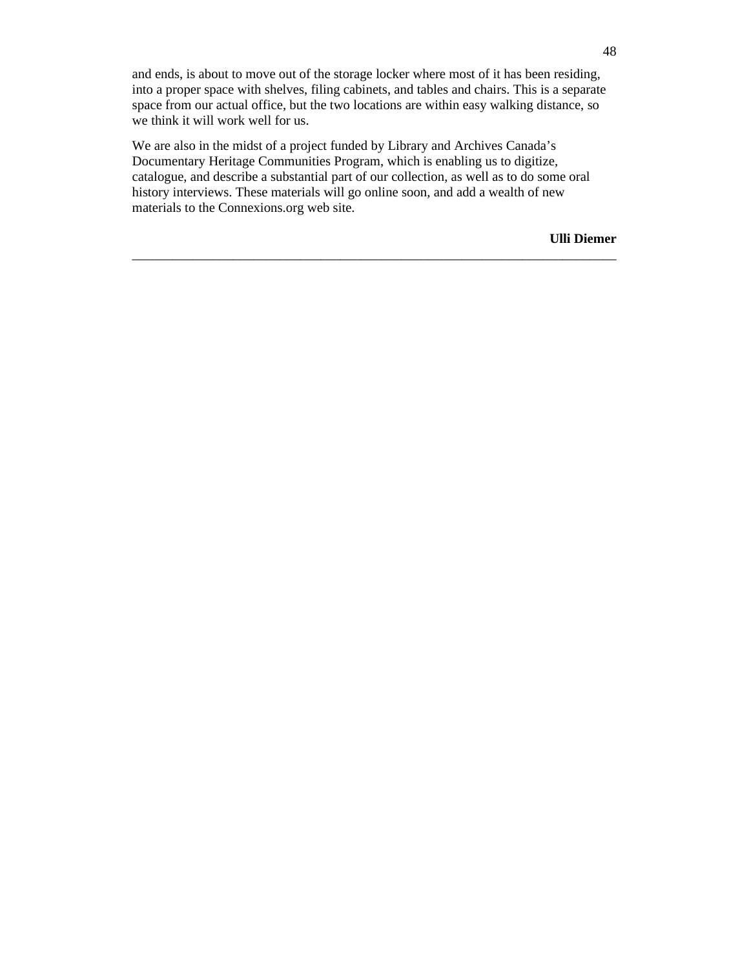and ends, is about to move out of the storage locker where most of it has been residing, into a proper space with shelves, filing cabinets, and tables and chairs. This is a separate space from our actual office, but the two locations are within easy walking distance, so we think it will work well for us.

We are also in the midst of a project funded by Library and Archives Canada's Documentary Heritage Communities Program, which is enabling us to digitize, catalogue, and describe a substantial part of our collection, as well as to do some oral history interviews. These materials will go online soon, and add a wealth of new materials to the Connexions.org web site.

 $\_$  , and the set of the set of the set of the set of the set of the set of the set of the set of the set of the set of the set of the set of the set of the set of the set of the set of the set of the set of the set of th

**Ulli Diemer**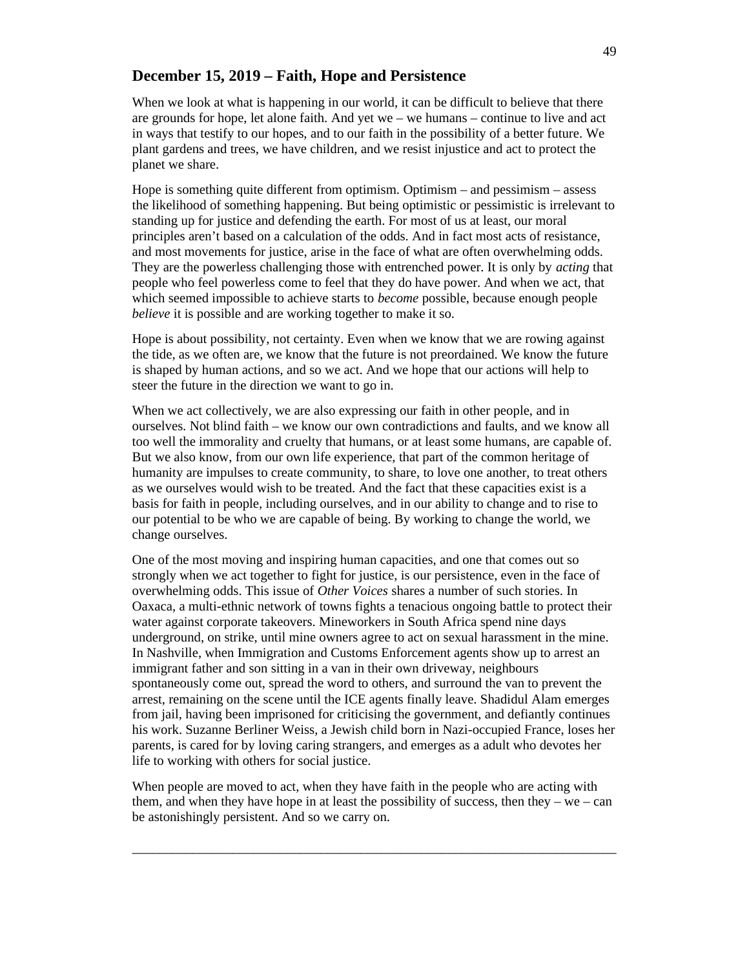# **December 15, 2019 – Faith, Hope and Persistence**

When we look at what is happening in our world, it can be difficult to believe that there are grounds for hope, let alone faith. And yet we – we humans – continue to live and act in ways that testify to our hopes, and to our faith in the possibility of a better future. We plant gardens and trees, we have children, and we resist injustice and act to protect the planet we share.

Hope is something quite different from optimism. Optimism – and pessimism – assess the likelihood of something happening. But being optimistic or pessimistic is irrelevant to standing up for justice and defending the earth. For most of us at least, our moral principles aren't based on a calculation of the odds. And in fact most acts of resistance, and most movements for justice, arise in the face of what are often overwhelming odds. They are the powerless challenging those with entrenched power. It is only by *acting* that people who feel powerless come to feel that they do have power. And when we act, that which seemed impossible to achieve starts to *become* possible, because enough people *believe* it is possible and are working together to make it so.

Hope is about possibility, not certainty. Even when we know that we are rowing against the tide, as we often are, we know that the future is not preordained. We know the future is shaped by human actions, and so we act. And we hope that our actions will help to steer the future in the direction we want to go in.

When we act collectively, we are also expressing our faith in other people, and in ourselves. Not blind faith – we know our own contradictions and faults, and we know all too well the immorality and cruelty that humans, or at least some humans, are capable of. But we also know, from our own life experience, that part of the common heritage of humanity are impulses to create community, to share, to love one another, to treat others as we ourselves would wish to be treated. And the fact that these capacities exist is a basis for faith in people, including ourselves, and in our ability to change and to rise to our potential to be who we are capable of being. By working to change the world, we change ourselves.

One of the most moving and inspiring human capacities, and one that comes out so strongly when we act together to fight for justice, is our persistence, even in the face of overwhelming odds. This issue of *Other Voices* shares a number of such stories. In Oaxaca, a multi-ethnic network of towns fights a tenacious ongoing battle to protect their water against corporate takeovers. Mineworkers in South Africa spend nine days underground, on strike, until mine owners agree to act on sexual harassment in the mine. In Nashville, when Immigration and Customs Enforcement agents show up to arrest an immigrant father and son sitting in a van in their own driveway, neighbours spontaneously come out, spread the word to others, and surround the van to prevent the arrest, remaining on the scene until the ICE agents finally leave. Shadidul Alam emerges from jail, having been imprisoned for criticising the government, and defiantly continues his work. Suzanne Berliner Weiss, a Jewish child born in Nazi-occupied France, loses her parents, is cared for by loving caring strangers, and emerges as a adult who devotes her life to working with others for social justice.

When people are moved to act, when they have faith in the people who are acting with them, and when they have hope in at least the possibility of success, then they  $-$  we  $-$  can be astonishingly persistent. And so we carry on.

\_\_\_\_\_\_\_\_\_\_\_\_\_\_\_\_\_\_\_\_\_\_\_\_\_\_\_\_\_\_\_\_\_\_\_\_\_\_\_\_\_\_\_\_\_\_\_\_\_\_\_\_\_\_\_\_\_\_\_\_\_\_\_\_\_\_\_\_\_\_\_\_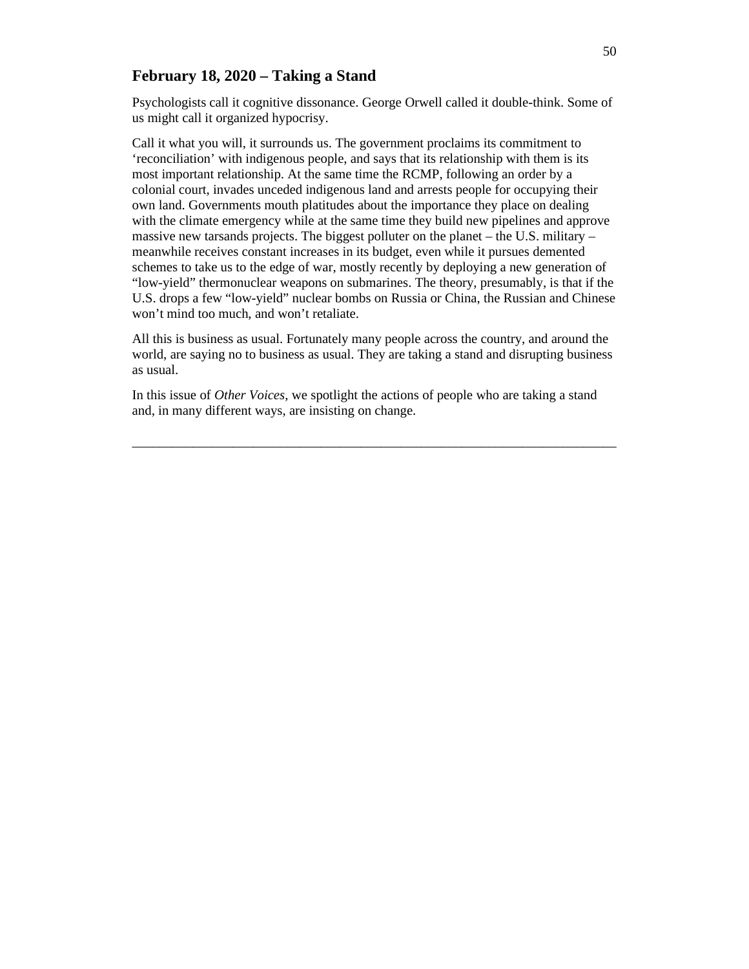# **February 18, 2020 – Taking a Stand**

Psychologists call it cognitive dissonance. George Orwell called it double-think. Some of us might call it organized hypocrisy.

Call it what you will, it surrounds us. The government proclaims its commitment to 'reconciliation' with indigenous people, and says that its relationship with them is its most important relationship. At the same time the RCMP, following an order by a colonial court, invades unceded indigenous land and arrests people for occupying their own land. Governments mouth platitudes about the importance they place on dealing with the climate emergency while at the same time they build new pipelines and approve massive new tarsands projects. The biggest polluter on the planet  $-$  the U.S. military  $$ meanwhile receives constant increases in its budget, even while it pursues demented schemes to take us to the edge of war, mostly recently by deploying a new generation of "low-yield" thermonuclear weapons on submarines. The theory, presumably, is that if the U.S. drops a few "low-yield" nuclear bombs on Russia or China, the Russian and Chinese won't mind too much, and won't retaliate.

All this is business as usual. Fortunately many people across the country, and around the world, are saying no to business as usual. They are taking a stand and disrupting business as usual.

In this issue of *Other Voices*, we spotlight the actions of people who are taking a stand and, in many different ways, are insisting on change.

 $\_$  , and the set of the set of the set of the set of the set of the set of the set of the set of the set of the set of the set of the set of the set of the set of the set of the set of the set of the set of the set of th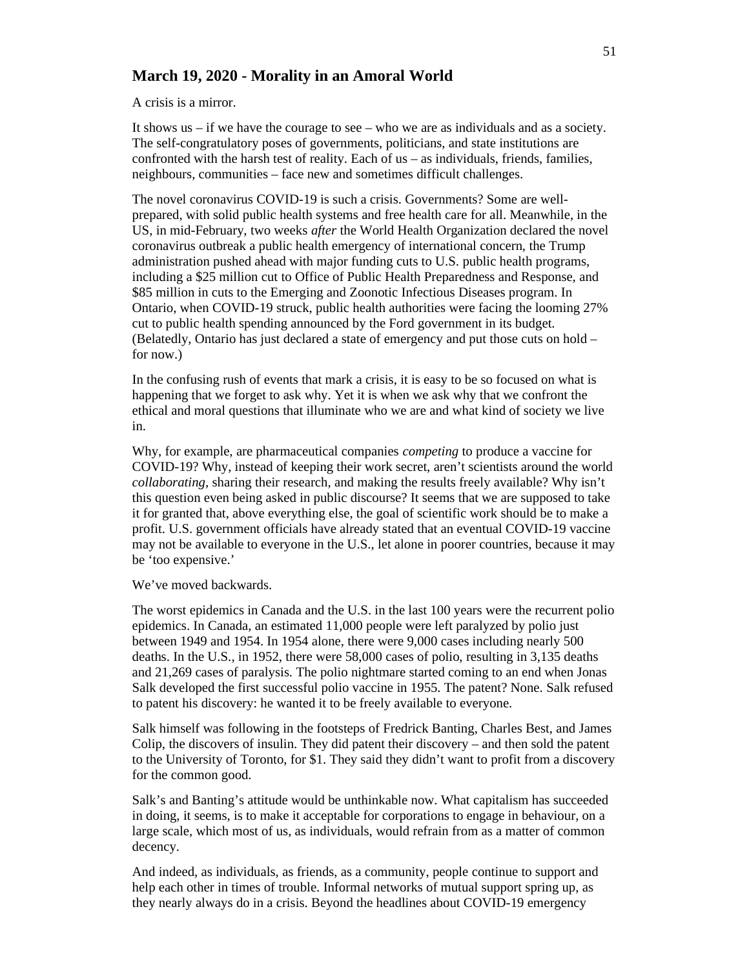# **March 19, 2020 - Morality in an Amoral World**

A crisis is a mirror.

It shows us – if we have the courage to see – who we are as individuals and as a society. The self-congratulatory poses of governments, politicians, and state institutions are confronted with the harsh test of reality. Each of us – as individuals, friends, families, neighbours, communities – face new and sometimes difficult challenges.

The novel coronavirus COVID-19 is such a crisis. Governments? Some are wellprepared, with solid public health systems and free health care for all. Meanwhile, in the US, in mid-February, two weeks *after* the World Health Organization declared the novel coronavirus outbreak a public health emergency of international concern, the Trump administration pushed ahead with major funding cuts to U.S. public health programs, including a \$25 million cut to Office of Public Health Preparedness and Response, and \$85 million in cuts to the Emerging and Zoonotic Infectious Diseases program. In Ontario, when COVID-19 struck, public health authorities were facing the looming 27% cut to public health spending announced by the Ford government in its budget. (Belatedly, Ontario has just declared a state of emergency and put those cuts on hold – for now.)

In the confusing rush of events that mark a crisis, it is easy to be so focused on what is happening that we forget to ask why. Yet it is when we ask why that we confront the ethical and moral questions that illuminate who we are and what kind of society we live in.

Why, for example, are pharmaceutical companies *competing* to produce a vaccine for COVID-19? Why, instead of keeping their work secret, aren't scientists around the world *collaborating*, sharing their research, and making the results freely available? Why isn't this question even being asked in public discourse? It seems that we are supposed to take it for granted that, above everything else, the goal of scientific work should be to make a profit. U.S. government officials have already stated that an eventual COVID-19 vaccine may not be available to everyone in the U.S., let alone in poorer countries, because it may be 'too expensive.'

We've moved backwards.

The worst epidemics in Canada and the U.S. in the last 100 years were the recurrent polio epidemics. In Canada, an estimated 11,000 people were left paralyzed by polio just between 1949 and 1954. In 1954 alone, there were 9,000 cases including nearly 500 deaths. In the U.S., in 1952, there were 58,000 cases of polio, resulting in 3,135 deaths and 21,269 cases of paralysis. The polio nightmare started coming to an end when Jonas Salk developed the first successful polio vaccine in 1955. The patent? None. Salk refused to patent his discovery: he wanted it to be freely available to everyone.

Salk himself was following in the footsteps of Fredrick Banting, Charles Best, and James Colip, the discovers of insulin. They did patent their discovery – and then sold the patent to the University of Toronto, for \$1. They said they didn't want to profit from a discovery for the common good.

Salk's and Banting's attitude would be unthinkable now. What capitalism has succeeded in doing, it seems, is to make it acceptable for corporations to engage in behaviour, on a large scale, which most of us, as individuals, would refrain from as a matter of common decency.

And indeed, as individuals, as friends, as a community, people continue to support and help each other in times of trouble. Informal networks of mutual support spring up, as they nearly always do in a crisis. Beyond the headlines about COVID-19 emergency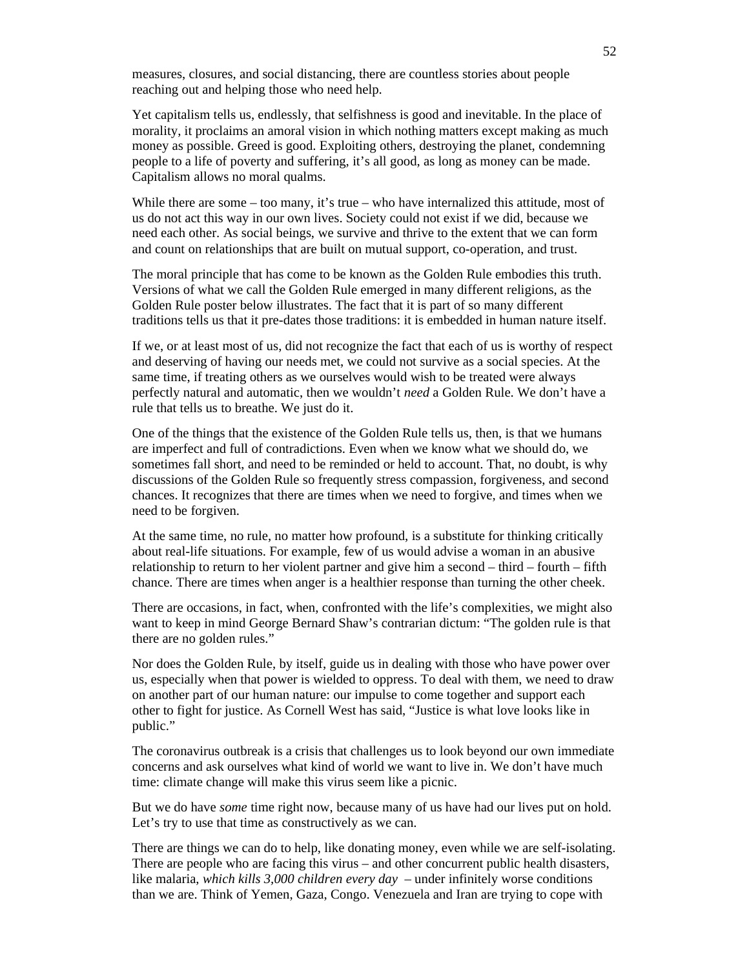measures, closures, and social distancing, there are countless stories about people reaching out and helping those who need help.

Yet capitalism tells us, endlessly, that selfishness is good and inevitable. In the place of morality, it proclaims an amoral vision in which nothing matters except making as much money as possible. Greed is good. Exploiting others, destroying the planet, condemning people to a life of poverty and suffering, it's all good, as long as money can be made. Capitalism allows no moral qualms.

While there are some  $-$  too many, it's true  $-$  who have internalized this attitude, most of us do not act this way in our own lives. Society could not exist if we did, because we need each other. As social beings, we survive and thrive to the extent that we can form and count on relationships that are built on mutual support, co-operation, and trust.

The moral principle that has come to be known as the Golden Rule embodies this truth. Versions of what we call the Golden Rule emerged in many different religions, as the Golden Rule poster below illustrates. The fact that it is part of so many different traditions tells us that it pre-dates those traditions: it is embedded in human nature itself.

If we, or at least most of us, did not recognize the fact that each of us is worthy of respect and deserving of having our needs met, we could not survive as a social species. At the same time, if treating others as we ourselves would wish to be treated were always perfectly natural and automatic, then we wouldn't *need* a Golden Rule. We don't have a rule that tells us to breathe. We just do it.

One of the things that the existence of the Golden Rule tells us, then, is that we humans are imperfect and full of contradictions. Even when we know what we should do, we sometimes fall short, and need to be reminded or held to account. That, no doubt, is why discussions of the Golden Rule so frequently stress compassion, forgiveness, and second chances. It recognizes that there are times when we need to forgive, and times when we need to be forgiven.

At the same time, no rule, no matter how profound, is a substitute for thinking critically about real-life situations. For example, few of us would advise a woman in an abusive relationship to return to her violent partner and give him a second – third – fourth – fifth chance. There are times when anger is a healthier response than turning the other cheek.

There are occasions, in fact, when, confronted with the life's complexities, we might also want to keep in mind George Bernard Shaw's contrarian dictum: "The golden rule is that there are no golden rules."

Nor does the Golden Rule, by itself, guide us in dealing with those who have power over us, especially when that power is wielded to oppress. To deal with them, we need to draw on another part of our human nature: our impulse to come together and support each other to fight for justice. As Cornell West has said, "Justice is what love looks like in public."

The coronavirus outbreak is a crisis that challenges us to look beyond our own immediate concerns and ask ourselves what kind of world we want to live in. We don't have much time: climate change will make this virus seem like a picnic.

But we do have *some* time right now, because many of us have had our lives put on hold. Let's try to use that time as constructively as we can.

There are things we can do to help, like donating money, even while we are self-isolating. There are people who are facing this virus – and other concurrent public health disasters, like malaria, *which kills 3,000 children every day* – under infinitely worse conditions than we are. Think of Yemen, Gaza, Congo. Venezuela and Iran are trying to cope with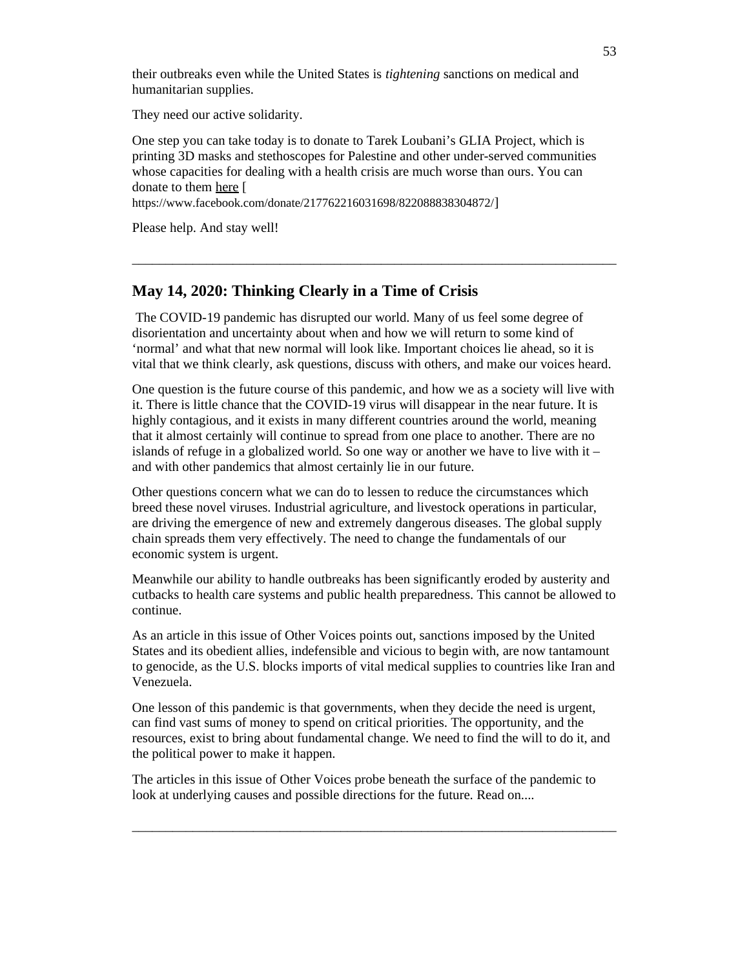their outbreaks even while the United States is *tightening* sanctions on medical and humanitarian supplies.

They need our active solidarity.

One step you can take today is to donate to Tarek Loubani's GLIA Project, which is printing 3D masks and stethoscopes for Palestine and other under-served communities whose capacities for dealing with a health crisis are much worse than ours. You can donate to them here [

https://www.facebook.com/donate/217762216031698/822088838304872/]

Please help. And stay well!

### **May 14, 2020: Thinking Clearly in a Time of Crisis**

 The COVID-19 pandemic has disrupted our world. Many of us feel some degree of disorientation and uncertainty about when and how we will return to some kind of 'normal' and what that new normal will look like. Important choices lie ahead, so it is vital that we think clearly, ask questions, discuss with others, and make our voices heard.

\_\_\_\_\_\_\_\_\_\_\_\_\_\_\_\_\_\_\_\_\_\_\_\_\_\_\_\_\_\_\_\_\_\_\_\_\_\_\_\_\_\_\_\_\_\_\_\_\_\_\_\_\_\_\_\_\_\_\_\_\_\_\_\_\_\_\_\_\_\_\_\_

One question is the future course of this pandemic, and how we as a society will live with it. There is little chance that the COVID-19 virus will disappear in the near future. It is highly contagious, and it exists in many different countries around the world, meaning that it almost certainly will continue to spread from one place to another. There are no islands of refuge in a globalized world. So one way or another we have to live with it  $$ and with other pandemics that almost certainly lie in our future.

Other questions concern what we can do to lessen to reduce the circumstances which breed these novel viruses. Industrial agriculture, and livestock operations in particular, are driving the emergence of new and extremely dangerous diseases. The global supply chain spreads them very effectively. The need to change the fundamentals of our economic system is urgent.

Meanwhile our ability to handle outbreaks has been significantly eroded by austerity and cutbacks to health care systems and public health preparedness. This cannot be allowed to continue.

As an article in this issue of Other Voices points out, sanctions imposed by the United States and its obedient allies, indefensible and vicious to begin with, are now tantamount to genocide, as the U.S. blocks imports of vital medical supplies to countries like Iran and Venezuela.

One lesson of this pandemic is that governments, when they decide the need is urgent, can find vast sums of money to spend on critical priorities. The opportunity, and the resources, exist to bring about fundamental change. We need to find the will to do it, and the political power to make it happen.

The articles in this issue of Other Voices probe beneath the surface of the pandemic to look at underlying causes and possible directions for the future. Read on....

\_\_\_\_\_\_\_\_\_\_\_\_\_\_\_\_\_\_\_\_\_\_\_\_\_\_\_\_\_\_\_\_\_\_\_\_\_\_\_\_\_\_\_\_\_\_\_\_\_\_\_\_\_\_\_\_\_\_\_\_\_\_\_\_\_\_\_\_\_\_\_\_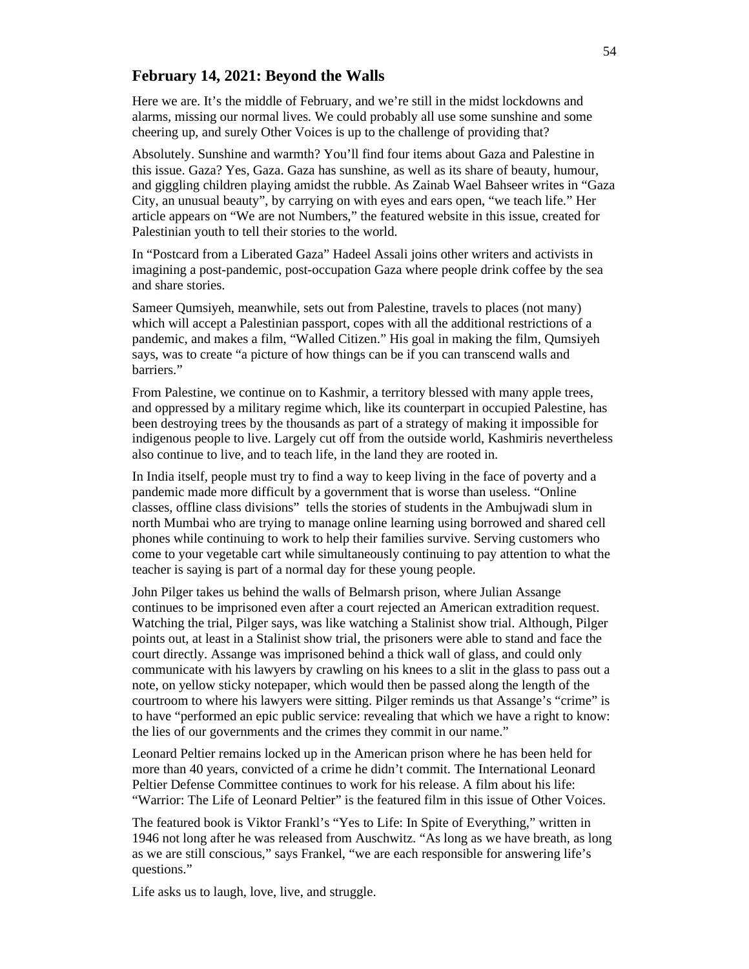### **February 14, 2021: Beyond the Walls**

Here we are. It's the middle of February, and we're still in the midst lockdowns and alarms, missing our normal lives. We could probably all use some sunshine and some cheering up, and surely Other Voices is up to the challenge of providing that?

Absolutely. Sunshine and warmth? You'll find four items about Gaza and Palestine in this issue. Gaza? Yes, Gaza. Gaza has sunshine, as well as its share of beauty, humour, and giggling children playing amidst the rubble. As Zainab Wael Bahseer writes in "Gaza City, an unusual beauty", by carrying on with eyes and ears open, "we teach life." Her article appears on "We are not Numbers," the featured website in this issue, created for Palestinian youth to tell their stories to the world.

In "Postcard from a Liberated Gaza" Hadeel Assali joins other writers and activists in imagining a post-pandemic, post-occupation Gaza where people drink coffee by the sea and share stories.

Sameer Qumsiyeh, meanwhile, sets out from Palestine, travels to places (not many) which will accept a Palestinian passport, copes with all the additional restrictions of a pandemic, and makes a film, "Walled Citizen." His goal in making the film, Qumsiyeh says, was to create "a picture of how things can be if you can transcend walls and barriers."

From Palestine, we continue on to Kashmir, a territory blessed with many apple trees, and oppressed by a military regime which, like its counterpart in occupied Palestine, has been destroying trees by the thousands as part of a strategy of making it impossible for indigenous people to live. Largely cut off from the outside world, Kashmiris nevertheless also continue to live, and to teach life, in the land they are rooted in.

In India itself, people must try to find a way to keep living in the face of poverty and a pandemic made more difficult by a government that is worse than useless. "Online classes, offline class divisions" tells the stories of students in the Ambujwadi slum in north Mumbai who are trying to manage online learning using borrowed and shared cell phones while continuing to work to help their families survive. Serving customers who come to your vegetable cart while simultaneously continuing to pay attention to what the teacher is saying is part of a normal day for these young people.

John Pilger takes us behind the walls of Belmarsh prison, where Julian Assange continues to be imprisoned even after a court rejected an American extradition request. Watching the trial, Pilger says, was like watching a Stalinist show trial. Although, Pilger points out, at least in a Stalinist show trial, the prisoners were able to stand and face the court directly. Assange was imprisoned behind a thick wall of glass, and could only communicate with his lawyers by crawling on his knees to a slit in the glass to pass out a note, on yellow sticky notepaper, which would then be passed along the length of the courtroom to where his lawyers were sitting. Pilger reminds us that Assange's "crime" is to have "performed an epic public service: revealing that which we have a right to know: the lies of our governments and the crimes they commit in our name."

Leonard Peltier remains locked up in the American prison where he has been held for more than 40 years, convicted of a crime he didn't commit. The International Leonard Peltier Defense Committee continues to work for his release. A film about his life: "Warrior: The Life of Leonard Peltier" is the featured film in this issue of Other Voices.

The featured book is Viktor Frankl's "Yes to Life: In Spite of Everything," written in 1946 not long after he was released from Auschwitz. "As long as we have breath, as long as we are still conscious," says Frankel, "we are each responsible for answering life's questions."

Life asks us to laugh, love, live, and struggle.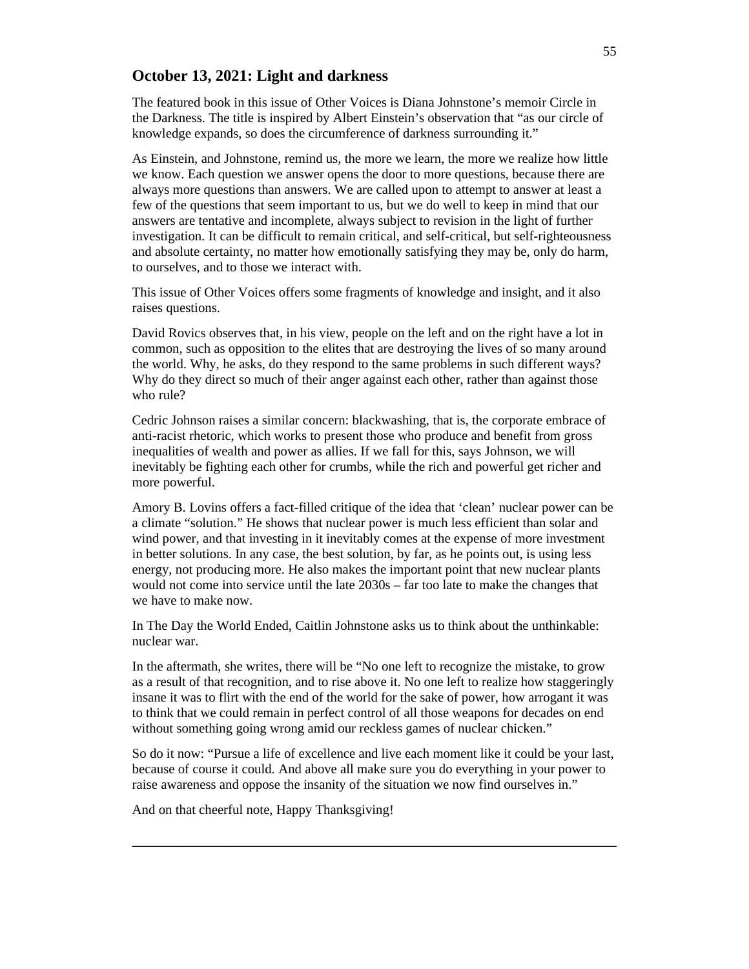# **October 13, 2021: Light and darkness**

The featured book in this issue of Other Voices is Diana Johnstone's memoir Circle in the Darkness. The title is inspired by Albert Einstein's observation that "as our circle of knowledge expands, so does the circumference of darkness surrounding it."

As Einstein, and Johnstone, remind us, the more we learn, the more we realize how little we know. Each question we answer opens the door to more questions, because there are always more questions than answers. We are called upon to attempt to answer at least a few of the questions that seem important to us, but we do well to keep in mind that our answers are tentative and incomplete, always subject to revision in the light of further investigation. It can be difficult to remain critical, and self-critical, but self-righteousness and absolute certainty, no matter how emotionally satisfying they may be, only do harm, to ourselves, and to those we interact with.

This issue of Other Voices offers some fragments of knowledge and insight, and it also raises questions.

David Rovics observes that, in his view, people on the left and on the right have a lot in common, such as opposition to the elites that are destroying the lives of so many around the world. Why, he asks, do they respond to the same problems in such different ways? Why do they direct so much of their anger against each other, rather than against those who rule?

Cedric Johnson raises a similar concern: blackwashing, that is, the corporate embrace of anti-racist rhetoric, which works to present those who produce and benefit from gross inequalities of wealth and power as allies. If we fall for this, says Johnson, we will inevitably be fighting each other for crumbs, while the rich and powerful get richer and more powerful.

Amory B. Lovins offers a fact-filled critique of the idea that 'clean' nuclear power can be a climate "solution." He shows that nuclear power is much less efficient than solar and wind power, and that investing in it inevitably comes at the expense of more investment in better solutions. In any case, the best solution, by far, as he points out, is using less energy, not producing more. He also makes the important point that new nuclear plants would not come into service until the late 2030s – far too late to make the changes that we have to make now.

In The Day the World Ended, Caitlin Johnstone asks us to think about the unthinkable: nuclear war.

In the aftermath, she writes, there will be "No one left to recognize the mistake, to grow as a result of that recognition, and to rise above it. No one left to realize how staggeringly insane it was to flirt with the end of the world for the sake of power, how arrogant it was to think that we could remain in perfect control of all those weapons for decades on end without something going wrong amid our reckless games of nuclear chicken."

So do it now: "Pursue a life of excellence and live each moment like it could be your last, because of course it could. And above all make sure you do everything in your power to raise awareness and oppose the insanity of the situation we now find ourselves in."

\_\_\_\_\_\_\_\_\_\_\_\_\_\_\_\_\_\_\_\_\_\_\_\_\_\_\_\_\_\_\_\_\_\_\_\_\_\_\_\_\_\_\_\_\_\_\_\_\_\_\_\_\_\_\_\_\_\_\_\_\_\_\_\_\_\_\_\_\_\_\_\_

And on that cheerful note, Happy Thanksgiving!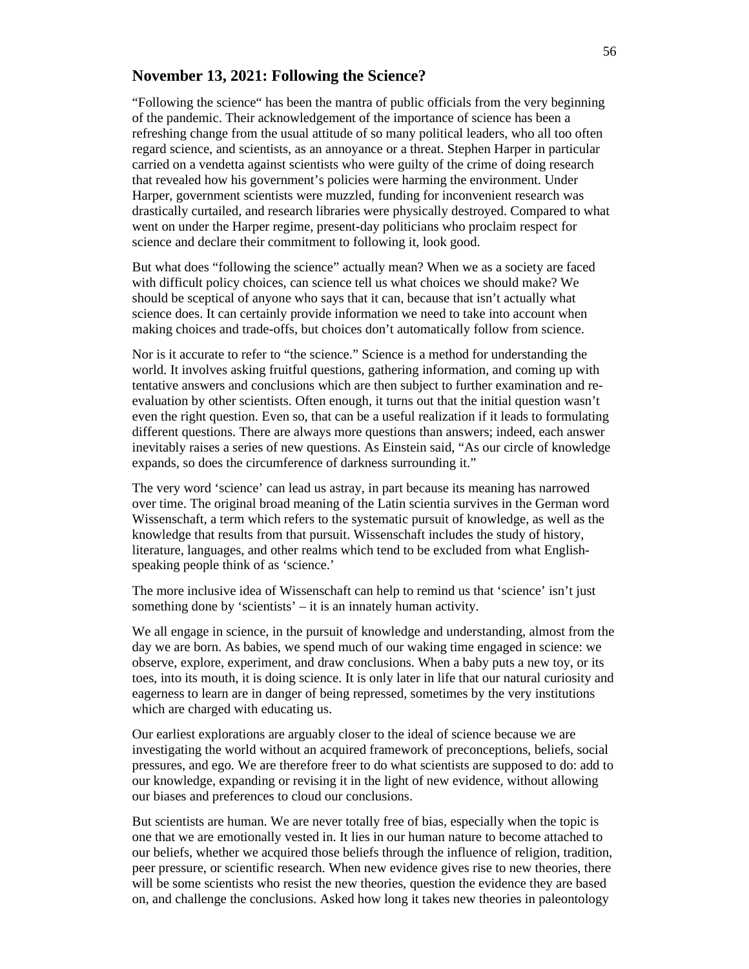### **November 13, 2021: Following the Science?**

"Following the science" has been the mantra of public officials from the very beginning of the pandemic. Their acknowledgement of the importance of science has been a refreshing change from the usual attitude of so many political leaders, who all too often regard science, and scientists, as an annoyance or a threat. Stephen Harper in particular carried on a vendetta against scientists who were guilty of the crime of doing research that revealed how his government's policies were harming the environment. Under Harper, government scientists were muzzled, funding for inconvenient research was drastically curtailed, and research libraries were physically destroyed. Compared to what went on under the Harper regime, present-day politicians who proclaim respect for science and declare their commitment to following it, look good.

But what does "following the science" actually mean? When we as a society are faced with difficult policy choices, can science tell us what choices we should make? We should be sceptical of anyone who says that it can, because that isn't actually what science does. It can certainly provide information we need to take into account when making choices and trade-offs, but choices don't automatically follow from science.

Nor is it accurate to refer to "the science." Science is a method for understanding the world. It involves asking fruitful questions, gathering information, and coming up with tentative answers and conclusions which are then subject to further examination and reevaluation by other scientists. Often enough, it turns out that the initial question wasn't even the right question. Even so, that can be a useful realization if it leads to formulating different questions. There are always more questions than answers; indeed, each answer inevitably raises a series of new questions. As Einstein said, "As our circle of knowledge expands, so does the circumference of darkness surrounding it."

The very word 'science' can lead us astray, in part because its meaning has narrowed over time. The original broad meaning of the Latin scientia survives in the German word Wissenschaft, a term which refers to the systematic pursuit of knowledge, as well as the knowledge that results from that pursuit. Wissenschaft includes the study of history, literature, languages, and other realms which tend to be excluded from what Englishspeaking people think of as 'science.'

The more inclusive idea of Wissenschaft can help to remind us that 'science' isn't just something done by 'scientists' – it is an innately human activity.

We all engage in science, in the pursuit of knowledge and understanding, almost from the day we are born. As babies, we spend much of our waking time engaged in science: we observe, explore, experiment, and draw conclusions. When a baby puts a new toy, or its toes, into its mouth, it is doing science. It is only later in life that our natural curiosity and eagerness to learn are in danger of being repressed, sometimes by the very institutions which are charged with educating us.

Our earliest explorations are arguably closer to the ideal of science because we are investigating the world without an acquired framework of preconceptions, beliefs, social pressures, and ego. We are therefore freer to do what scientists are supposed to do: add to our knowledge, expanding or revising it in the light of new evidence, without allowing our biases and preferences to cloud our conclusions.

But scientists are human. We are never totally free of bias, especially when the topic is one that we are emotionally vested in. It lies in our human nature to become attached to our beliefs, whether we acquired those beliefs through the influence of religion, tradition, peer pressure, or scientific research. When new evidence gives rise to new theories, there will be some scientists who resist the new theories, question the evidence they are based on, and challenge the conclusions. Asked how long it takes new theories in paleontology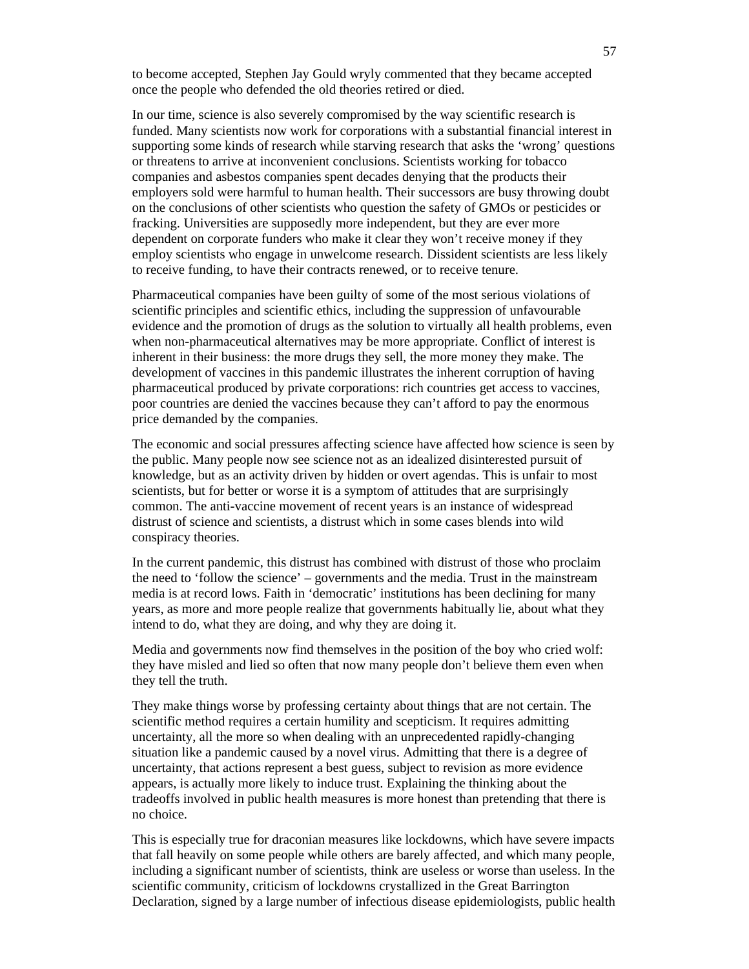to become accepted, Stephen Jay Gould wryly commented that they became accepted once the people who defended the old theories retired or died.

In our time, science is also severely compromised by the way scientific research is funded. Many scientists now work for corporations with a substantial financial interest in supporting some kinds of research while starving research that asks the 'wrong' questions or threatens to arrive at inconvenient conclusions. Scientists working for tobacco companies and asbestos companies spent decades denying that the products their employers sold were harmful to human health. Their successors are busy throwing doubt on the conclusions of other scientists who question the safety of GMOs or pesticides or fracking. Universities are supposedly more independent, but they are ever more dependent on corporate funders who make it clear they won't receive money if they employ scientists who engage in unwelcome research. Dissident scientists are less likely to receive funding, to have their contracts renewed, or to receive tenure.

Pharmaceutical companies have been guilty of some of the most serious violations of scientific principles and scientific ethics, including the suppression of unfavourable evidence and the promotion of drugs as the solution to virtually all health problems, even when non-pharmaceutical alternatives may be more appropriate. Conflict of interest is inherent in their business: the more drugs they sell, the more money they make. The development of vaccines in this pandemic illustrates the inherent corruption of having pharmaceutical produced by private corporations: rich countries get access to vaccines, poor countries are denied the vaccines because they can't afford to pay the enormous price demanded by the companies.

The economic and social pressures affecting science have affected how science is seen by the public. Many people now see science not as an idealized disinterested pursuit of knowledge, but as an activity driven by hidden or overt agendas. This is unfair to most scientists, but for better or worse it is a symptom of attitudes that are surprisingly common. The anti-vaccine movement of recent years is an instance of widespread distrust of science and scientists, a distrust which in some cases blends into wild conspiracy theories.

In the current pandemic, this distrust has combined with distrust of those who proclaim the need to 'follow the science' – governments and the media. Trust in the mainstream media is at record lows. Faith in 'democratic' institutions has been declining for many years, as more and more people realize that governments habitually lie, about what they intend to do, what they are doing, and why they are doing it.

Media and governments now find themselves in the position of the boy who cried wolf: they have misled and lied so often that now many people don't believe them even when they tell the truth.

They make things worse by professing certainty about things that are not certain. The scientific method requires a certain humility and scepticism. It requires admitting uncertainty, all the more so when dealing with an unprecedented rapidly-changing situation like a pandemic caused by a novel virus. Admitting that there is a degree of uncertainty, that actions represent a best guess, subject to revision as more evidence appears, is actually more likely to induce trust. Explaining the thinking about the tradeoffs involved in public health measures is more honest than pretending that there is no choice.

This is especially true for draconian measures like lockdowns, which have severe impacts that fall heavily on some people while others are barely affected, and which many people, including a significant number of scientists, think are useless or worse than useless. In the scientific community, criticism of lockdowns crystallized in the Great Barrington Declaration, signed by a large number of infectious disease epidemiologists, public health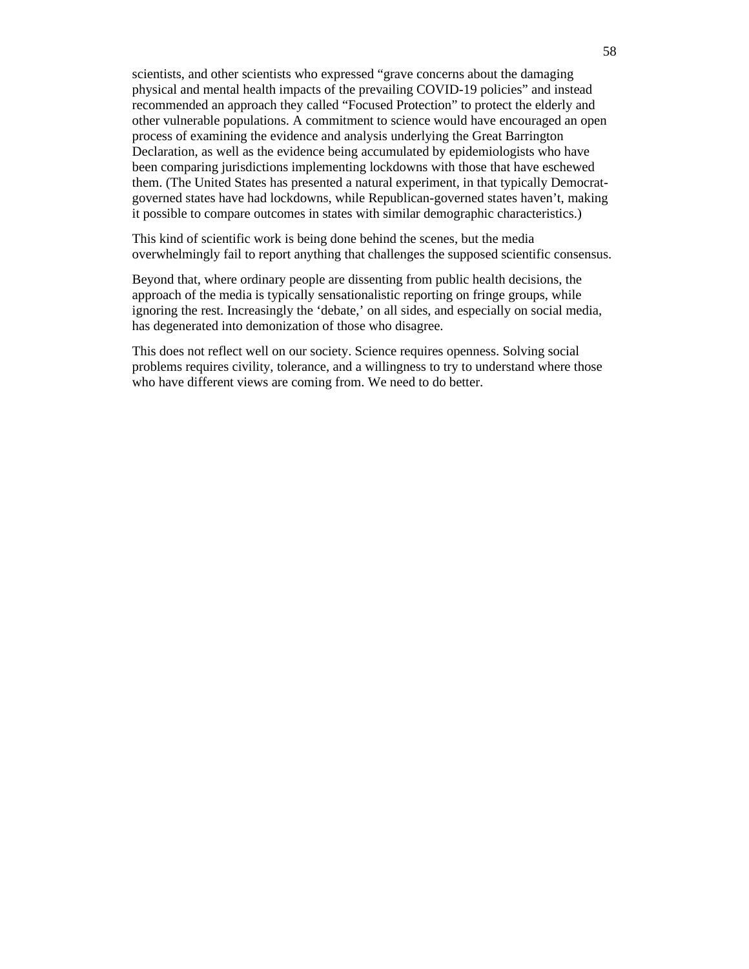scientists, and other scientists who expressed "grave concerns about the damaging physical and mental health impacts of the prevailing COVID-19 policies" and instead recommended an approach they called "Focused Protection" to protect the elderly and other vulnerable populations. A commitment to science would have encouraged an open process of examining the evidence and analysis underlying the Great Barrington Declaration, as well as the evidence being accumulated by epidemiologists who have been comparing jurisdictions implementing lockdowns with those that have eschewed them. (The United States has presented a natural experiment, in that typically Democratgoverned states have had lockdowns, while Republican-governed states haven't, making it possible to compare outcomes in states with similar demographic characteristics.)

This kind of scientific work is being done behind the scenes, but the media overwhelmingly fail to report anything that challenges the supposed scientific consensus.

Beyond that, where ordinary people are dissenting from public health decisions, the approach of the media is typically sensationalistic reporting on fringe groups, while ignoring the rest. Increasingly the 'debate,' on all sides, and especially on social media, has degenerated into demonization of those who disagree.

This does not reflect well on our society. Science requires openness. Solving social problems requires civility, tolerance, and a willingness to try to understand where those who have different views are coming from. We need to do better.